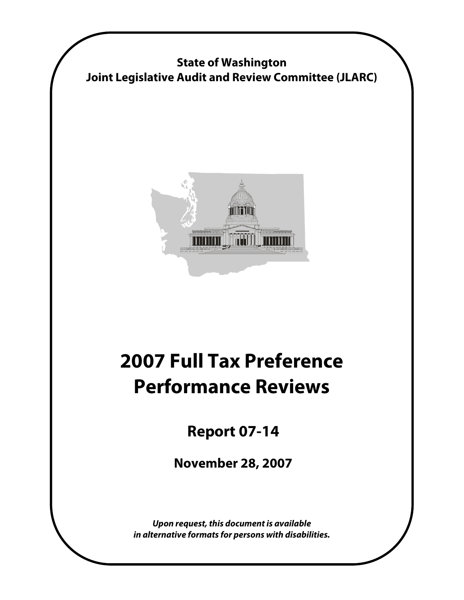

**State of Washington Joint Legislative Audit and Review Committee (JLARC)** 

## **2007 Full Tax Preference Performance Reviews**

 **Report 07-14** 

 **November 28, 2007** 

**Upon request, this document is available in alternative formats for persons with disabilities.**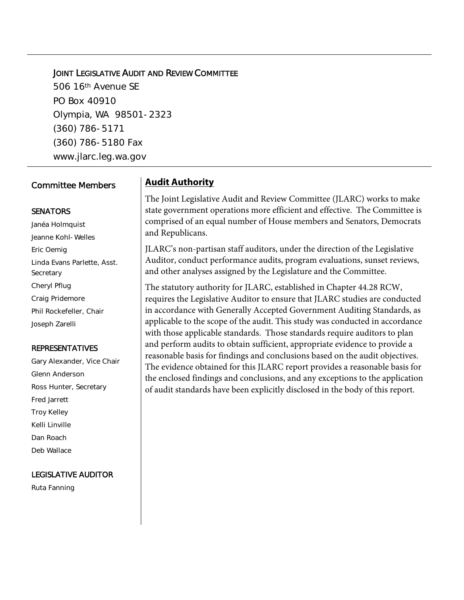#### **JOINT LEGISLATIVE AUDIT AND REVIEW COMMITTEE**

506 16th Avenue SE PO Box 40910 Olympia, WA 98501-2323 (360) 786-5171 (360) 786-5180 Fax www.jlarc.leg.wa.gov

#### Committee Members

#### **SENATORS**

Janéa Holmquist Jeanne Kohl-Welles Eric Oemig Linda Evans Parlette, Asst. **Secretary** Cheryl Pflug Craig Pridemore Phil Rockefeller, Chair Joseph Zarelli

#### REPRESENTATIVES

Gary Alexander, Vice Chair Glenn Anderson Ross Hunter, Secretary Fred Jarrett Troy Kelley Kelli Linville Dan Roach Deb Wallace

#### LEGISLATIVE AUDITOR

Ruta Fanning

#### **Audit Authority**

The Joint Legislative Audit and Review Committee (JLARC) works to make state government operations more efficient and effective. The Committee is comprised of an equal number of House members and Senators, Democrats and Republicans.

JLARC's non-partisan staff auditors, under the direction of the Legislative Auditor, conduct performance audits, program evaluations, sunset reviews, and other analyses assigned by the Legislature and the Committee.

The statutory authority for JLARC, established in Chapter 44.28 RCW, requires the Legislative Auditor to ensure that JLARC studies are conducted in accordance with Generally Accepted Government Auditing Standards, as applicable to the scope of the audit. This study was conducted in accordance with those applicable standards. Those standards require auditors to plan and perform audits to obtain sufficient, appropriate evidence to provide a reasonable basis for findings and conclusions based on the audit objectives. The evidence obtained for this JLARC report provides a reasonable basis for the enclosed findings and conclusions, and any exceptions to the application of audit standards have been explicitly disclosed in the body of this report.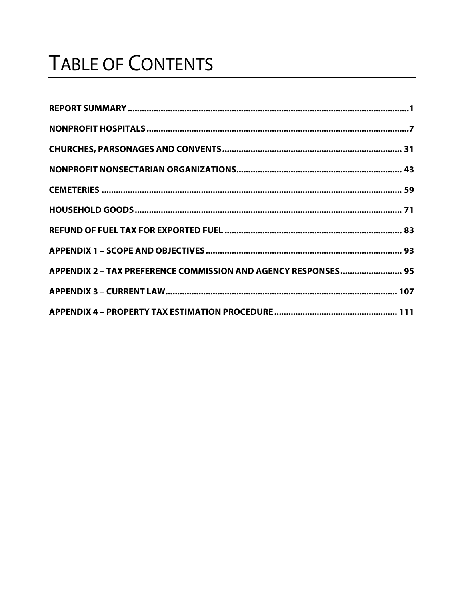# **TABLE OF CONTENTS**

| APPENDIX 2 - TAX PREFERENCE COMMISSION AND AGENCY RESPONSES 95 |  |
|----------------------------------------------------------------|--|
|                                                                |  |
|                                                                |  |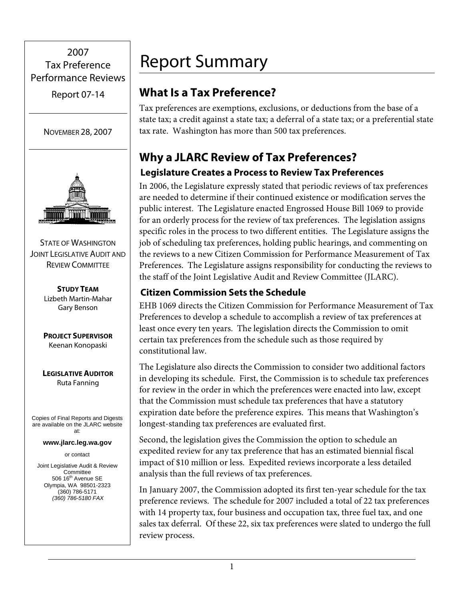## <span id="page-4-0"></span>2007 Tax Preference Performance Reviews

Report 07-14





STATE OF WASHINGTON **JOINT LEGISLATIVE AUDIT AND** REVIEW COMMITTEE

> **STUDY TEAM** Lizbeth Martin-Mahar Gary Benson

> **PROJECT SUPERVISOR** Keenan Konopaski

**LEGISLATIVE AUDITOR** Ruta Fanning

Copies of Final Reports and Digests are available on the JLARC website at:

**www.jlarc.leg.wa.gov** 

or contact

Joint Legislative Audit & Review **Committee** 506 16<sup>th</sup> Avenue SE Olympia, WA 98501-2323 (360) 786-5171 *(360) 786-5180 FAX*

## Report Summary

## **What Is a Tax Preference?**

Tax preferences are exemptions, exclusions, or deductions from the base of a state tax; a credit against a state tax; a deferral of a state tax; or a preferential state tax rate. Washington has more than 500 tax preferences.

## **Why a JLARC Review of Tax Preferences?**

## **Legislature Creates a Process to Review Tax Preferences**

In 2006, the Legislature expressly stated that periodic reviews of tax preferences are needed to determine if their continued existence or modification serves the public interest. The Legislature enacted Engrossed House Bill 1069 to provide for an orderly process for the review of tax preferences. The legislation assigns specific roles in the process to two different entities. The Legislature assigns the job of scheduling tax preferences, holding public hearings, and commenting on the reviews to a new Citizen Commission for Performance Measurement of Tax Preferences. The Legislature assigns responsibility for conducting the reviews to the staff of the Joint Legislative Audit and Review Committee (JLARC).

### **Citizen Commission Sets the Schedule**

EHB 1069 directs the Citizen Commission for Performance Measurement of Tax Preferences to develop a schedule to accomplish a review of tax preferences at least once every ten years. The legislation directs the Commission to omit certain tax preferences from the schedule such as those required by constitutional law.

The Legislature also directs the Commission to consider two additional factors in developing its schedule. First, the Commission is to schedule tax preferences for review in the order in which the preferences were enacted into law, except that the Commission must schedule tax preferences that have a statutory expiration date before the preference expires. This means that Washington's longest-standing tax preferences are evaluated first.

Second, the legislation gives the Commission the option to schedule an expedited review for any tax preference that has an estimated biennial fiscal impact of \$10 million or less. Expedited reviews incorporate a less detailed analysis than the full reviews of tax preferences.

In January 2007, the Commission adopted its first ten-year schedule for the tax preference reviews. The schedule for 2007 included a total of 22 tax preferences with 14 property tax, four business and occupation tax, three fuel tax, and one sales tax deferral. Of these 22, six tax preferences were slated to undergo the full review process.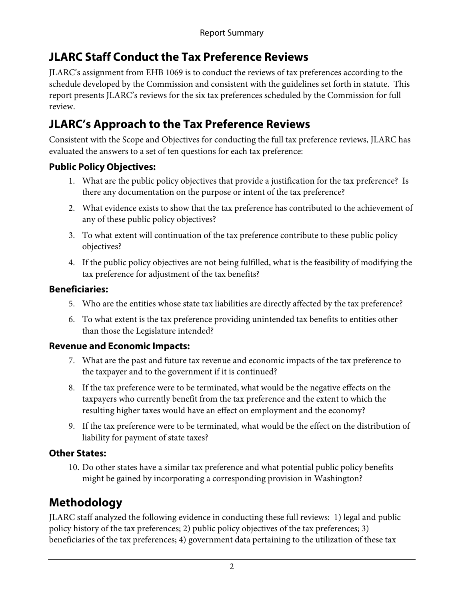## **JLARC Staff Conduct the Tax Preference Reviews**

JLARC's assignment from EHB 1069 is to conduct the reviews of tax preferences according to the schedule developed by the Commission and consistent with the guidelines set forth in statute. This report presents JLARC's reviews for the six tax preferences scheduled by the Commission for full review.

## **JLARC's Approach to the Tax Preference Reviews**

Consistent with the Scope and Objectives for conducting the full tax preference reviews, JLARC has evaluated the answers to a set of ten questions for each tax preference:

#### **Public Policy Objectives:**

- 1. What are the public policy objectives that provide a justification for the tax preference? Is there any documentation on the purpose or intent of the tax preference?
- 2. What evidence exists to show that the tax preference has contributed to the achievement of any of these public policy objectives?
- 3. To what extent will continuation of the tax preference contribute to these public policy objectives?
- 4. If the public policy objectives are not being fulfilled, what is the feasibility of modifying the tax preference for adjustment of the tax benefits?

#### **Beneficiaries:**

- 5. Who are the entities whose state tax liabilities are directly affected by the tax preference?
- 6. To what extent is the tax preference providing unintended tax benefits to entities other than those the Legislature intended?

#### **Revenue and Economic Impacts:**

- 7. What are the past and future tax revenue and economic impacts of the tax preference to the taxpayer and to the government if it is continued?
- 8. If the tax preference were to be terminated, what would be the negative effects on the taxpayers who currently benefit from the tax preference and the extent to which the resulting higher taxes would have an effect on employment and the economy?
- 9. If the tax preference were to be terminated, what would be the effect on the distribution of liability for payment of state taxes?

#### **Other States:**

10. Do other states have a similar tax preference and what potential public policy benefits might be gained by incorporating a corresponding provision in Washington?

## **Methodology**

JLARC staff analyzed the following evidence in conducting these full reviews: 1) legal and public policy history of the tax preferences; 2) public policy objectives of the tax preferences; 3) beneficiaries of the tax preferences; 4) government data pertaining to the utilization of these tax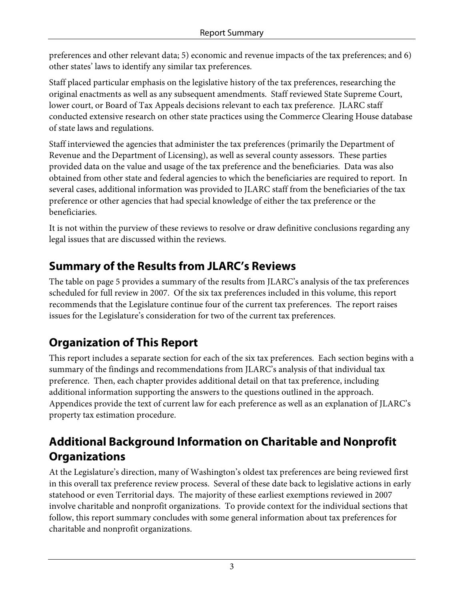preferences and other relevant data; 5) economic and revenue impacts of the tax preferences; and 6) other states' laws to identify any similar tax preferences.

Staff placed particular emphasis on the legislative history of the tax preferences, researching the original enactments as well as any subsequent amendments. Staff reviewed State Supreme Court, lower court, or Board of Tax Appeals decisions relevant to each tax preference. JLARC staff conducted extensive research on other state practices using the Commerce Clearing House database of state laws and regulations.

Staff interviewed the agencies that administer the tax preferences (primarily the Department of Revenue and the Department of Licensing), as well as several county assessors. These parties provided data on the value and usage of the tax preference and the beneficiaries. Data was also obtained from other state and federal agencies to which the beneficiaries are required to report. In several cases, additional information was provided to JLARC staff from the beneficiaries of the tax preference or other agencies that had special knowledge of either the tax preference or the beneficiaries.

It is not within the purview of these reviews to resolve or draw definitive conclusions regarding any legal issues that are discussed within the reviews.

## **Summary of the Results from JLARC's Reviews**

The table on page 5 provides a summary of the results from JLARC's analysis of the tax preferences scheduled for full review in 2007. Of the six tax preferences included in this volume, this report recommends that the Legislature continue four of the current tax preferences. The report raises issues for the Legislature's consideration for two of the current tax preferences.

## **Organization of This Report**

This report includes a separate section for each of the six tax preferences. Each section begins with a summary of the findings and recommendations from JLARC's analysis of that individual tax preference. Then, each chapter provides additional detail on that tax preference, including additional information supporting the answers to the questions outlined in the approach. Appendices provide the text of current law for each preference as well as an explanation of JLARC's property tax estimation procedure.

## **Additional Background Information on Charitable and Nonprofit Organizations**

At the Legislature's direction, many of Washington's oldest tax preferences are being reviewed first in this overall tax preference review process. Several of these date back to legislative actions in early statehood or even Territorial days. The majority of these earliest exemptions reviewed in 2007 involve charitable and nonprofit organizations. To provide context for the individual sections that follow, this report summary concludes with some general information about tax preferences for charitable and nonprofit organizations.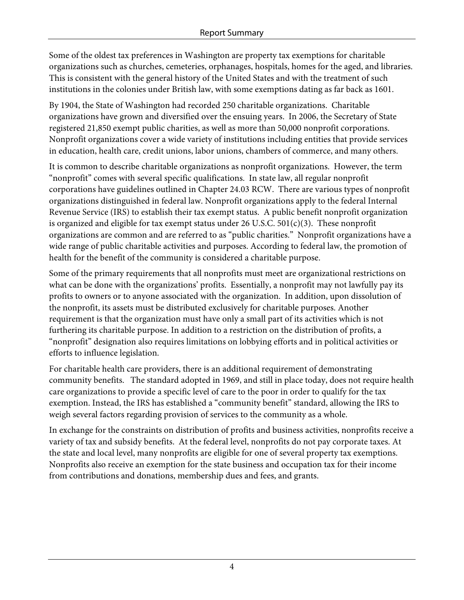Some of the oldest tax preferences in Washington are property tax exemptions for charitable organizations such as churches, cemeteries, orphanages, hospitals, homes for the aged, and libraries. This is consistent with the general history of the United States and with the treatment of such institutions in the colonies under British law, with some exemptions dating as far back as 1601.

By 1904, the State of Washington had recorded 250 charitable organizations. Charitable organizations have grown and diversified over the ensuing years. In 2006, the Secretary of State registered 21,850 exempt public charities, as well as more than 50,000 nonprofit corporations. Nonprofit organizations cover a wide variety of institutions including entities that provide services in education, health care, credit unions, labor unions, chambers of commerce, and many others.

It is common to describe charitable organizations as nonprofit organizations. However, the term "nonprofit" comes with several specific qualifications. In state law, all regular nonprofit corporations have guidelines outlined in Chapter 24.03 RCW. There are various types of nonprofit organizations distinguished in federal law. Nonprofit organizations apply to the federal Internal Revenue Service (IRS) to establish their tax exempt status. A public benefit nonprofit organization is organized and eligible for tax exempt status under 26 U.S.C.  $501(c)(3)$ . These nonprofit organizations are common and are referred to as "public charities." Nonprofit organizations have a wide range of public charitable activities and purposes. According to federal law, the promotion of health for the benefit of the community is considered a charitable purpose.

Some of the primary requirements that all nonprofits must meet are organizational restrictions on what can be done with the organizations' profits. Essentially, a nonprofit may not lawfully pay its profits to owners or to anyone associated with the organization. In addition, upon dissolution of the nonprofit, its assets must be distributed exclusively for charitable purposes. Another requirement is that the organization must have only a small part of its activities which is not furthering its charitable purpose. In addition to a restriction on the distribution of profits, a "nonprofit" designation also requires limitations on lobbying efforts and in political activities or efforts to influence legislation.

For charitable health care providers, there is an additional requirement of demonstrating community benefits. The standard adopted in 1969, and still in place today, does not require health care organizations to provide a specific level of care to the poor in order to qualify for the tax exemption. Instead, the IRS has established a "community benefit" standard, allowing the IRS to weigh several factors regarding provision of services to the community as a whole.

In exchange for the constraints on distribution of profits and business activities, nonprofits receive a variety of tax and subsidy benefits. At the federal level, nonprofits do not pay corporate taxes. At the state and local level, many nonprofits are eligible for one of several property tax exemptions. Nonprofits also receive an exemption for the state business and occupation tax for their income from contributions and donations, membership dues and fees, and grants.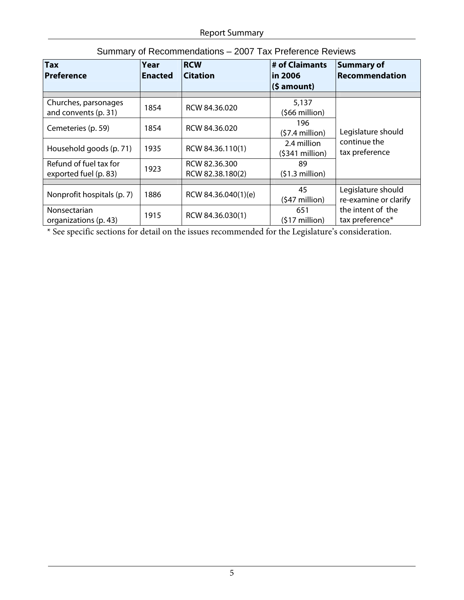| $\overline{\mathsf{T}}$ ax<br>Preference        | Year<br><b>Enacted</b> | <b>RCW</b><br><b>Citation</b>     | # of Claimants<br>in 2006<br>$(5 amount)$ | <b>Summary of</b><br>Recommendation         |
|-------------------------------------------------|------------------------|-----------------------------------|-------------------------------------------|---------------------------------------------|
| Churches, parsonages<br>and convents (p. 31)    | 1854                   | RCW 84.36.020                     | 5,137<br>$(566$ million)                  |                                             |
| Cemeteries (p. 59)                              | 1854                   | RCW 84.36.020                     | 196<br>$(57.4$ million)                   | Legislature should                          |
| Household goods (p. 71)                         | 1935                   | RCW 84.36.110(1)                  | 2.4 million<br>$(5341$ million)           | continue the<br>tax preference              |
| Refund of fuel tax for<br>exported fuel (p. 83) | 1923                   | RCW 82.36.300<br>RCW 82.38.180(2) | 89<br>$(51.3$ million)                    |                                             |
| Nonprofit hospitals (p. 7)                      | 1886                   | RCW 84.36.040(1)(e)               | 45<br>$(547$ million)                     | Legislature should<br>re-examine or clarify |
| Nonsectarian<br>organizations (p. 43)           | 1915                   | RCW 84.36.030(1)                  | 651<br>$(517$ million)                    | the intent of the<br>tax preference*        |

#### Summary of Recommendations – 2007 Tax Preference Reviews

\* See specific sections for detail on the issues recommended for the Legislature's consideration.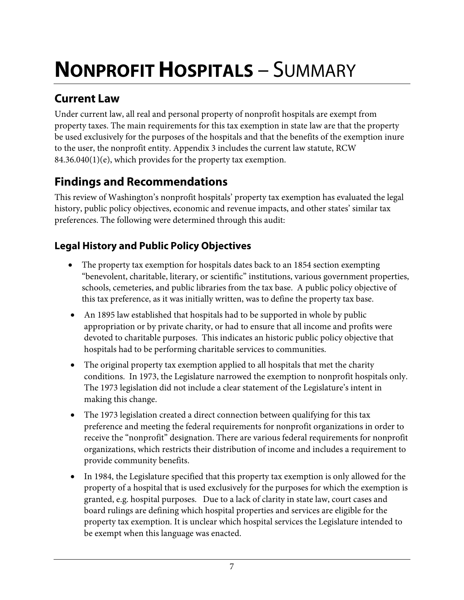# <span id="page-10-0"></span>**NONPROFIT HOSPITALS** – SUMMARY

## **Current Law**

Under current law, all real and personal property of nonprofit hospitals are exempt from property taxes. The main requirements for this tax exemption in state law are that the property be used exclusively for the purposes of the hospitals and that the benefits of the exemption inure to the user, the nonprofit entity. Appendix 3 includes the current law statute, RCW 84.36.040(1)(e), which provides for the property tax exemption.

## **Findings and Recommendations**

This review of Washington's nonprofit hospitals' property tax exemption has evaluated the legal history, public policy objectives, economic and revenue impacts, and other states' similar tax preferences. The following were determined through this audit:

## **Legal History and Public Policy Objectives**

- The property tax exemption for hospitals dates back to an 1854 section exempting "benevolent, charitable, literary, or scientific" institutions, various government properties, schools, cemeteries, and public libraries from the tax base. A public policy objective of this tax preference, as it was initially written, was to define the property tax base.
- An 1895 law established that hospitals had to be supported in whole by public appropriation or by private charity, or had to ensure that all income and profits were devoted to charitable purposes. This indicates an historic public policy objective that hospitals had to be performing charitable services to communities.
- The original property tax exemption applied to all hospitals that met the charity conditions. In 1973, the Legislature narrowed the exemption to nonprofit hospitals only. The 1973 legislation did not include a clear statement of the Legislature's intent in making this change.
- The 1973 legislation created a direct connection between qualifying for this tax preference and meeting the federal requirements for nonprofit organizations in order to receive the "nonprofit" designation. There are various federal requirements for nonprofit organizations, which restricts their distribution of income and includes a requirement to provide community benefits.
- In 1984, the Legislature specified that this property tax exemption is only allowed for the property of a hospital that is used exclusively for the purposes for which the exemption is granted, e.g. hospital purposes. Due to a lack of clarity in state law, court cases and board rulings are defining which hospital properties and services are eligible for the property tax exemption. It is unclear which hospital services the Legislature intended to be exempt when this language was enacted.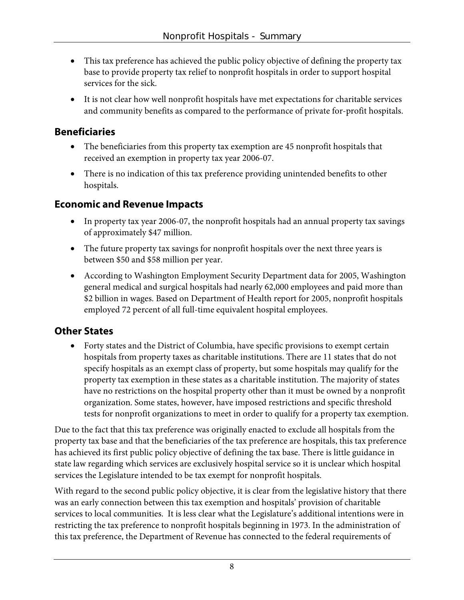- This tax preference has achieved the public policy objective of defining the property tax base to provide property tax relief to nonprofit hospitals in order to support hospital services for the sick.
- It is not clear how well nonprofit hospitals have met expectations for charitable services and community benefits as compared to the performance of private for-profit hospitals.

#### **Beneficiaries**

- The beneficiaries from this property tax exemption are 45 nonprofit hospitals that received an exemption in property tax year 2006-07.
- There is no indication of this tax preference providing unintended benefits to other hospitals.

#### **Economic and Revenue Impacts**

- In property tax year 2006-07, the nonprofit hospitals had an annual property tax savings of approximately \$47 million.
- The future property tax savings for nonprofit hospitals over the next three years is between \$50 and \$58 million per year.
- According to Washington Employment Security Department data for 2005, Washington general medical and surgical hospitals had nearly 62,000 employees and paid more than \$2 billion in wages. Based on Department of Health report for 2005, nonprofit hospitals employed 72 percent of all full-time equivalent hospital employees.

#### **Other States**

• Forty states and the District of Columbia, have specific provisions to exempt certain hospitals from property taxes as charitable institutions. There are 11 states that do not specify hospitals as an exempt class of property, but some hospitals may qualify for the property tax exemption in these states as a charitable institution. The majority of states have no restrictions on the hospital property other than it must be owned by a nonprofit organization. Some states, however, have imposed restrictions and specific threshold tests for nonprofit organizations to meet in order to qualify for a property tax exemption.

Due to the fact that this tax preference was originally enacted to exclude all hospitals from the property tax base and that the beneficiaries of the tax preference are hospitals, this tax preference has achieved its first public policy objective of defining the tax base. There is little guidance in state law regarding which services are exclusively hospital service so it is unclear which hospital services the Legislature intended to be tax exempt for nonprofit hospitals.

With regard to the second public policy objective, it is clear from the legislative history that there was an early connection between this tax exemption and hospitals' provision of charitable services to local communities. It is less clear what the Legislature's additional intentions were in restricting the tax preference to nonprofit hospitals beginning in 1973. In the administration of this tax preference, the Department of Revenue has connected to the federal requirements of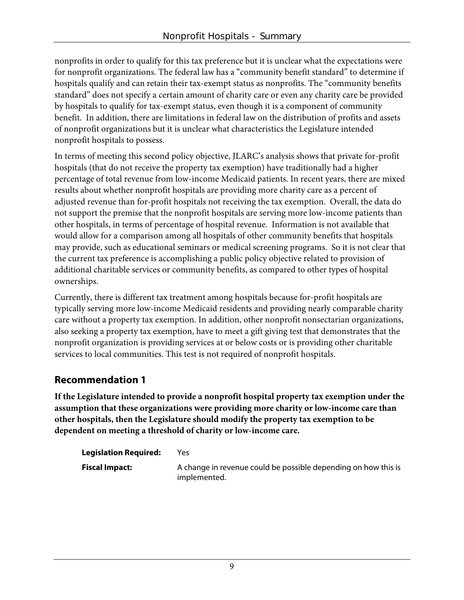nonprofits in order to qualify for this tax preference but it is unclear what the expectations were for nonprofit organizations. The federal law has a "community benefit standard" to determine if hospitals qualify and can retain their tax-exempt status as nonprofits. The "community benefits standard" does not specify a certain amount of charity care or even any charity care be provided by hospitals to qualify for tax-exempt status, even though it is a component of community benefit. In addition, there are limitations in federal law on the distribution of profits and assets of nonprofit organizations but it is unclear what characteristics the Legislature intended nonprofit hospitals to possess.

In terms of meeting this second policy objective, JLARC's analysis shows that private for-profit hospitals (that do not receive the property tax exemption) have traditionally had a higher percentage of total revenue from low-income Medicaid patients. In recent years, there are mixed results about whether nonprofit hospitals are providing more charity care as a percent of adjusted revenue than for-profit hospitals not receiving the tax exemption. Overall, the data do not support the premise that the nonprofit hospitals are serving more low-income patients than other hospitals, in terms of percentage of hospital revenue. Information is not available that would allow for a comparison among all hospitals of other community benefits that hospitals may provide, such as educational seminars or medical screening programs. So it is not clear that the current tax preference is accomplishing a public policy objective related to provision of additional charitable services or community benefits, as compared to other types of hospital ownerships.

Currently, there is different tax treatment among hospitals because for-profit hospitals are typically serving more low-income Medicaid residents and providing nearly comparable charity care without a property tax exemption. In addition, other nonprofit nonsectarian organizations, also seeking a property tax exemption, have to meet a gift giving test that demonstrates that the nonprofit organization is providing services at or below costs or is providing other charitable services to local communities. This test is not required of nonprofit hospitals.

#### **Recommendation 1**

**If the Legislature intended to provide a nonprofit hospital property tax exemption under the assumption that these organizations were providing more charity or low-income care than other hospitals, then the Legislature should modify the property tax exemption to be dependent on meeting a threshold of charity or low-income care.** 

| <b>Legislation Required:</b> | Yes                                                                            |
|------------------------------|--------------------------------------------------------------------------------|
| <b>Fiscal Impact:</b>        | A change in revenue could be possible depending on how this is<br>implemented. |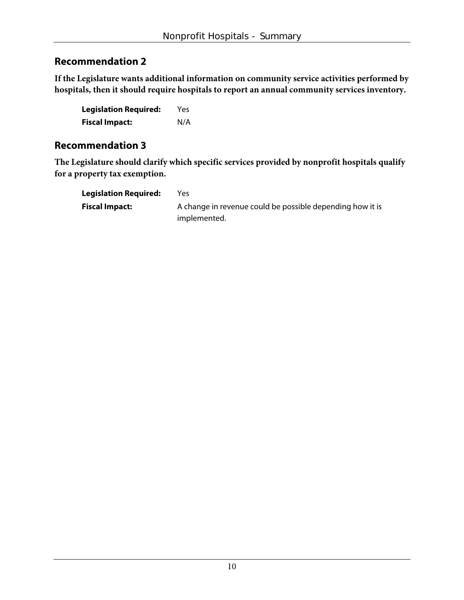#### **Recommendation 2**

**If the Legislature wants additional information on community service activities performed by hospitals, then it should require hospitals to report an annual community services inventory.** 

| <b>Legislation Required:</b> | Yes |
|------------------------------|-----|
| <b>Fiscal Impact:</b>        | N/A |

#### **Recommendation 3**

**The Legislature should clarify which specific services provided by nonprofit hospitals qualify for a property tax exemption.** 

| <b>Legislation Required:</b> | Yes                                                       |
|------------------------------|-----------------------------------------------------------|
| <b>Fiscal Impact:</b>        | A change in revenue could be possible depending how it is |
|                              | implemented.                                              |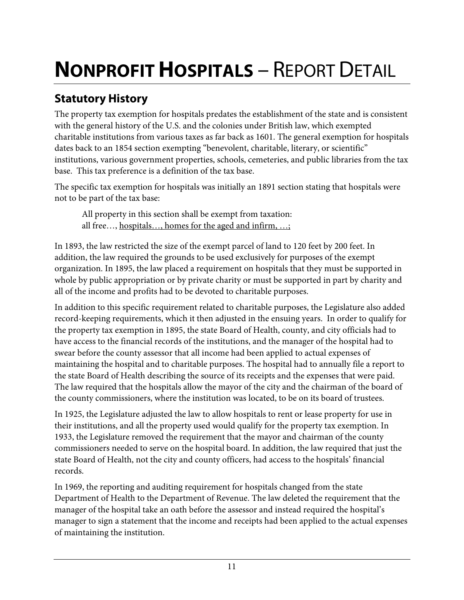# **NONPROFIT HOSPITALS** – REPORT DETAIL

## **Statutory History**

The property tax exemption for hospitals predates the establishment of the state and is consistent with the general history of the U.S. and the colonies under British law, which exempted charitable institutions from various taxes as far back as 1601. The general exemption for hospitals dates back to an 1854 section exempting "benevolent, charitable, literary, or scientific" institutions, various government properties, schools, cemeteries, and public libraries from the tax base. This tax preference is a definition of the tax base.

The specific tax exemption for hospitals was initially an 1891 section stating that hospitals were not to be part of the tax base:

All property in this section shall be exempt from taxation: all free…, hospitals…, homes for the aged and infirm, …;

In 1893, the law restricted the size of the exempt parcel of land to 120 feet by 200 feet. In addition, the law required the grounds to be used exclusively for purposes of the exempt organization. In 1895, the law placed a requirement on hospitals that they must be supported in whole by public appropriation or by private charity or must be supported in part by charity and all of the income and profits had to be devoted to charitable purposes.

In addition to this specific requirement related to charitable purposes, the Legislature also added record-keeping requirements, which it then adjusted in the ensuing years. In order to qualify for the property tax exemption in 1895, the state Board of Health, county, and city officials had to have access to the financial records of the institutions, and the manager of the hospital had to swear before the county assessor that all income had been applied to actual expenses of maintaining the hospital and to charitable purposes. The hospital had to annually file a report to the state Board of Health describing the source of its receipts and the expenses that were paid. The law required that the hospitals allow the mayor of the city and the chairman of the board of the county commissioners, where the institution was located, to be on its board of trustees.

In 1925, the Legislature adjusted the law to allow hospitals to rent or lease property for use in their institutions, and all the property used would qualify for the property tax exemption. In 1933, the Legislature removed the requirement that the mayor and chairman of the county commissioners needed to serve on the hospital board. In addition, the law required that just the state Board of Health, not the city and county officers, had access to the hospitals' financial records.

In 1969, the reporting and auditing requirement for hospitals changed from the state Department of Health to the Department of Revenue. The law deleted the requirement that the manager of the hospital take an oath before the assessor and instead required the hospital's manager to sign a statement that the income and receipts had been applied to the actual expenses of maintaining the institution.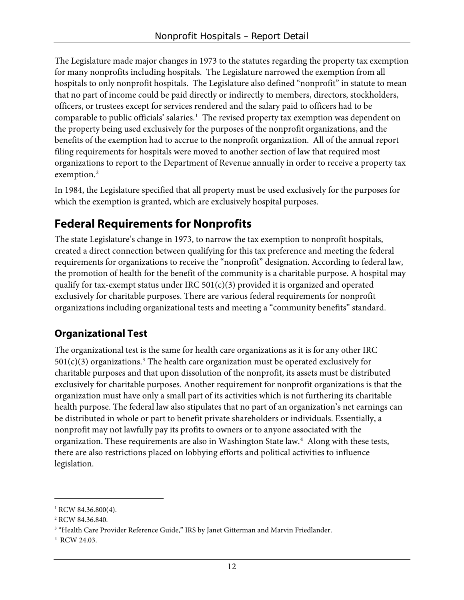The Legislature made major changes in 1973 to the statutes regarding the property tax exemption for many nonprofits including hospitals. The Legislature narrowed the exemption from all hospitals to only nonprofit hospitals. The Legislature also defined "nonprofit" in statute to mean that no part of income could be paid directly or indirectly to members, directors, stockholders, officers, or trustees except for services rendered and the salary paid to officers had to be comparable to public officials' salaries.<sup>[1](#page-15-0)</sup> The revised property tax exemption was dependent on the property being used exclusively for the purposes of the nonprofit organizations, and the benefits of the exemption had to accrue to the nonprofit organization. All of the annual report filing requirements for hospitals were moved to another section of law that required most organizations to report to the Department of Revenue annually in order to receive a property tax exemption.<sup>[2](#page-15-1)</sup>

In 1984, the Legislature specified that all property must be used exclusively for the purposes for which the exemption is granted, which are exclusively hospital purposes.

## **Federal Requirements for Nonprofits**

The state Legislature's change in 1973, to narrow the tax exemption to nonprofit hospitals, created a direct connection between qualifying for this tax preference and meeting the federal requirements for organizations to receive the "nonprofit" designation. According to federal law, the promotion of health for the benefit of the community is a charitable purpose. A hospital may qualify for tax-exempt status under IRC  $501(c)(3)$  provided it is organized and operated exclusively for charitable purposes. There are various federal requirements for nonprofit organizations including organizational tests and meeting a "community benefits" standard.

## **Organizational Test**

The organizational test is the same for health care organizations as it is for any other IRC  $501(c)(3)$  $501(c)(3)$  $501(c)(3)$  organizations.<sup>3</sup> The health care organization must be operated exclusively for charitable purposes and that upon dissolution of the nonprofit, its assets must be distributed exclusively for charitable purposes. Another requirement for nonprofit organizations is that the organization must have only a small part of its activities which is not furthering its charitable health purpose. The federal law also stipulates that no part of an organization's net earnings can be distributed in whole or part to benefit private shareholders or individuals. Essentially, a nonprofit may not lawfully pay its profits to owners or to anyone associated with the organization. These requirements are also in Washington State law.<sup>[4](#page-15-3)</sup> Along with these tests, there are also restrictions placed on lobbying efforts and political activities to influence legislation.

 $\overline{a}$ 

<span id="page-15-0"></span> $1$  RCW 84.36.800(4).

<span id="page-15-1"></span><sup>&</sup>lt;sup>2</sup> RCW 84.36.840.

<span id="page-15-2"></span><sup>&</sup>lt;sup>3</sup> "Health Care Provider Reference Guide," IRS by Janet Gitterman and Marvin Friedlander.

<span id="page-15-3"></span><sup>&</sup>lt;sup>4</sup> RCW 24.03.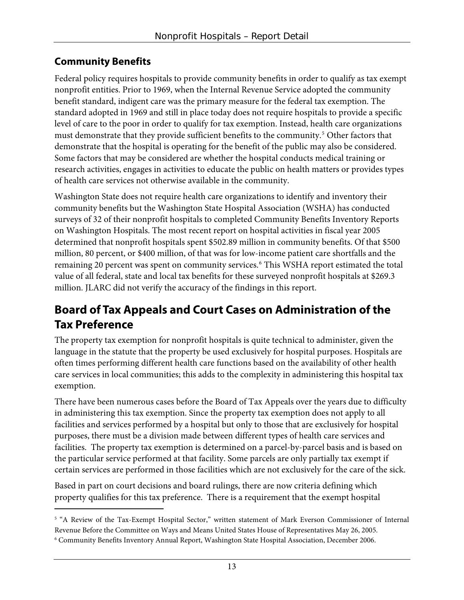## **Community Benefits**

 $\overline{a}$ 

Federal policy requires hospitals to provide community benefits in order to qualify as tax exempt nonprofit entities. Prior to 1969, when the Internal Revenue Service adopted the community benefit standard, indigent care was the primary measure for the federal tax exemption. The standard adopted in 1969 and still in place today does not require hospitals to provide a specific level of care to the poor in order to qualify for tax exemption. Instead, health care organizations must demonstrate that they provide sufficient benefits to the community.<sup>[5](#page-16-0)</sup> Other factors that demonstrate that the hospital is operating for the benefit of the public may also be considered. Some factors that may be considered are whether the hospital conducts medical training or research activities, engages in activities to educate the public on health matters or provides types of health care services not otherwise available in the community.

Washington State does not require health care organizations to identify and inventory their community benefits but the Washington State Hospital Association (WSHA) has conducted surveys of 32 of their nonprofit hospitals to completed Community Benefits Inventory Reports on Washington Hospitals. The most recent report on hospital activities in fiscal year 2005 determined that nonprofit hospitals spent \$502.89 million in community benefits. Of that \$500 million, 80 percent, or \$400 million, of that was for low-income patient care shortfalls and the remaining 20 percent was spent on community services.<sup>[6](#page-16-1)</sup> This WSHA report estimated the total value of all federal, state and local tax benefits for these surveyed nonprofit hospitals at \$269.3 million. JLARC did not verify the accuracy of the findings in this report.

## **Board of Tax Appeals and Court Cases on Administration of the Tax Preference**

The property tax exemption for nonprofit hospitals is quite technical to administer, given the language in the statute that the property be used exclusively for hospital purposes. Hospitals are often times performing different health care functions based on the availability of other health care services in local communities; this adds to the complexity in administering this hospital tax exemption.

There have been numerous cases before the Board of Tax Appeals over the years due to difficulty in administering this tax exemption. Since the property tax exemption does not apply to all facilities and services performed by a hospital but only to those that are exclusively for hospital purposes, there must be a division made between different types of health care services and facilities. The property tax exemption is determined on a parcel-by-parcel basis and is based on the particular service performed at that facility. Some parcels are only partially tax exempt if certain services are performed in those facilities which are not exclusively for the care of the sick.

Based in part on court decisions and board rulings, there are now criteria defining which property qualifies for this tax preference. There is a requirement that the exempt hospital

<span id="page-16-0"></span><sup>5</sup> "A Review of the Tax-Exempt Hospital Sector," written statement of Mark Everson Commissioner of Internal Revenue Before the Committee on Ways and Means United States House of Representatives May 26, 2005.

<span id="page-16-1"></span>Community Benefits Inventory Annual Report, Washington State Hospital Association, December 2006. 6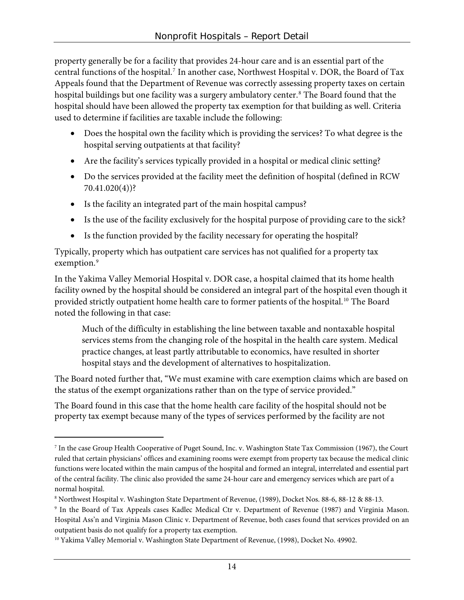property generally be for a facility that provides 24-hour care and is an essential part of the central functions of the hospital.[7](#page-17-0) In another case, Northwest Hospital v. DOR, the Board of Tax Appeals found that the Department of Revenue was correctly assessing property taxes on certain hospital buildings but one facility was a surgery ambulatory center.[8](#page-17-1) The Board found that the hospital should have been allowed the property tax exemption for that building as well. Criteria used to determine if facilities are taxable include the following:

- Does the hospital own the facility which is providing the services? To what degree is the hospital serving outpatients at that facility?
- Are the facility's services typically provided in a hospital or medical clinic setting?
- Do the services provided at the facility meet the definition of hospital (defined in RCW 70.41.020(4))?
- Is the facility an integrated part of the main hospital campus?
- Is the use of the facility exclusively for the hospital purpose of providing care to the sick?
- Is the function provided by the facility necessary for operating the hospital?

Typically, property which has outpatient care services has not qualified for a property tax exemption.<sup>[9](#page-17-2)</sup>

In the Yakima Valley Memorial Hospital v. DOR case, a hospital claimed that its home health facility owned by the hospital should be considered an integral part of the hospital even though it provided strictly outpatient home health care to former patients of the hospital.<sup>[10](#page-17-3)</sup> The Board noted the following in that case:

Much of the difficulty in establishing the line between taxable and nontaxable hospital services stems from the changing role of the hospital in the health care system. Medical practice changes, at least partly attributable to economics, have resulted in shorter hospital stays and the development of alternatives to hospitalization.

The Board noted further that, "We must examine with care exemption claims which are based on the status of the exempt organizations rather than on the type of service provided."

The Board found in this case that the home health care facility of the hospital should not be property tax exempt because many of the types of services performed by the facility are not

-

<span id="page-17-0"></span><sup>7</sup> In the case Group Health Cooperative of Puget Sound, Inc. v. Washington State Tax Commission (1967), the Court ruled that certain physicians' offices and examining rooms were exempt from property tax because the medical clinic functions were located within the main campus of the hospital and formed an integral, interrelated and essential part of the central facility. The clinic also provided the same 24-hour care and emergency services which are part of a normal hospital.

<span id="page-17-1"></span><sup>&</sup>lt;sup>8</sup> Northwest Hospital v. Washington State Department of Revenue, (1989), Docket Nos. 88-6, 88-12 & 88-13.

<span id="page-17-2"></span><sup>9</sup> In the Board of Tax Appeals cases Kadlec Medical Ctr v. Department of Revenue (1987) and Virginia Mason. Hospital Ass'n and Virginia Mason Clinic v. Department of Revenue, both cases found that services provided on an outpatient basis do not qualify for a property tax exemption.

<span id="page-17-3"></span><sup>&</sup>lt;sup>10</sup> Yakima Valley Memorial v. Washington State Department of Revenue, (1998), Docket No. 49902.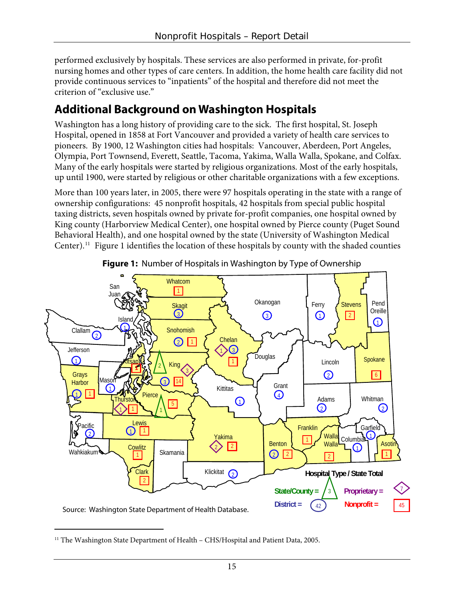performed exclusively by hospitals. These services are also performed in private, for-profit nursing homes and other types of care centers. In addition, the home health care facility did not provide continuous services to "inpatients" of the hospital and therefore did not meet the criterion of "exclusive use."

## **Additional Background on Washington Hospitals**

Washington has a long history of providing care to the sick. The first hospital, St. Joseph Hospital, opened in 1858 at Fort Vancouver and provided a variety of health care services to pioneers. By 1900, 12 Washington cities had hospitals: Vancouver, Aberdeen, Port Angeles, Olympia, Port Townsend, Everett, Seattle, Tacoma, Yakima, Walla Walla, Spokane, and Colfax. Many of the early hospitals were started by religious organizations. Most of the early hospitals, up until 1900, were started by religious or other charitable organizations with a few exceptions.

More than 100 years later, in 2005, there were 97 hospitals operating in the state with a range of ownership configurations: 45 nonprofit hospitals, 42 hospitals from special public hospital taxing districts, seven hospitals owned by private for-profit companies, one hospital owned by King county (Harborview Medical Center), one hospital owned by Pierce county (Puget Sound Behavioral Health), and one hospital owned by the state (University of Washington Medical Center).<sup>[11](#page-18-0)</sup> Figure 1 identifies the location of these hospitals by county with the shaded counties





 $\overline{a}$ 

<span id="page-18-0"></span><sup>&</sup>lt;sup>11</sup> The Washington State Department of Health – CHS/Hospital and Patient Data, 2005.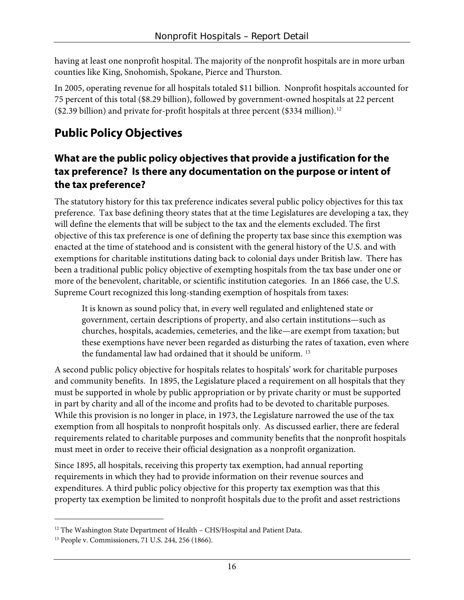having at least one nonprofit hospital. The majority of the nonprofit hospitals are in more urban counties like King, Snohomish, Spokane, Pierce and Thurston.

In 2005, operating revenue for all hospitals totaled \$11 billion. Nonprofit hospitals accounted for 75 percent of this total (\$8.29 billion), followed by government-owned hospitals at 22 percent (\$2.39 billion) and private for-profit hospitals at three percent (\$334 million).[12](#page-19-0)

## **Public Policy Objectives**

#### **What are the public policy objectives that provide a justification for the tax preference? Is there any documentation on the purpose or intent of the tax preference?**

The statutory history for this tax preference indicates several public policy objectives for this tax preference. Tax base defining theory states that at the time Legislatures are developing a tax, they will define the elements that will be subject to the tax and the elements excluded. The first objective of this tax preference is one of defining the property tax base since this exemption was enacted at the time of statehood and is consistent with the general history of the U.S. and with exemptions for charitable institutions dating back to colonial days under British law. There has been a traditional public policy objective of exempting hospitals from the tax base under one or more of the benevolent, charitable, or scientific institution categories. In an 1866 case, the U.S. Supreme Court recognized this long-standing exemption of hospitals from taxes:

It is known as sound policy that, in every well regulated and enlightened state or government, certain descriptions of property, and also certain institutions—such as churches, hospitals, academies, cemeteries, and the like—are exempt from taxation; but these exemptions have never been regarded as disturbing the rates of taxation, even where the fundamental law had ordained that it should be uniform.<sup>[13](#page-19-1)</sup>

A second public policy objective for hospitals relates to hospitals' work for charitable purposes and community benefits. In 1895, the Legislature placed a requirement on all hospitals that they must be supported in whole by public appropriation or by private charity or must be supported in part by charity and all of the income and profits had to be devoted to charitable purposes. While this provision is no longer in place, in 1973, the Legislature narrowed the use of the tax exemption from all hospitals to nonprofit hospitals only. As discussed earlier, there are federal requirements related to charitable purposes and community benefits that the nonprofit hospitals must meet in order to receive their official designation as a nonprofit organization.

Since 1895, all hospitals, receiving this property tax exemption, had annual reporting requirements in which they had to provide information on their revenue sources and expenditures. A third public policy objective for this property tax exemption was that this property tax exemption be limited to nonprofit hospitals due to the profit and asset restrictions

 $\overline{a}$ 

<span id="page-19-0"></span> $^{12}$  The Washington State Department of Health – CHS/Hospital and Patient Data.  $^{13}$  People v. Commissioners, 71 U.S. 244, 256 (1866).

<span id="page-19-1"></span>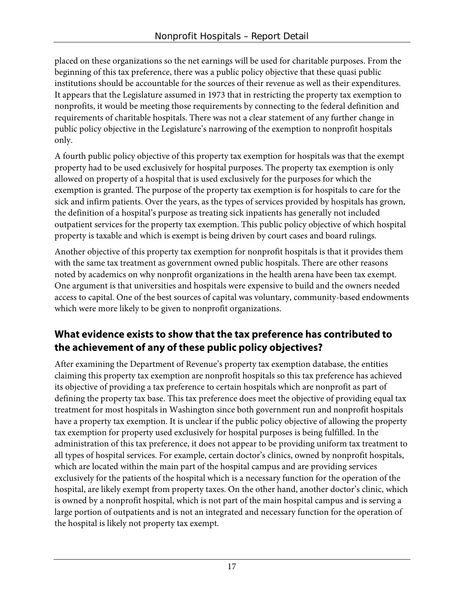placed on these organizations so the net earnings will be used for charitable purposes. From the beginning of this tax preference, there was a public policy objective that these quasi public institutions should be accountable for the sources of their revenue as well as their expenditures. It appears that the Legislature assumed in 1973 that in restricting the property tax exemption to nonprofits, it would be meeting those requirements by connecting to the federal definition and requirements of charitable hospitals. There was not a clear statement of any further change in public policy objective in the Legislature's narrowing of the exemption to nonprofit hospitals only.

A fourth public policy objective of this property tax exemption for hospitals was that the exempt property had to be used exclusively for hospital purposes. The property tax exemption is only allowed on property of a hospital that is used exclusively for the purposes for which the exemption is granted. The purpose of the property tax exemption is for hospitals to care for the sick and infirm patients. Over the years, as the types of services provided by hospitals has grown, the definition of a hospital's purpose as treating sick inpatients has generally not included outpatient services for the property tax exemption. This public policy objective of which hospital property is taxable and which is exempt is being driven by court cases and board rulings.

Another objective of this property tax exemption for nonprofit hospitals is that it provides them with the same tax treatment as government owned public hospitals. There are other reasons noted by academics on why nonprofit organizations in the health arena have been tax exempt. One argument is that universities and hospitals were expensive to build and the owners needed access to capital. One of the best sources of capital was voluntary, community-based endowments which were more likely to be given to nonprofit organizations.

## **What evidence exists to show that the tax preference has contributed to the achievement of any of these public policy objectives?**

After examining the Department of Revenue's property tax exemption database, the entities claiming this property tax exemption are nonprofit hospitals so this tax preference has achieved its objective of providing a tax preference to certain hospitals which are nonprofit as part of defining the property tax base. This tax preference does meet the objective of providing equal tax treatment for most hospitals in Washington since both government run and nonprofit hospitals have a property tax exemption. It is unclear if the public policy objective of allowing the property tax exemption for property used exclusively for hospital purposes is being fulfilled. In the administration of this tax preference, it does not appear to be providing uniform tax treatment to all types of hospital services. For example, certain doctor's clinics, owned by nonprofit hospitals, which are located within the main part of the hospital campus and are providing services exclusively for the patients of the hospital which is a necessary function for the operation of the hospital, are likely exempt from property taxes. On the other hand, another doctor's clinic, which is owned by a nonprofit hospital, which is not part of the main hospital campus and is serving a large portion of outpatients and is not an integrated and necessary function for the operation of the hospital is likely not property tax exempt.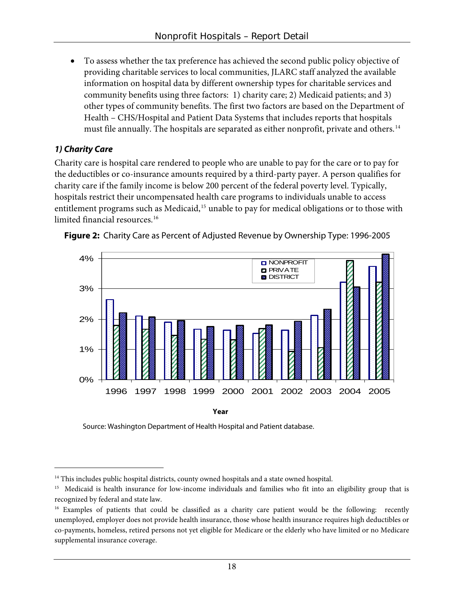• To assess whether the tax preference has achieved the second public policy objective of providing charitable services to local communities, JLARC staff analyzed the available information on hospital data by different ownership types for charitable services and community benefits using three factors: 1) charity care; 2) Medicaid patients; and 3) other types of community benefits. The first two factors are based on the Department of Health – CHS/Hospital and Patient Data Systems that includes reports that hospitals must file annually. The hospitals are separated as either nonprofit, private and others.<sup>[14](#page-21-0)</sup>

#### **1) Charity Care**

 $\overline{a}$ 

Charity care is hospital care rendered to people who are unable to pay for the care or to pay for the deductibles or co-insurance amounts required by a third-party payer. A person qualifies for charity care if the family income is below 200 percent of the federal poverty level. Typically, hospitals restrict their uncompensated health care programs to individuals unable to access entitlement programs such as Medicaid,<sup>[15](#page-21-1)</sup> unable to pay for medical obligations or to those with limited financial resources.<sup>[16](#page-21-2)</sup>





Source: Washington Department of Health Hospital and Patient database.

<span id="page-21-0"></span><sup>&</sup>lt;sup>14</sup> This includes public hospital districts, county owned hospitals and a state owned hospital.

<span id="page-21-1"></span><sup>&</sup>lt;sup>15</sup> Medicaid is health insurance for low-income individuals and families who fit into an eligibility group that is recognized by federal and state law.

<span id="page-21-2"></span><sup>&</sup>lt;sup>16</sup> Examples of patients that could be classified as a charity care patient would be the following: recently unemployed, employer does not provide health insurance, those whose health insurance requires high deductibles or co-payments, homeless, retired persons not yet eligible for Medicare or the elderly who have limited or no Medicare supplemental insurance coverage.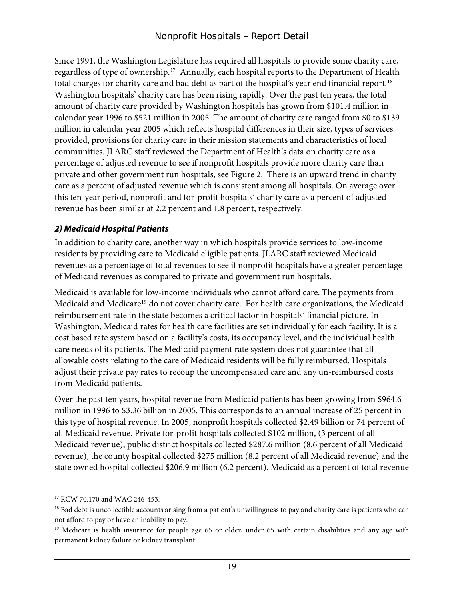Since 1991, the Washington Legislature has required all hospitals to provide some charity care, regardless of type of ownership.<sup>[17](#page-22-0)</sup> Annually, each hospital reports to the Department of Health total charges for charity care and bad debt as part of the hospital's year end financial report.<sup>[18](#page-22-1)</sup> Washington hospitals' charity care has been rising rapidly. Over the past ten years, the total amount of charity care provided by Washington hospitals has grown from \$101.4 million in calendar year 1996 to \$521 million in 2005. The amount of charity care ranged from \$0 to \$139 million in calendar year 2005 which reflects hospital differences in their size, types of services provided, provisions for charity care in their mission statements and characteristics of local communities. JLARC staff reviewed the Department of Health's data on charity care as a percentage of adjusted revenue to see if nonprofit hospitals provide more charity care than private and other government run hospitals, see Figure 2. There is an upward trend in charity care as a percent of adjusted revenue which is consistent among all hospitals. On average over this ten-year period, nonprofit and for-profit hospitals' charity care as a percent of adjusted revenue has been similar at 2.2 percent and 1.8 percent, respectively.

#### **2) Medicaid Hospital Patients**

In addition to charity care, another way in which hospitals provide services to low-income residents by providing care to Medicaid eligible patients. JLARC staff reviewed Medicaid revenues as a percentage of total revenues to see if nonprofit hospitals have a greater percentage of Medicaid revenues as compared to private and government run hospitals.

Medicaid is available for low-income individuals who cannot afford care. The payments from Medicaid and Medicare<sup>[19](#page-22-2)</sup> do not cover charity care. For health care organizations, the Medicaid reimbursement rate in the state becomes a critical factor in hospitals' financial picture. In Washington, Medicaid rates for health care facilities are set individually for each facility. It is a cost based rate system based on a facility's costs, its occupancy level, and the individual health care needs of its patients. The Medicaid payment rate system does not guarantee that all allowable costs relating to the care of Medicaid residents will be fully reimbursed. Hospitals adjust their private pay rates to recoup the uncompensated care and any un-reimbursed costs from Medicaid patients.

Over the past ten years, hospital revenue from Medicaid patients has been growing from \$964.6 million in 1996 to \$3.36 billion in 2005. This corresponds to an annual increase of 25 percent in this type of hospital revenue. In 2005, nonprofit hospitals collected \$2.49 billion or 74 percent of all Medicaid revenue. Private for-profit hospitals collected \$102 million, (3 percent of all Medicaid revenue), public district hospitals collected \$287.6 million (8.6 percent of all Medicaid revenue), the county hospital collected \$275 million (8.2 percent of all Medicaid revenue) and the state owned hospital collected \$206.9 million (6.2 percent). Medicaid as a percent of total revenue

 $\overline{a}$ 

<span id="page-22-0"></span><sup>&</sup>lt;sup>17</sup> RCW 70.170 and WAC 246-453.

<span id="page-22-1"></span><sup>&</sup>lt;sup>18</sup> Bad debt is uncollectible accounts arising from a patient's unwillingness to pay and charity care is patients who can not afford to pay or have an inability to pay.

<span id="page-22-2"></span><sup>&</sup>lt;sup>19</sup> Medicare is health insurance for people age 65 or older, under 65 with certain disabilities and any age with permanent kidney failure or kidney transplant.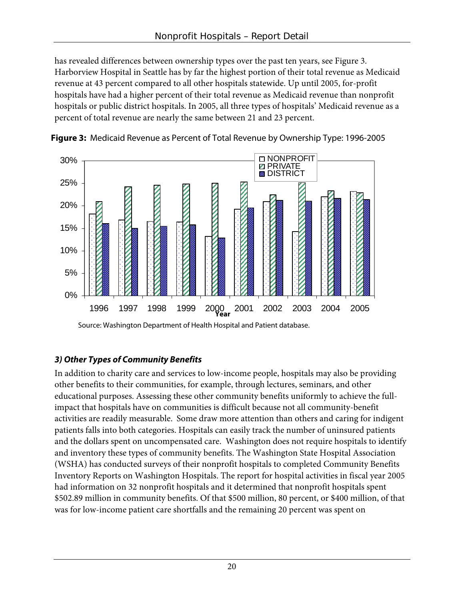has revealed differences between ownership types over the past ten years, see Figure 3. Harborview Hospital in Seattle has by far the highest portion of their total revenue as Medicaid revenue at 43 percent compared to all other hospitals statewide. Up until 2005, for-profit hospitals have had a higher percent of their total revenue as Medicaid revenue than nonprofit hospitals or public district hospitals. In 2005, all three types of hospitals' Medicaid revenue as a percent of total revenue are nearly the same between 21 and 23 percent.





#### **3) Other Types of Community Benefits**

In addition to charity care and services to low-income people, hospitals may also be providing other benefits to their communities, for example, through lectures, seminars, and other educational purposes. Assessing these other community benefits uniformly to achieve the fullimpact that hospitals have on communities is difficult because not all community-benefit activities are readily measurable. Some draw more attention than others and caring for indigent patients falls into both categories. Hospitals can easily track the number of uninsured patients and the dollars spent on uncompensated care. Washington does not require hospitals to identify and inventory these types of community benefits. The Washington State Hospital Association (WSHA) has conducted surveys of their nonprofit hospitals to completed Community Benefits Inventory Reports on Washington Hospitals. The report for hospital activities in fiscal year 2005 had information on 32 nonprofit hospitals and it determined that nonprofit hospitals spent \$502.89 million in community benefits. Of that \$500 million, 80 percent, or \$400 million, of that was for low-income patient care shortfalls and the remaining 20 percent was spent on

Source: Washington Department of Health Hospital and Patient database.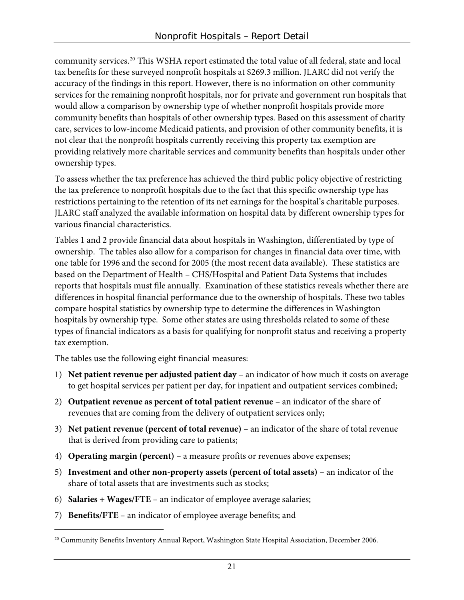community services.[20](#page-24-0) This WSHA report estimated the total value of all federal, state and local tax benefits for these surveyed nonprofit hospitals at \$269.3 million. JLARC did not verify the accuracy of the findings in this report. However, there is no information on other community services for the remaining nonprofit hospitals, nor for private and government run hospitals that would allow a comparison by ownership type of whether nonprofit hospitals provide more community benefits than hospitals of other ownership types. Based on this assessment of charity care, services to low-income Medicaid patients, and provision of other community benefits, it is not clear that the nonprofit hospitals currently receiving this property tax exemption are providing relatively more charitable services and community benefits than hospitals under other ownership types.

To assess whether the tax preference has achieved the third public policy objective of restricting the tax preference to nonprofit hospitals due to the fact that this specific ownership type has restrictions pertaining to the retention of its net earnings for the hospital's charitable purposes. JLARC staff analyzed the available information on hospital data by different ownership types for various financial characteristics.

Tables 1 and 2 provide financial data about hospitals in Washington, differentiated by type of ownership. The tables also allow for a comparison for changes in financial data over time, with one table for 1996 and the second for 2005 (the most recent data available). These statistics are based on the Department of Health – CHS/Hospital and Patient Data Systems that includes reports that hospitals must file annually. Examination of these statistics reveals whether there are differences in hospital financial performance due to the ownership of hospitals. These two tables compare hospital statistics by ownership type to determine the differences in Washington hospitals by ownership type. Some other states are using thresholds related to some of these types of financial indicators as a basis for qualifying for nonprofit status and receiving a property tax exemption.

The tables use the following eight financial measures:

- 1) **Net patient revenue per adjusted patient day** an indicator of how much it costs on average to get hospital services per patient per day, for inpatient and outpatient services combined;
- 2) **Outpatient revenue as percent of total patient revenue** an indicator of the share of revenues that are coming from the delivery of outpatient services only;
- 3) **Net patient revenue (percent of total revenue)** an indicator of the share of total revenue that is derived from providing care to patients;
- 4) **Operating margin (percent)** a measure profits or revenues above expenses;
- 5) **Investment and other non-property assets (percent of total assets)** an indicator of the share of total assets that are investments such as stocks;
- 6) **Salaries + Wages/FTE** an indicator of employee average salaries;
- 7) **Benefits/FTE**  an indicator of employee average benefits; and

 $\overline{a}$ 

<span id="page-24-0"></span><sup>&</sup>lt;sup>20</sup> Community Benefits Inventory Annual Report, Washington State Hospital Association, December 2006.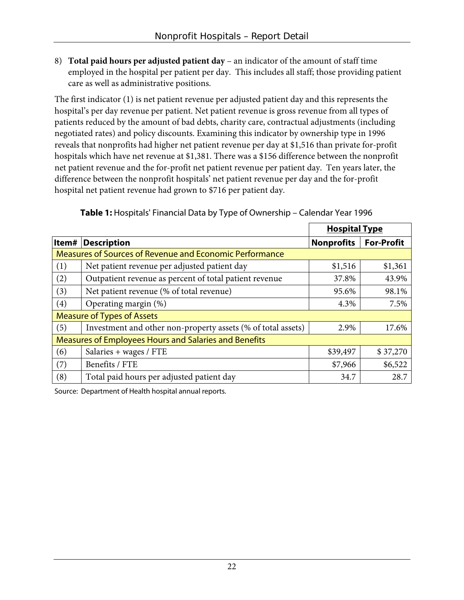8) **Total paid hours per adjusted patient day** – an indicator of the amount of staff time employed in the hospital per patient per day. This includes all staff; those providing patient care as well as administrative positions.

The first indicator (1) is net patient revenue per adjusted patient day and this represents the hospital's per day revenue per patient. Net patient revenue is gross revenue from all types of patients reduced by the amount of bad debts, charity care, contractual adjustments (including negotiated rates) and policy discounts. Examining this indicator by ownership type in 1996 reveals that nonprofits had higher net patient revenue per day at \$1,516 than private for-profit hospitals which have net revenue at \$1,381. There was a \$156 difference between the nonprofit net patient revenue and the for-profit net patient revenue per patient day. Ten years later, the difference between the nonprofit hospitals' net patient revenue per day and the for-profit hospital net patient revenue had grown to \$716 per patient day.

|                                                       |                                                              | <b>Hospital Type</b> |                   |  |  |
|-------------------------------------------------------|--------------------------------------------------------------|----------------------|-------------------|--|--|
|                                                       | <b>Item# Description</b>                                     | <b>Nonprofits</b>    | <b>For-Profit</b> |  |  |
|                                                       | Measures of Sources of Revenue and Economic Performance      |                      |                   |  |  |
| (1)                                                   | Net patient revenue per adjusted patient day                 | \$1,516              | \$1,361           |  |  |
| (2)                                                   | Outpatient revenue as percent of total patient revenue       | 37.8%                | 43.9%             |  |  |
| (3)                                                   | Net patient revenue (% of total revenue)                     | 95.6%                | 98.1%             |  |  |
| (4)                                                   | Operating margin (%)                                         | 4.3%                 | 7.5%              |  |  |
|                                                       | <b>Measure of Types of Assets</b>                            |                      |                   |  |  |
| (5)                                                   | Investment and other non-property assets (% of total assets) | 2.9%                 | 17.6%             |  |  |
| Measures of Employees Hours and Salaries and Benefits |                                                              |                      |                   |  |  |
| (6)                                                   | Salaries + wages / FTE                                       | \$39,497             | \$37,270          |  |  |
| (7)                                                   | Benefits / FTE                                               | \$7,966              | \$6,522           |  |  |
| (8)                                                   | Total paid hours per adjusted patient day                    | 34.7                 | 28.7              |  |  |

**Table 1:** Hospitals' Financial Data by Type of Ownership – Calendar Year 1996

Source: Department of Health hospital annual reports.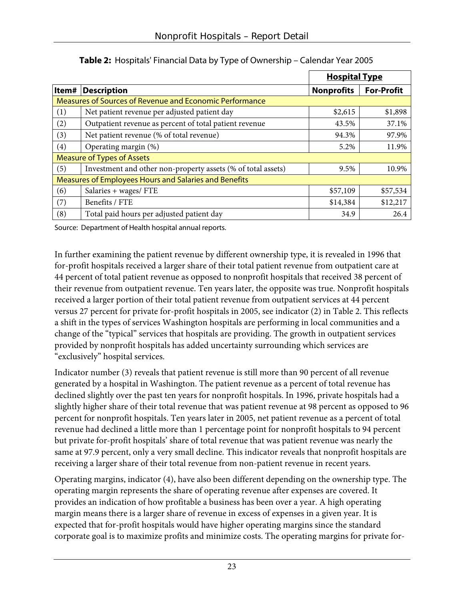|     |                                                              | <b>Hospital Type</b> |                   |  |  |
|-----|--------------------------------------------------------------|----------------------|-------------------|--|--|
|     | <b>Item# Description</b>                                     | <b>Nonprofits</b>    | <b>For-Profit</b> |  |  |
|     | Measures of Sources of Revenue and Economic Performance      |                      |                   |  |  |
| (1) | Net patient revenue per adjusted patient day                 | \$2,615              | \$1,898           |  |  |
| (2) | Outpatient revenue as percent of total patient revenue       | 43.5%                | 37.1%             |  |  |
| (3) | Net patient revenue (% of total revenue)                     | 94.3%                | 97.9%             |  |  |
| (4) | Operating margin (%)                                         | 5.2%                 | 11.9%             |  |  |
|     | <b>Measure of Types of Assets</b>                            |                      |                   |  |  |
| (5) | Investment and other non-property assets (% of total assets) | 9.5%                 | 10.9%             |  |  |
|     | Measures of Employees Hours and Salaries and Benefits        |                      |                   |  |  |
| (6) | Salaries + wages/ FTE                                        | \$57,109             | \$57,534          |  |  |
| (7) | Benefits / FTE                                               | \$14,384             | \$12,217          |  |  |
| (8) | Total paid hours per adjusted patient day                    | 34.9                 | 26.4              |  |  |

**Table 2:** Hospitals' Financial Data by Type of Ownership – Calendar Year 2005

Source: Department of Health hospital annual reports.

In further examining the patient revenue by different ownership type, it is revealed in 1996 that for-profit hospitals received a larger share of their total patient revenue from outpatient care at 44 percent of total patient revenue as opposed to nonprofit hospitals that received 38 percent of their revenue from outpatient revenue. Ten years later, the opposite was true. Nonprofit hospitals received a larger portion of their total patient revenue from outpatient services at 44 percent versus 27 percent for private for-profit hospitals in 2005, see indicator (2) in Table 2. This reflects a shift in the types of services Washington hospitals are performing in local communities and a change of the "typical" services that hospitals are providing. The growth in outpatient services provided by nonprofit hospitals has added uncertainty surrounding which services are "exclusively" hospital services.

Indicator number (3) reveals that patient revenue is still more than 90 percent of all revenue generated by a hospital in Washington. The patient revenue as a percent of total revenue has declined slightly over the past ten years for nonprofit hospitals. In 1996, private hospitals had a slightly higher share of their total revenue that was patient revenue at 98 percent as opposed to 96 percent for nonprofit hospitals. Ten years later in 2005, net patient revenue as a percent of total revenue had declined a little more than 1 percentage point for nonprofit hospitals to 94 percent but private for-profit hospitals' share of total revenue that was patient revenue was nearly the same at 97.9 percent, only a very small decline. This indicator reveals that nonprofit hospitals are receiving a larger share of their total revenue from non-patient revenue in recent years.

Operating margins, indicator (4), have also been different depending on the ownership type. The operating margin represents the share of operating revenue after expenses are covered. It provides an indication of how profitable a business has been over a year. A high operating margin means there is a larger share of revenue in excess of expenses in a given year. It is expected that for-profit hospitals would have higher operating margins since the standard corporate goal is to maximize profits and minimize costs. The operating margins for private for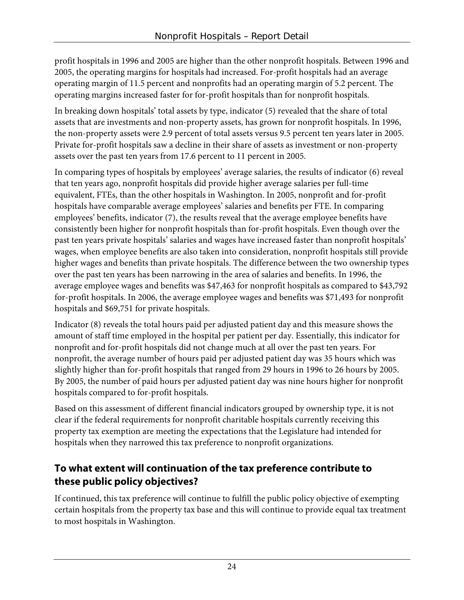profit hospitals in 1996 and 2005 are higher than the other nonprofit hospitals. Between 1996 and 2005, the operating margins for hospitals had increased. For-profit hospitals had an average operating margin of 11.5 percent and nonprofits had an operating margin of 5.2 percent. The operating margins increased faster for for-profit hospitals than for nonprofit hospitals.

In breaking down hospitals' total assets by type, indicator (5) revealed that the share of total assets that are investments and non-property assets, has grown for nonprofit hospitals. In 1996, the non-property assets were 2.9 percent of total assets versus 9.5 percent ten years later in 2005. Private for-profit hospitals saw a decline in their share of assets as investment or non-property assets over the past ten years from 17.6 percent to 11 percent in 2005.

In comparing types of hospitals by employees' average salaries, the results of indicator (6) reveal that ten years ago, nonprofit hospitals did provide higher average salaries per full-time equivalent, FTEs, than the other hospitals in Washington. In 2005, nonprofit and for-profit hospitals have comparable average employees' salaries and benefits per FTE. In comparing employees' benefits, indicator (7), the results reveal that the average employee benefits have consistently been higher for nonprofit hospitals than for-profit hospitals. Even though over the past ten years private hospitals' salaries and wages have increased faster than nonprofit hospitals' wages, when employee benefits are also taken into consideration, nonprofit hospitals still provide higher wages and benefits than private hospitals. The difference between the two ownership types over the past ten years has been narrowing in the area of salaries and benefits. In 1996, the average employee wages and benefits was \$47,463 for nonprofit hospitals as compared to \$43,792 for-profit hospitals. In 2006, the average employee wages and benefits was \$71,493 for nonprofit hospitals and \$69,751 for private hospitals.

Indicator (8) reveals the total hours paid per adjusted patient day and this measure shows the amount of staff time employed in the hospital per patient per day. Essentially, this indicator for nonprofit and for-profit hospitals did not change much at all over the past ten years. For nonprofit, the average number of hours paid per adjusted patient day was 35 hours which was slightly higher than for-profit hospitals that ranged from 29 hours in 1996 to 26 hours by 2005. By 2005, the number of paid hours per adjusted patient day was nine hours higher for nonprofit hospitals compared to for-profit hospitals.

Based on this assessment of different financial indicators grouped by ownership type, it is not clear if the federal requirements for nonprofit charitable hospitals currently receiving this property tax exemption are meeting the expectations that the Legislature had intended for hospitals when they narrowed this tax preference to nonprofit organizations.

## **To what extent will continuation of the tax preference contribute to these public policy objectives?**

If continued, this tax preference will continue to fulfill the public policy objective of exempting certain hospitals from the property tax base and this will continue to provide equal tax treatment to most hospitals in Washington.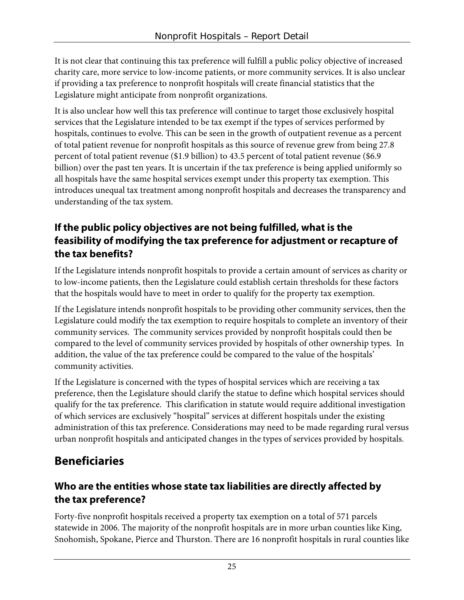It is not clear that continuing this tax preference will fulfill a public policy objective of increased charity care, more service to low-income patients, or more community services. It is also unclear if providing a tax preference to nonprofit hospitals will create financial statistics that the Legislature might anticipate from nonprofit organizations.

It is also unclear how well this tax preference will continue to target those exclusively hospital services that the Legislature intended to be tax exempt if the types of services performed by hospitals, continues to evolve. This can be seen in the growth of outpatient revenue as a percent of total patient revenue for nonprofit hospitals as this source of revenue grew from being 27.8 percent of total patient revenue (\$1.9 billion) to 43.5 percent of total patient revenue (\$6.9 billion) over the past ten years. It is uncertain if the tax preference is being applied uniformly so all hospitals have the same hospital services exempt under this property tax exemption. This introduces unequal tax treatment among nonprofit hospitals and decreases the transparency and understanding of the tax system.

## **If the public policy objectives are not being fulfilled, what is the feasibility of modifying the tax preference for adjustment or recapture of the tax benefits?**

If the Legislature intends nonprofit hospitals to provide a certain amount of services as charity or to low-income patients, then the Legislature could establish certain thresholds for these factors that the hospitals would have to meet in order to qualify for the property tax exemption.

If the Legislature intends nonprofit hospitals to be providing other community services, then the Legislature could modify the tax exemption to require hospitals to complete an inventory of their community services. The community services provided by nonprofit hospitals could then be compared to the level of community services provided by hospitals of other ownership types. In addition, the value of the tax preference could be compared to the value of the hospitals' community activities.

If the Legislature is concerned with the types of hospital services which are receiving a tax preference, then the Legislature should clarify the statue to define which hospital services should qualify for the tax preference. This clarification in statute would require additional investigation of which services are exclusively "hospital" services at different hospitals under the existing administration of this tax preference. Considerations may need to be made regarding rural versus urban nonprofit hospitals and anticipated changes in the types of services provided by hospitals.

## **Beneficiaries**

## **Who are the entities whose state tax liabilities are directly affected by the tax preference?**

Forty-five nonprofit hospitals received a property tax exemption on a total of 571 parcels statewide in 2006. The majority of the nonprofit hospitals are in more urban counties like King, Snohomish, Spokane, Pierce and Thurston. There are 16 nonprofit hospitals in rural counties like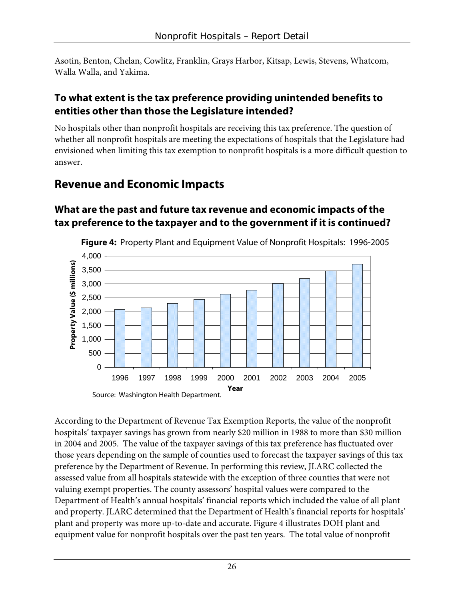Asotin, Benton, Chelan, Cowlitz, Franklin, Grays Harbor, Kitsap, Lewis, Stevens, Whatcom, Walla Walla, and Yakima.

### **To what extent is the tax preference providing unintended benefits to entities other than those the Legislature intended?**

No hospitals other than nonprofit hospitals are receiving this tax preference. The question of whether all nonprofit hospitals are meeting the expectations of hospitals that the Legislature had envisioned when limiting this tax exemption to nonprofit hospitals is a more difficult question to answer.

## **Revenue and Economic Impacts**

## **What are the past and future tax revenue and economic impacts of the tax preference to the taxpayer and to the government if it is continued?**



**Figure 4:** Property Plant and Equipment Value of Nonprofit Hospitals: 1996-2005

According to the Department of Revenue Tax Exemption Reports, the value of the nonprofit hospitals' taxpayer savings has grown from nearly \$20 million in 1988 to more than \$30 million in 2004 and 2005. The value of the taxpayer savings of this tax preference has fluctuated over those years depending on the sample of counties used to forecast the taxpayer savings of this tax preference by the Department of Revenue. In performing this review, JLARC collected the assessed value from all hospitals statewide with the exception of three counties that were not valuing exempt properties. The county assessors' hospital values were compared to the Department of Health's annual hospitals' financial reports which included the value of all plant and property. JLARC determined that the Department of Health's financial reports for hospitals' plant and property was more up-to-date and accurate. Figure 4 illustrates DOH plant and equipment value for nonprofit hospitals over the past ten years. The total value of nonprofit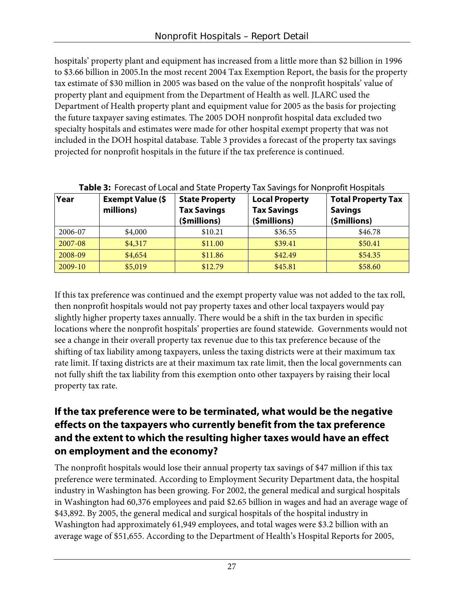hospitals' property plant and equipment has increased from a little more than \$2 billion in 1996 to \$3.66 billion in 2005.In the most recent 2004 Tax Exemption Report, the basis for the property tax estimate of \$30 million in 2005 was based on the value of the nonprofit hospitals' value of property plant and equipment from the Department of Health as well. JLARC used the Department of Health property plant and equipment value for 2005 as the basis for projecting the future taxpayer saving estimates. The 2005 DOH nonprofit hospital data excluded two specialty hospitals and estimates were made for other hospital exempt property that was not included in the DOH hospital database. Table 3 provides a forecast of the property tax savings projected for nonprofit hospitals in the future if the tax preference is continued.

| Year    | <b>Exempt Value (\$</b><br>millions) | <b>State Property</b><br><b>Tax Savings</b><br>(\$millions) | <b>Local Property</b><br><b>Tax Savings</b><br>(\$millions) | <b>Total Property Tax</b><br><b>Savings</b><br>(\$millions) |
|---------|--------------------------------------|-------------------------------------------------------------|-------------------------------------------------------------|-------------------------------------------------------------|
| 2006-07 | \$4,000                              | \$10.21                                                     | \$36.55                                                     | \$46.78                                                     |
| 2007-08 | \$4,317                              | \$11.00                                                     | \$39.41                                                     | \$50.41                                                     |
| 2008-09 | \$4,654                              | \$11.86                                                     | \$42.49                                                     | \$54.35                                                     |
| 2009-10 | \$5,019                              | \$12.79                                                     | \$45.81                                                     | \$58.60                                                     |

#### **Table 3:** Forecast of Local and State Property Tax Savings for Nonprofit Hospitals

If this tax preference was continued and the exempt property value was not added to the tax roll, then nonprofit hospitals would not pay property taxes and other local taxpayers would pay slightly higher property taxes annually. There would be a shift in the tax burden in specific locations where the nonprofit hospitals' properties are found statewide. Governments would not see a change in their overall property tax revenue due to this tax preference because of the shifting of tax liability among taxpayers, unless the taxing districts were at their maximum tax rate limit. If taxing districts are at their maximum tax rate limit, then the local governments can not fully shift the tax liability from this exemption onto other taxpayers by raising their local property tax rate.

### **If the tax preference were to be terminated, what would be the negative effects on the taxpayers who currently benefit from the tax preference and the extent to which the resulting higher taxes would have an effect on employment and the economy?**

The nonprofit hospitals would lose their annual property tax savings of \$47 million if this tax preference were terminated. According to Employment Security Department data, the hospital industry in Washington has been growing. For 2002, the general medical and surgical hospitals in Washington had 60,376 employees and paid \$2.65 billion in wages and had an average wage of \$43,892. By 2005, the general medical and surgical hospitals of the hospital industry in Washington had approximately 61,949 employees, and total wages were \$3.2 billion with an average wage of \$51,655. According to the Department of Health's Hospital Reports for 2005,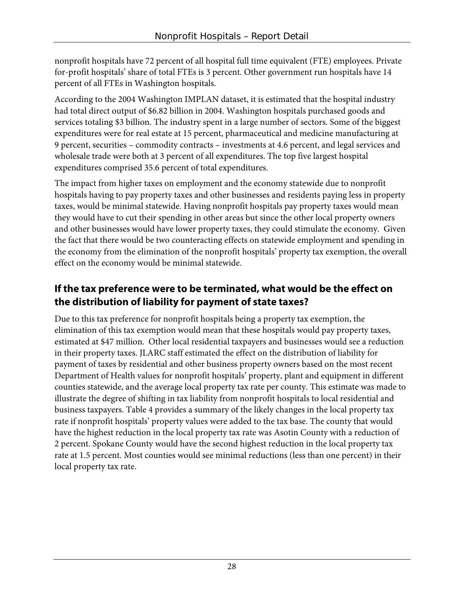nonprofit hospitals have 72 percent of all hospital full time equivalent (FTE) employees. Private for-profit hospitals' share of total FTEs is 3 percent. Other government run hospitals have 14 percent of all FTEs in Washington hospitals.

According to the 2004 Washington IMPLAN dataset, it is estimated that the hospital industry had total direct output of \$6.82 billion in 2004. Washington hospitals purchased goods and services totaling \$3 billion. The industry spent in a large number of sectors. Some of the biggest expenditures were for real estate at 15 percent, pharmaceutical and medicine manufacturing at 9 percent, securities – commodity contracts – investments at 4.6 percent, and legal services and wholesale trade were both at 3 percent of all expenditures. The top five largest hospital expenditures comprised 35.6 percent of total expenditures.

The impact from higher taxes on employment and the economy statewide due to nonprofit hospitals having to pay property taxes and other businesses and residents paying less in property taxes, would be minimal statewide. Having nonprofit hospitals pay property taxes would mean they would have to cut their spending in other areas but since the other local property owners and other businesses would have lower property taxes, they could stimulate the economy. Given the fact that there would be two counteracting effects on statewide employment and spending in the economy from the elimination of the nonprofit hospitals' property tax exemption, the overall effect on the economy would be minimal statewide.

### **If the tax preference were to be terminated, what would be the effect on the distribution of liability for payment of state taxes?**

Due to this tax preference for nonprofit hospitals being a property tax exemption, the elimination of this tax exemption would mean that these hospitals would pay property taxes, estimated at \$47 million. Other local residential taxpayers and businesses would see a reduction in their property taxes. JLARC staff estimated the effect on the distribution of liability for payment of taxes by residential and other business property owners based on the most recent Department of Health values for nonprofit hospitals' property, plant and equipment in different counties statewide, and the average local property tax rate per county. This estimate was made to illustrate the degree of shifting in tax liability from nonprofit hospitals to local residential and business taxpayers. Table 4 provides a summary of the likely changes in the local property tax rate if nonprofit hospitals' property values were added to the tax base. The county that would have the highest reduction in the local property tax rate was Asotin County with a reduction of 2 percent. Spokane County would have the second highest reduction in the local property tax rate at 1.5 percent. Most counties would see minimal reductions (less than one percent) in their local property tax rate.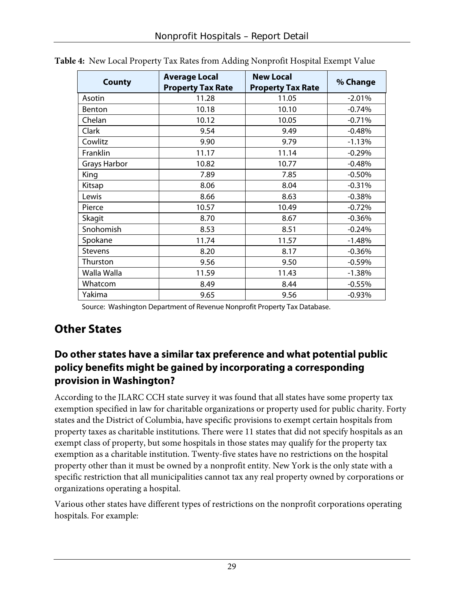| <b>County</b>       | <b>Average Local</b><br><b>Property Tax Rate</b> | <b>New Local</b><br><b>Property Tax Rate</b> | % Change |
|---------------------|--------------------------------------------------|----------------------------------------------|----------|
| Asotin              | 11.28                                            | 11.05                                        | $-2.01%$ |
| Benton              | 10.18                                            | 10.10                                        | $-0.74%$ |
| Chelan              | 10.12                                            | 10.05                                        | $-0.71%$ |
| Clark               | 9.54                                             | 9.49                                         | $-0.48%$ |
| Cowlitz             | 9.90                                             | 9.79                                         | $-1.13%$ |
| Franklin            | 11.17                                            | 11.14                                        | $-0.29%$ |
| <b>Grays Harbor</b> | 10.82                                            | 10.77                                        | $-0.48%$ |
| King                | 7.89                                             | 7.85                                         | $-0.50%$ |
| Kitsap              | 8.06                                             | 8.04                                         | $-0.31%$ |
| Lewis               | 8.66                                             | 8.63                                         | $-0.38%$ |
| Pierce              | 10.57                                            | 10.49                                        | $-0.72%$ |
| Skagit              | 8.70                                             | 8.67                                         | $-0.36%$ |
| Snohomish           | 8.53                                             | 8.51                                         | $-0.24%$ |
| Spokane             | 11.74                                            | 11.57                                        | $-1.48%$ |
| <b>Stevens</b>      | 8.20                                             | 8.17                                         | $-0.36%$ |
| Thurston            | 9.56                                             | 9.50                                         | $-0.59%$ |
| Walla Walla         | 11.59                                            | 11.43                                        | $-1.38%$ |
| Whatcom             | 8.49                                             | 8.44                                         | $-0.55%$ |
| Yakima              | 9.65                                             | 9.56                                         | $-0.93%$ |

**Table 4:** New Local Property Tax Rates from Adding Nonprofit Hospital Exempt Value

Source: Washington Department of Revenue Nonprofit Property Tax Database.

## **Other States**

#### **Do other states have a similar tax preference and what potential public policy benefits might be gained by incorporating a corresponding provision in Washington?**

According to the JLARC CCH state survey it was found that all states have some property tax exemption specified in law for charitable organizations or property used for public charity. Forty states and the District of Columbia, have specific provisions to exempt certain hospitals from property taxes as charitable institutions. There were 11 states that did not specify hospitals as an exempt class of property, but some hospitals in those states may qualify for the property tax exemption as a charitable institution. Twenty-five states have no restrictions on the hospital property other than it must be owned by a nonprofit entity. New York is the only state with a specific restriction that all municipalities cannot tax any real property owned by corporations or organizations operating a hospital.

Various other states have different types of restrictions on the nonprofit corporations operating hospitals. For example: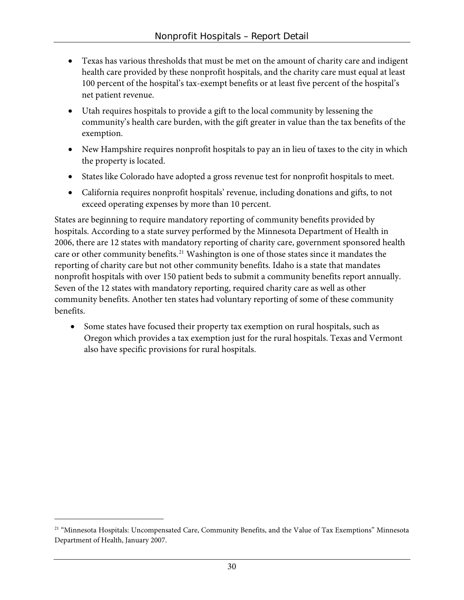- Texas has various thresholds that must be met on the amount of charity care and indigent health care provided by these nonprofit hospitals, and the charity care must equal at least 100 percent of the hospital's tax-exempt benefits or at least five percent of the hospital's net patient revenue.
- Utah requires hospitals to provide a gift to the local community by lessening the community's health care burden, with the gift greater in value than the tax benefits of the exemption.
- New Hampshire requires nonprofit hospitals to pay an in lieu of taxes to the city in which the property is located.
- States like Colorado have adopted a gross revenue test for nonprofit hospitals to meet.
- California requires nonprofit hospitals' revenue, including donations and gifts, to not exceed operating expenses by more than 10 percent.

States are beginning to require mandatory reporting of community benefits provided by hospitals. According to a state survey performed by the Minnesota Department of Health in 2006, there are 12 states with mandatory reporting of charity care, government sponsored health care or other community benefits.<sup>[21](#page-33-0)</sup> Washington is one of those states since it mandates the reporting of charity care but not other community benefits. Idaho is a state that mandates nonprofit hospitals with over 150 patient beds to submit a community benefits report annually. Seven of the 12 states with mandatory reporting, required charity care as well as other community benefits. Another ten states had voluntary reporting of some of these community benefits.

• Some states have focused their property tax exemption on rural hospitals, such as Oregon which provides a tax exemption just for the rural hospitals. Texas and Vermont also have specific provisions for rural hospitals.

 $\overline{a}$ 

<span id="page-33-0"></span><sup>&</sup>lt;sup>21</sup> "Minnesota Hospitals: Uncompensated Care, Community Benefits, and the Value of Tax Exemptions" Minnesota Department of Health, January 2007.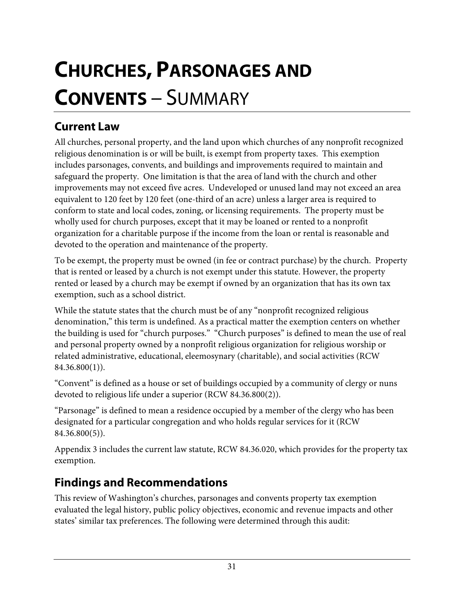# <span id="page-34-0"></span>**CHURCHES, PARSONAGES AND CONVENTS** – SUMMARY

## **Current Law**

All churches, personal property, and the land upon which churches of any nonprofit recognized religious denomination is or will be built, is exempt from property taxes. This exemption includes parsonages, convents, and buildings and improvements required to maintain and safeguard the property. One limitation is that the area of land with the church and other improvements may not exceed five acres. Undeveloped or unused land may not exceed an area equivalent to 120 feet by 120 feet (one-third of an acre) unless a larger area is required to conform to state and local codes, zoning, or licensing requirements. The property must be wholly used for church purposes, except that it may be loaned or rented to a nonprofit organization for a charitable purpose if the income from the loan or rental is reasonable and devoted to the operation and maintenance of the property.

To be exempt, the property must be owned (in fee or contract purchase) by the church. Property that is rented or leased by a church is not exempt under this statute. However, the property rented or leased by a church may be exempt if owned by an organization that has its own tax exemption, such as a school district.

While the statute states that the church must be of any "nonprofit recognized religious denomination," this term is undefined. As a practical matter the exemption centers on whether the building is used for "church purposes." "Church purposes" is defined to mean the use of real and personal property owned by a nonprofit religious organization for religious worship or related administrative, educational, eleemosynary (charitable), and social activities (RCW  $84.36.800(1)$ .

"Convent" is defined as a house or set of buildings occupied by a community of clergy or nuns devoted to religious life under a superior (RCW 84.36.800(2)).

"Parsonage" is defined to mean a residence occupied by a member of the clergy who has been designated for a particular congregation and who holds regular services for it (RCW 84.36.800(5)).

Appendix 3 includes the current law statute, RCW 84.36.020, which provides for the property tax exemption.

## **Findings and Recommendations**

This review of Washington's churches, parsonages and convents property tax exemption evaluated the legal history, public policy objectives, economic and revenue impacts and other states' similar tax preferences. The following were determined through this audit: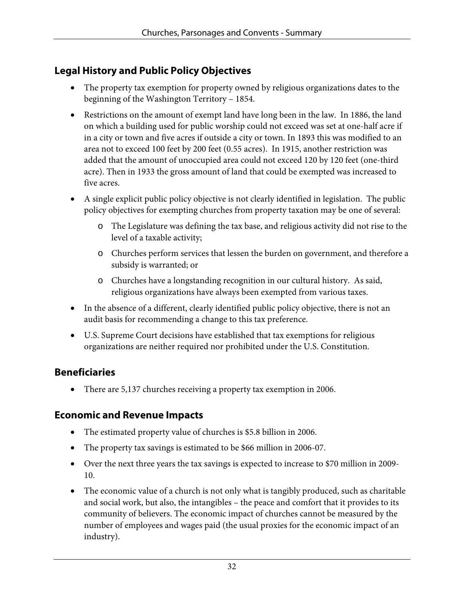## **Legal History and Public Policy Objectives**

- The property tax exemption for property owned by religious organizations dates to the beginning of the Washington Territory – 1854.
- Restrictions on the amount of exempt land have long been in the law. In 1886, the land on which a building used for public worship could not exceed was set at one-half acre if in a city or town and five acres if outside a city or town. In 1893 this was modified to an area not to exceed 100 feet by 200 feet (0.55 acres). In 1915, another restriction was added that the amount of unoccupied area could not exceed 120 by 120 feet (one-third acre). Then in 1933 the gross amount of land that could be exempted was increased to five acres.
- A single explicit public policy objective is not clearly identified in legislation. The public policy objectives for exempting churches from property taxation may be one of several:
	- o The Legislature was defining the tax base, and religious activity did not rise to the level of a taxable activity;
	- o Churches perform services that lessen the burden on government, and therefore a subsidy is warranted; or
	- o Churches have a longstanding recognition in our cultural history. As said, religious organizations have always been exempted from various taxes.
- In the absence of a different, clearly identified public policy objective, there is not an audit basis for recommending a change to this tax preference.
- U.S. Supreme Court decisions have established that tax exemptions for religious organizations are neither required nor prohibited under the U.S. Constitution.

#### **Beneficiaries**

• There are 5,137 churches receiving a property tax exemption in 2006.

#### **Economic and Revenue Impacts**

- The estimated property value of churches is \$5.8 billion in 2006.
- The property tax savings is estimated to be \$66 million in 2006-07.
- Over the next three years the tax savings is expected to increase to \$70 million in 2009- 10.
- The economic value of a church is not only what is tangibly produced, such as charitable and social work, but also, the intangibles – the peace and comfort that it provides to its community of believers. The economic impact of churches cannot be measured by the number of employees and wages paid (the usual proxies for the economic impact of an industry).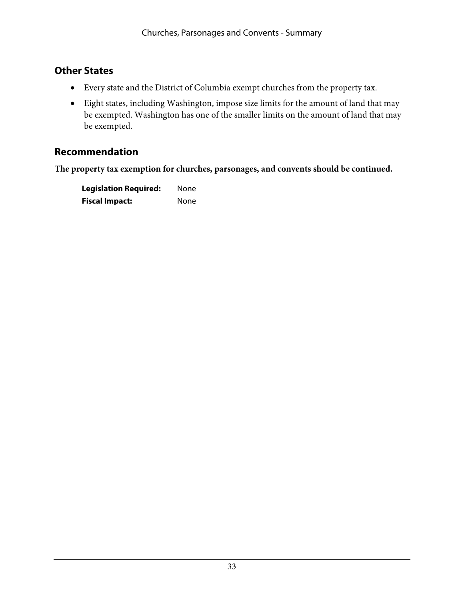#### **Other States**

- Every state and the District of Columbia exempt churches from the property tax.
- Eight states, including Washington, impose size limits for the amount of land that may be exempted. Washington has one of the smaller limits on the amount of land that may be exempted.

#### **Recommendation**

**The property tax exemption for churches, parsonages, and convents should be continued.** 

| <b>Legislation Required:</b> | None |
|------------------------------|------|
| <b>Fiscal Impact:</b>        | None |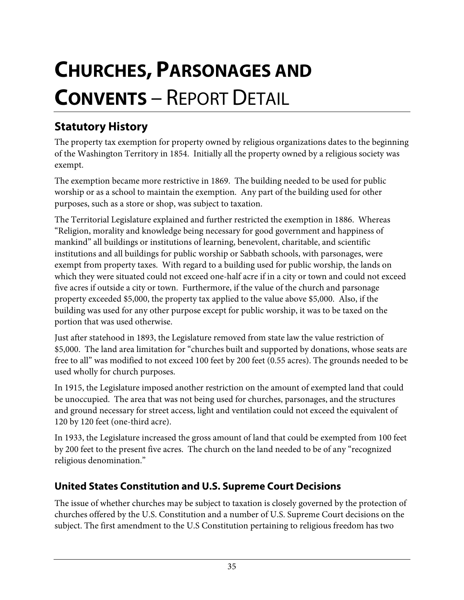# **CHURCHES, PARSONAGES AND CONVENTS** – REPORT DETAIL

# **Statutory History**

The property tax exemption for property owned by religious organizations dates to the beginning of the Washington Territory in 1854. Initially all the property owned by a religious society was exempt.

The exemption became more restrictive in 1869. The building needed to be used for public worship or as a school to maintain the exemption. Any part of the building used for other purposes, such as a store or shop, was subject to taxation.

The Territorial Legislature explained and further restricted the exemption in 1886. Whereas "Religion, morality and knowledge being necessary for good government and happiness of mankind" all buildings or institutions of learning, benevolent, charitable, and scientific institutions and all buildings for public worship or Sabbath schools, with parsonages, were exempt from property taxes. With regard to a building used for public worship, the lands on which they were situated could not exceed one-half acre if in a city or town and could not exceed five acres if outside a city or town. Furthermore, if the value of the church and parsonage property exceeded \$5,000, the property tax applied to the value above \$5,000. Also, if the building was used for any other purpose except for public worship, it was to be taxed on the portion that was used otherwise.

Just after statehood in 1893, the Legislature removed from state law the value restriction of \$5,000. The land area limitation for "churches built and supported by donations, whose seats are free to all" was modified to not exceed 100 feet by 200 feet (0.55 acres). The grounds needed to be used wholly for church purposes.

In 1915, the Legislature imposed another restriction on the amount of exempted land that could be unoccupied. The area that was not being used for churches, parsonages, and the structures and ground necessary for street access, light and ventilation could not exceed the equivalent of 120 by 120 feet (one-third acre).

In 1933, the Legislature increased the gross amount of land that could be exempted from 100 feet by 200 feet to the present five acres. The church on the land needed to be of any "recognized religious denomination."

## **United States Constitution and U.S. Supreme Court Decisions**

The issue of whether churches may be subject to taxation is closely governed by the protection of churches offered by the U.S. Constitution and a number of U.S. Supreme Court decisions on the subject. The first amendment to the U.S Constitution pertaining to religious freedom has two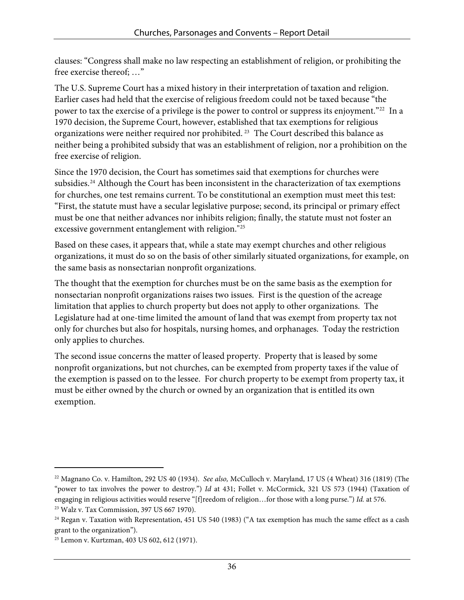clauses: "Congress shall make no law respecting an establishment of religion, or prohibiting the free exercise thereof; …"

The U.S. Supreme Court has a mixed history in their interpretation of taxation and religion. Earlier cases had held that the exercise of religious freedom could not be taxed because "the power to tax the exercise of a privilege is the power to control or suppress its enjoyment."[22](#page-39-0) In a 1970 decision, the Supreme Court, however, established that tax exemptions for religious organizations were neither required nor prohibited. [23](#page-39-1) The Court described this balance as neither being a prohibited subsidy that was an establishment of religion, nor a prohibition on the free exercise of religion.

Since the 1970 decision, the Court has sometimes said that exemptions for churches were subsidies.<sup>[24](#page-39-2)</sup> Although the Court has been inconsistent in the characterization of tax exemptions for churches, one test remains current. To be constitutional an exemption must meet this test: "First, the statute must have a secular legislative purpose; second, its principal or primary effect must be one that neither advances nor inhibits religion; finally, the statute must not foster an excessive government entanglement with religion."[25](#page-39-3)

Based on these cases, it appears that, while a state may exempt churches and other religious organizations, it must do so on the basis of other similarly situated organizations, for example, on the same basis as nonsectarian nonprofit organizations.

The thought that the exemption for churches must be on the same basis as the exemption for nonsectarian nonprofit organizations raises two issues. First is the question of the acreage limitation that applies to church property but does not apply to other organizations. The Legislature had at one-time limited the amount of land that was exempt from property tax not only for churches but also for hospitals, nursing homes, and orphanages. Today the restriction only applies to churches.

The second issue concerns the matter of leased property. Property that is leased by some nonprofit organizations, but not churches, can be exempted from property taxes if the value of the exemption is passed on to the lessee. For church property to be exempt from property tax, it must be either owned by the church or owned by an organization that is entitled its own exemption.

 $\overline{a}$ 

<span id="page-39-0"></span><sup>22</sup> Magnano Co. v. Hamilton, 292 US 40 (1934). *See also,* McCulloch v. Maryland, 17 US (4 Wheat) 316 (1819) (The "power to tax involves the power to destroy.") *Id* at 431; Follet v. McCormick, 321 US 573 (1944) (Taxation of engaging in religious activities would reserve "[f]reedom of religion…for those with a long purse.") *Id.* at 576. 23 Walz v. Tax Commission, 397 US 667 1970).

<span id="page-39-2"></span><span id="page-39-1"></span><sup>&</sup>lt;sup>24</sup> Regan v. Taxation with Representation, 451 US 540 (1983) ("A tax exemption has much the same effect as a cash grant to the organization").

<span id="page-39-3"></span><sup>25</sup> Lemon v. Kurtzman, 403 US 602, 612 (1971).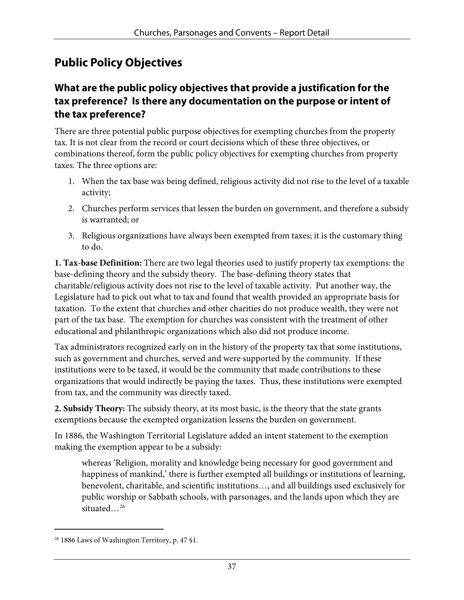## **Public Policy Objectives**

#### **What are the public policy objectives that provide a justification for the tax preference? Is there any documentation on the purpose or intent of the tax preference?**

There are three potential public purpose objectives for exempting churches from the property tax. It is not clear from the record or court decisions which of these three objectives, or combinations thereof, form the public policy objectives for exempting churches from property taxes. The three options are:

- 1. When the tax base was being defined, religious activity did not rise to the level of a taxable activity;
- 2. Churches perform services that lessen the burden on government, and therefore a subsidy is warranted; or
- 3. Religious organizations have always been exempted from taxes; it is the customary thing to do.

**1. Tax-base Definition:** There are two legal theories used to justify property tax exemptions: the base-defining theory and the subsidy theory. The base-defining theory states that charitable/religious activity does not rise to the level of taxable activity. Put another way, the Legislature had to pick out what to tax and found that wealth provided an appropriate basis for taxation. To the extent that churches and other charities do not produce wealth, they were not part of the tax base. The exemption for churches was consistent with the treatment of other educational and philanthropic organizations which also did not produce income.

Tax administrators recognized early on in the history of the property tax that some institutions, such as government and churches, served and were supported by the community. If these institutions were to be taxed, it would be the community that made contributions to these organizations that would indirectly be paying the taxes. Thus, these institutions were exempted from tax, and the community was directly taxed.

**2. Subsidy Theory:** The subsidy theory, at its most basic, is the theory that the state grants exemptions because the exempted organization lessens the burden on government.

In 1886, the Washington Territorial Legislature added an intent statement to the exemption making the exemption appear to be a subsidy:

whereas 'Religion, morality and knowledge being necessary for good government and happiness of mankind,' there is further exempted all buildings or institutions of learning, benevolent, charitable, and scientific institutions…, and all buildings used exclusively for public worship or Sabbath schools, with parsonages, and the lands upon which they are situated...<sup>[26](#page-40-0)</sup>

 $\overline{a}$ 

<span id="page-40-0"></span><sup>26 1886</sup> Laws of Washington Territory, p. 47 §1.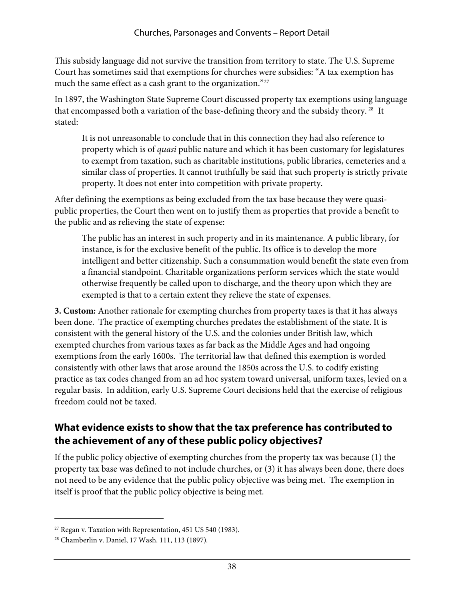This subsidy language did not survive the transition from territory to state. The U.S. Supreme Court has sometimes said that exemptions for churches were subsidies: "A tax exemption has much the same effect as a cash grant to the organization."<sup>[27](#page-41-0)</sup>

In 1897, the Washington State Supreme Court discussed property tax exemptions using language that encompassed both a variation of the base-defining theory and the subsidy theory. [28](#page-41-1) It stated:

It is not unreasonable to conclude that in this connection they had also reference to property which is of *quasi* public nature and which it has been customary for legislatures to exempt from taxation, such as charitable institutions, public libraries, cemeteries and a similar class of properties. It cannot truthfully be said that such property is strictly private property. It does not enter into competition with private property.

After defining the exemptions as being excluded from the tax base because they were quasipublic properties, the Court then went on to justify them as properties that provide a benefit to the public and as relieving the state of expense:

The public has an interest in such property and in its maintenance. A public library, for instance, is for the exclusive benefit of the public. Its office is to develop the more intelligent and better citizenship. Such a consummation would benefit the state even from a financial standpoint. Charitable organizations perform services which the state would otherwise frequently be called upon to discharge, and the theory upon which they are exempted is that to a certain extent they relieve the state of expenses.

**3. Custom:** Another rationale for exempting churches from property taxes is that it has always been done. The practice of exempting churches predates the establishment of the state. It is consistent with the general history of the U.S. and the colonies under British law, which exempted churches from various taxes as far back as the Middle Ages and had ongoing exemptions from the early 1600s. The territorial law that defined this exemption is worded consistently with other laws that arose around the 1850s across the U.S. to codify existing practice as tax codes changed from an ad hoc system toward universal, uniform taxes, levied on a regular basis. In addition, early U.S. Supreme Court decisions held that the exercise of religious freedom could not be taxed.

#### **What evidence exists to show that the tax preference has contributed to the achievement of any of these public policy objectives?**

If the public policy objective of exempting churches from the property tax was because (1) the property tax base was defined to not include churches, or (3) it has always been done, there does not need to be any evidence that the public policy objective was being met. The exemption in itself is proof that the public policy objective is being met.

-

<span id="page-41-0"></span><sup>&</sup>lt;sup>27</sup> Regan v. Taxation with Representation, 451 US 540 (1983).

<span id="page-41-1"></span><sup>28</sup> Chamberlin v. Daniel, 17 Wash. 111, 113 (1897)*.*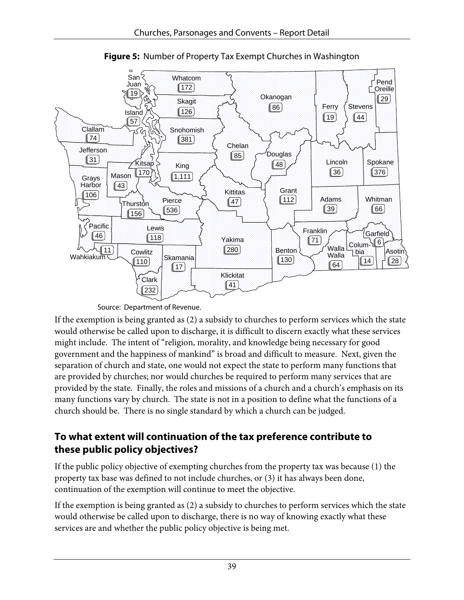

**Figure 5:** Number of Property Tax Exempt Churches in Washington

Source: De partment of Revenue.

If the exemption is being granted as (2) a subsidy to churches to perform services which the state would otherwise be called upon to discharge, it is difficult to discern exactly what these services might include. The intent of "religion, morality, and knowledge being necessary for good government and the happiness of mankind" is broad and difficult to measure. Next, given the separation of church and state, one would not expect the state to perform many functions that are provided by churches; nor would churches be required to perform many services that are provided by the state. Finally, the roles and missions of a church and a church's emphasis on its many functions vary by church. The state is not in a position to define what the functions of a church should be. There is no single standard by which a church can be judged.

## **To what extent will continuation of the tax preference contribute to these public policy objectives?**

If the public policy objective of exempting churches from the property tax was because (1) the property tax base was defined to not include churches, or (3) it has always been done, continuation of the exemption will continue to meet the objective.

If the exemption is being granted as (2) a subsidy to churches to perform services which the state would otherwise be called upon to discharge, there is no way of knowing exactly what these services are and whether the public policy objective is being met.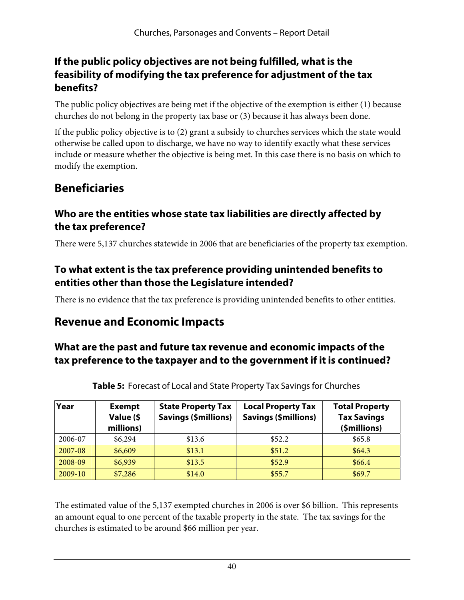#### **If the public policy objectives are not being fulfilled, what is the feasibility of modifying the tax preference for adjustment of the tax benefits?**

The public policy objectives are being met if the objective of the exemption is either (1) because churches do not belong in the property tax base or (3) because it has always been done.

If the public policy objective is to (2) grant a subsidy to churches services which the state would otherwise be called upon to discharge, we have no way to identify exactly what these services include or measure whether the objective is being met. In this case there is no basis on which to modify the exemption.

## **Beneficiaries**

#### **Who are the entities whose state tax liabilities are directly affected by the tax preference?**

There were 5,137 churches statewide in 2006 that are beneficiaries of the property tax exemption.

#### **To what extent is the tax preference providing unintended benefits to entities other than those the Legislature intended?**

There is no evidence that the tax preference is providing unintended benefits to other entities.

## **Revenue and Economic Impacts**

#### **What are the past and future tax revenue and economic impacts of the tax preference to the taxpayer and to the government if it is continued?**

| Year      | <b>Exempt</b><br>Value (\$<br>millions) | <b>State Property Tax</b><br><b>Savings (\$millions)</b> | <b>Local Property Tax</b><br><b>Savings (\$millions)</b> | <b>Total Property</b><br><b>Tax Savings</b><br>(\$millions) |
|-----------|-----------------------------------------|----------------------------------------------------------|----------------------------------------------------------|-------------------------------------------------------------|
| 2006-07   | \$6,294                                 | \$13.6                                                   | \$52.2                                                   | \$65.8                                                      |
| 2007-08   | \$6,609                                 | \$13.1                                                   | \$51.2                                                   | \$64.3                                                      |
| 2008-09   | \$6,939                                 | \$13.5                                                   | \$52.9                                                   | \$66.4                                                      |
| $2009-10$ | \$7,286                                 | \$14.0                                                   | \$55.7                                                   | \$69.7                                                      |

**Table 5:** Forecast of Local and State Property Tax Savings for Churches

The estimated value of the 5,137 exempted churches in 2006 is over \$6 billion. This represents an amount equal to one percent of the taxable property in the state. The tax savings for the churches is estimated to be around \$66 million per year.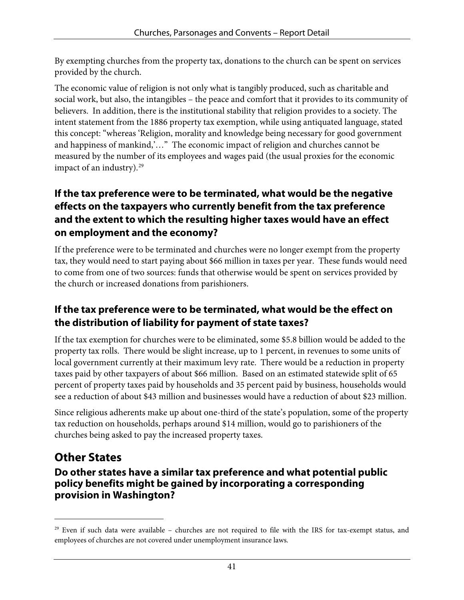By exempting churches from the property tax, donations to the church can be spent on services provided by the church.

The economic value of religion is not only what is tangibly produced, such as charitable and social work, but also, the intangibles – the peace and comfort that it provides to its community of believers. In addition, there is the institutional stability that religion provides to a society. The intent statement from the 1886 property tax exemption, while using antiquated language, stated this concept: "whereas 'Religion, morality and knowledge being necessary for good government and happiness of mankind,'…" The economic impact of religion and churches cannot be measured by the number of its employees and wages paid (the usual proxies for the economic impact of an industry). $29$ 

#### **If the tax preference were to be terminated, what would be the negative effects on the taxpayers who currently benefit from the tax preference and the extent to which the resulting higher taxes would have an effect on employment and the economy?**

If the preference were to be terminated and churches were no longer exempt from the property tax, they would need to start paying about \$66 million in taxes per year. These funds would need to come from one of two sources: funds that otherwise would be spent on services provided by the church or increased donations from parishioners.

## **If the tax preference were to be terminated, what would be the effect on the distribution of liability for payment of state taxes?**

If the tax exemption for churches were to be eliminated, some \$5.8 billion would be added to the property tax rolls. There would be slight increase, up to 1 percent, in revenues to some units of local government currently at their maximum levy rate. There would be a reduction in property taxes paid by other taxpayers of about \$66 million. Based on an estimated statewide split of 65 percent of property taxes paid by households and 35 percent paid by business, households would see a reduction of about \$43 million and businesses would have a reduction of about \$23 million.

Since religious adherents make up about one-third of the state's population, some of the property tax reduction on households, perhaps around \$14 million, would go to parishioners of the churches being asked to pay the increased property taxes.

## **Other States**

 $\overline{a}$ 

#### **Do other states have a similar tax preference and what potential public policy benefits might be gained by incorporating a corresponding provision in Washington?**

<span id="page-44-0"></span><sup>&</sup>lt;sup>29</sup> Even if such data were available – churches are not required to file with the IRS for tax-exempt status, and employees of churches are not covered under unemployment insurance laws.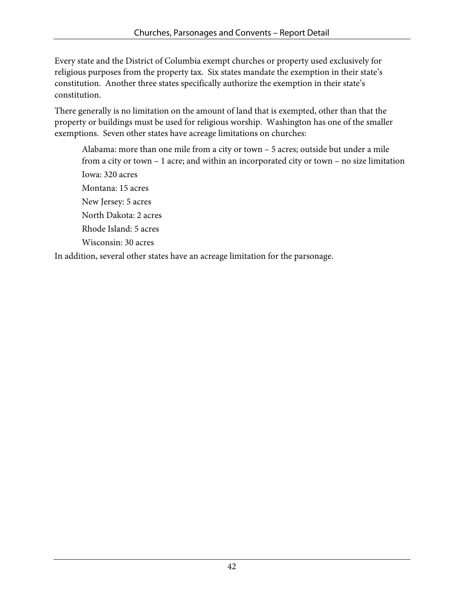Every state and the District of Columbia exempt churches or property used exclusively for religious purposes from the property tax. Six states mandate the exemption in their state's constitution. Another three states specifically authorize the exemption in their state's constitution.

There generally is no limitation on the amount of land that is exempted, other than that the property or buildings must be used for religious worship. Washington has one of the smaller exemptions. Seven other states have acreage limitations on churches:

Alabama: more than one mile from a city or town – 5 acres; outside but under a mile from a city or town – 1 acre; and within an incorporated city or town – no size limitation Iowa: 320 acres Montana: 15 acres New Jersey: 5 acres North Dakota: 2 acres Rhode Island: 5 acres Wisconsin: 30 acres

In addition, several other states have an acreage limitation for the parsonage.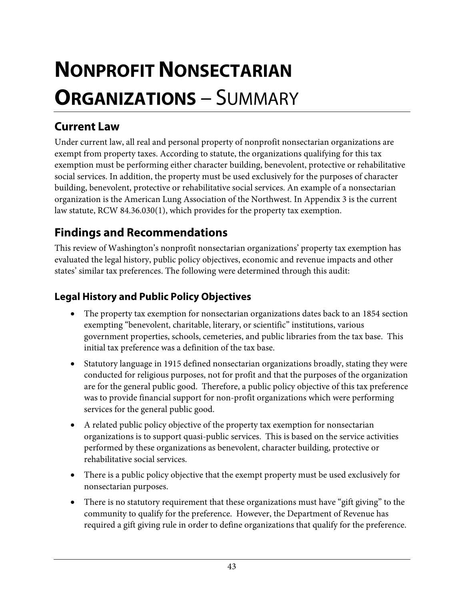# **NONPROFIT NONSECTARIAN ORGANIZATIONS** – SUMMARY

## **Current Law**

Under current law, all real and personal property of nonprofit nonsectarian organizations are exempt from property taxes. According to statute, the organizations qualifying for this tax exemption must be performing either character building, benevolent, protective or rehabilitative social services. In addition, the property must be used exclusively for the purposes of character building, benevolent, protective or rehabilitative social services. An example of a nonsectarian organization is the American Lung Association of the Northwest. In Appendix 3 is the current law statute, RCW 84.36.030(1), which provides for the property tax exemption.

## **Findings and Recommendations**

This review of Washington's nonprofit nonsectarian organizations' property tax exemption has evaluated the legal history, public policy objectives, economic and revenue impacts and other states' similar tax preferences. The following were determined through this audit:

#### **Legal History and Public Policy Objectives**

- The property tax exemption for nonsectarian organizations dates back to an 1854 section exempting "benevolent, charitable, literary, or scientific" institutions, various government properties, schools, cemeteries, and public libraries from the tax base. This initial tax preference was a definition of the tax base.
- Statutory language in 1915 defined nonsectarian organizations broadly, stating they were conducted for religious purposes, not for profit and that the purposes of the organization are for the general public good. Therefore, a public policy objective of this tax preference was to provide financial support for non-profit organizations which were performing services for the general public good.
- A related public policy objective of the property tax exemption for nonsectarian organizations is to support quasi-public services. This is based on the service activities performed by these organizations as benevolent, character building, protective or rehabilitative social services.
- There is a public policy objective that the exempt property must be used exclusively for nonsectarian purposes.
- There is no statutory requirement that these organizations must have "gift giving" to the community to qualify for the preference. However, the Department of Revenue has required a gift giving rule in order to define organizations that qualify for the preference.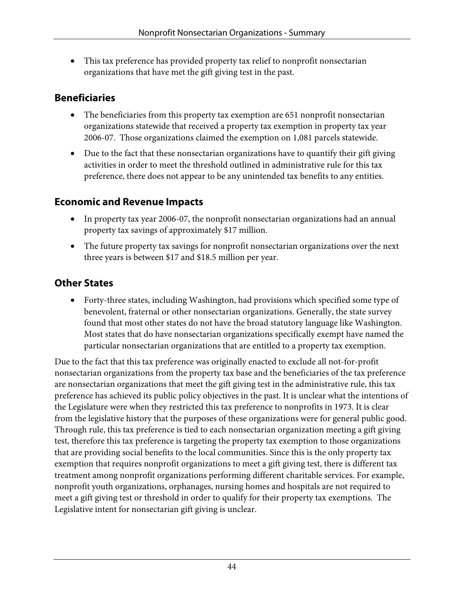• This tax preference has provided property tax relief to nonprofit nonsectarian organizations that have met the gift giving test in the past.

#### **Beneficiaries**

- The beneficiaries from this property tax exemption are 651 nonprofit nonsectarian organizations statewide that received a property tax exemption in property tax year 2006-07. Those organizations claimed the exemption on 1,081 parcels statewide.
- Due to the fact that these nonsectarian organizations have to quantify their gift giving activities in order to meet the threshold outlined in administrative rule for this tax preference, there does not appear to be any unintended tax benefits to any entities.

#### **Economic and Revenue Impacts**

- In property tax year 2006-07, the nonprofit nonsectarian organizations had an annual property tax savings of approximately \$17 million.
- The future property tax savings for nonprofit nonsectarian organizations over the next three years is between \$17 and \$18.5 million per year.

#### **Other States**

• Forty-three states, including Washington, had provisions which specified some type of benevolent, fraternal or other nonsectarian organizations. Generally, the state survey found that most other states do not have the broad statutory language like Washington. Most states that do have nonsectarian organizations specifically exempt have named the particular nonsectarian organizations that are entitled to a property tax exemption.

Due to the fact that this tax preference was originally enacted to exclude all not-for-profit nonsectarian organizations from the property tax base and the beneficiaries of the tax preference are nonsectarian organizations that meet the gift giving test in the administrative rule, this tax preference has achieved its public policy objectives in the past. It is unclear what the intentions of the Legislature were when they restricted this tax preference to nonprofits in 1973. It is clear from the legislative history that the purposes of these organizations were for general public good. Through rule, this tax preference is tied to each nonsectarian organization meeting a gift giving test, therefore this tax preference is targeting the property tax exemption to those organizations that are providing social benefits to the local communities. Since this is the only property tax exemption that requires nonprofit organizations to meet a gift giving test, there is different tax treatment among nonprofit organizations performing different charitable services. For example, nonprofit youth organizations, orphanages, nursing homes and hospitals are not required to meet a gift giving test or threshold in order to qualify for their property tax exemptions. The Legislative intent for nonsectarian gift giving is unclear.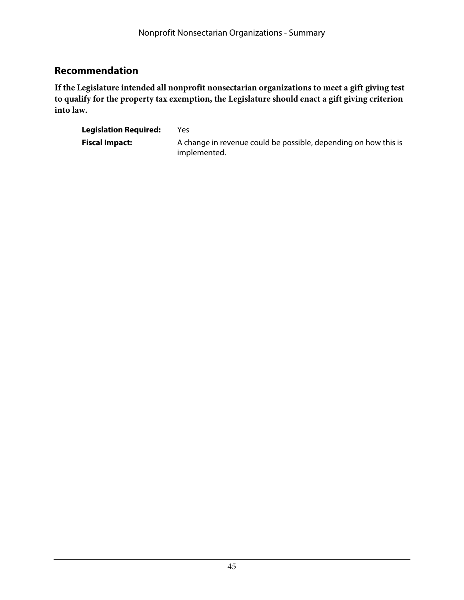#### **Recommendation**

**If the Legislature intended all nonprofit nonsectarian organizations to meet a gift giving test to qualify for the property tax exemption, the Legislature should enact a gift giving criterion into law.** 

| <b>Legislation Required:</b> | Yes                                                                             |
|------------------------------|---------------------------------------------------------------------------------|
| <b>Fiscal Impact:</b>        | A change in revenue could be possible, depending on how this is<br>implemented. |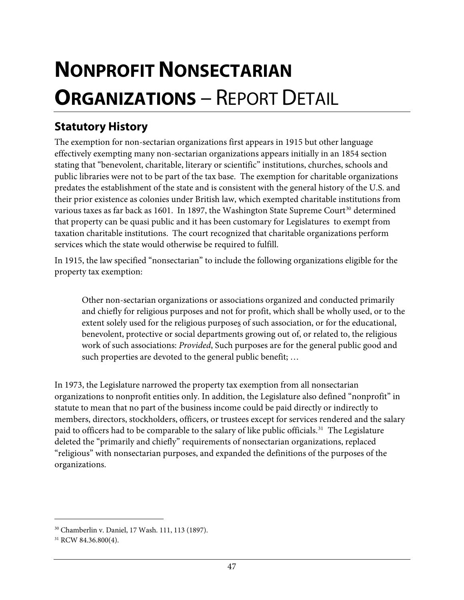# **NONPROFIT NONSECTARIAN ORGANIZATIONS** – REPORT DETAIL

## **Statutory History**

The exemption for non-sectarian organizations first appears in 1915 but other language effectively exempting many non-sectarian organizations appears initially in an 1854 section stating that "benevolent, charitable, literary or scientific" institutions, churches, schools and public libraries were not to be part of the tax base. The exemption for charitable organizations predates the establishment of the state and is consistent with the general history of the U.S. and their prior existence as colonies under British law, which exempted charitable institutions from various taxes as far back as 1601. In 1897, the Washington State Supreme Court<sup>[30](#page-50-0)</sup> determined that property can be quasi public and it has been customary for Legislatures to exempt from taxation charitable institutions. The court recognized that charitable organizations perform services which the state would otherwise be required to fulfill.

In 1915, the law specified "nonsectarian" to include the following organizations eligible for the property tax exemption:

Other non-sectarian organizations or associations organized and conducted primarily and chiefly for religious purposes and not for profit, which shall be wholly used, or to the extent solely used for the religious purposes of such association, or for the educational, benevolent, protective or social departments growing out of, or related to, the religious work of such associations: *Provided*, Such purposes are for the general public good and such properties are devoted to the general public benefit; …

In 1973, the Legislature narrowed the property tax exemption from all nonsectarian organizations to nonprofit entities only. In addition, the Legislature also defined "nonprofit" in statute to mean that no part of the business income could be paid directly or indirectly to members, directors, stockholders, officers, or trustees except for services rendered and the salary paid to officers had to be comparable to the salary of like public officials.<sup>[31](#page-50-1)</sup> The Legislature deleted the "primarily and chiefly" requirements of nonsectarian organizations, replaced "religious" with nonsectarian purposes, and expanded the definitions of the purposes of the organizations.

 $\overline{a}$ 

<span id="page-50-0"></span><sup>30</sup> Chamberlin v. Daniel, 17 Wash. 111, 113 (1897).

<span id="page-50-1"></span><sup>&</sup>lt;sup>31</sup> RCW 84.36.800(4).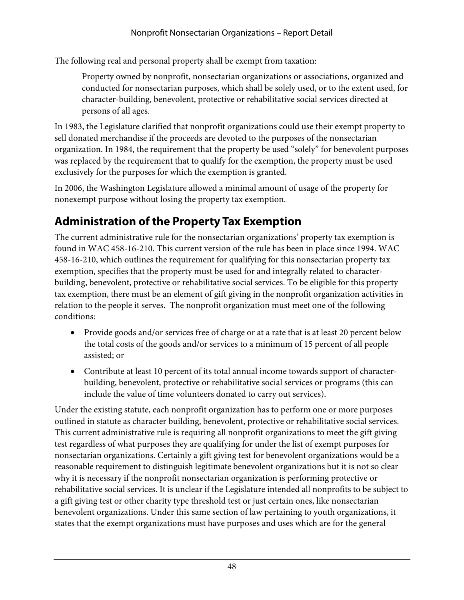The following real and personal property shall be exempt from taxation:

Property owned by nonprofit, nonsectarian organizations or associations, organized and conducted for nonsectarian purposes, which shall be solely used, or to the extent used, for character-building, benevolent, protective or rehabilitative social services directed at persons of all ages.

In 1983, the Legislature clarified that nonprofit organizations could use their exempt property to sell donated merchandise if the proceeds are devoted to the purposes of the nonsectarian organization. In 1984, the requirement that the property be used "solely" for benevolent purposes was replaced by the requirement that to qualify for the exemption, the property must be used exclusively for the purposes for which the exemption is granted.

In 2006, the Washington Legislature allowed a minimal amount of usage of the property for nonexempt purpose without losing the property tax exemption.

# **Administration of the Property Tax Exemption**

The current administrative rule for the nonsectarian organizations' property tax exemption is found in WAC 458-16-210. This current version of the rule has been in place since 1994. WAC 458-16-210, which outlines the requirement for qualifying for this nonsectarian property tax exemption, specifies that the property must be used for and integrally related to characterbuilding, benevolent, protective or rehabilitative social services. To be eligible for this property tax exemption, there must be an element of gift giving in the nonprofit organization activities in relation to the people it serves. The nonprofit organization must meet one of the following conditions:

- Provide goods and/or services free of charge or at a rate that is at least 20 percent below the total costs of the goods and/or services to a minimum of 15 percent of all people assisted; or
- Contribute at least 10 percent of its total annual income towards support of characterbuilding, benevolent, protective or rehabilitative social services or programs (this can include the value of time volunteers donated to carry out services).

Under the existing statute, each nonprofit organization has to perform one or more purposes outlined in statute as character building, benevolent, protective or rehabilitative social services. This current administrative rule is requiring all nonprofit organizations to meet the gift giving test regardless of what purposes they are qualifying for under the list of exempt purposes for nonsectarian organizations. Certainly a gift giving test for benevolent organizations would be a reasonable requirement to distinguish legitimate benevolent organizations but it is not so clear why it is necessary if the nonprofit nonsectarian organization is performing protective or rehabilitative social services. It is unclear if the Legislature intended all nonprofits to be subject to a gift giving test or other charity type threshold test or just certain ones, like nonsectarian benevolent organizations. Under this same section of law pertaining to youth organizations, it states that the exempt organizations must have purposes and uses which are for the general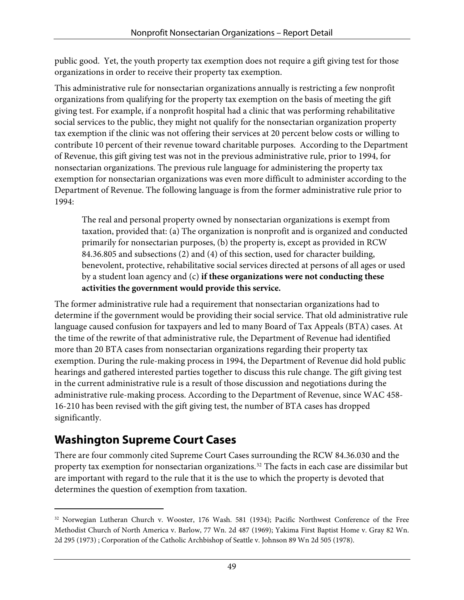public good. Yet, the youth property tax exemption does not require a gift giving test for those organizations in order to receive their property tax exemption.

This administrative rule for nonsectarian organizations annually is restricting a few nonprofit organizations from qualifying for the property tax exemption on the basis of meeting the gift giving test. For example, if a nonprofit hospital had a clinic that was performing rehabilitative social services to the public, they might not qualify for the nonsectarian organization property tax exemption if the clinic was not offering their services at 20 percent below costs or willing to contribute 10 percent of their revenue toward charitable purposes. According to the Department of Revenue, this gift giving test was not in the previous administrative rule, prior to 1994, for nonsectarian organizations. The previous rule language for administering the property tax exemption for nonsectarian organizations was even more difficult to administer according to the Department of Revenue. The following language is from the former administrative rule prior to 1994:

The real and personal property owned by nonsectarian organizations is exempt from taxation, provided that: (a) The organization is nonprofit and is organized and conducted primarily for nonsectarian purposes, (b) the property is, except as provided in RCW 84.36.805 and subsections (2) and (4) of this section, used for character building, benevolent, protective, rehabilitative social services directed at persons of all ages or used by a student loan agency and (c) **if these organizations were not conducting these activities the government would provide this service.** 

The former administrative rule had a requirement that nonsectarian organizations had to determine if the government would be providing their social service. That old administrative rule language caused confusion for taxpayers and led to many Board of Tax Appeals (BTA) cases. At the time of the rewrite of that administrative rule, the Department of Revenue had identified more than 20 BTA cases from nonsectarian organizations regarding their property tax exemption. During the rule-making process in 1994, the Department of Revenue did hold public hearings and gathered interested parties together to discuss this rule change. The gift giving test in the current administrative rule is a result of those discussion and negotiations during the administrative rule-making process. According to the Department of Revenue, since WAC 458- 16-210 has been revised with the gift giving test, the number of BTA cases has dropped significantly.

# **Washington Supreme Court Cases**

 $\overline{a}$ 

There are four commonly cited Supreme Court Cases surrounding the RCW 84.36.030 and the property tax exemption for nonsectarian organizations.<sup>[32](#page-52-0)</sup> The facts in each case are dissimilar but are important with regard to the rule that it is the use to which the property is devoted that determines the question of exemption from taxation.

<span id="page-52-0"></span><sup>32</sup> Norwegian Lutheran Church v. Wooster, 176 Wash. 581 (1934); Pacific Northwest Conference of the Free Methodist Church of North America v. Barlow, 77 Wn. 2d 487 (1969); Yakima First Baptist Home v. Gray 82 Wn. 2d 295 (1973) ; Corporation of the Catholic Archbishop of Seattle v. Johnson 89 Wn 2d 505 (1978).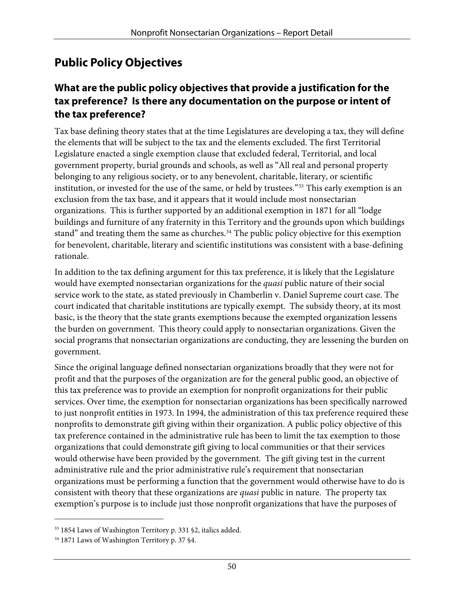## **Public Policy Objectives**

#### **What are the public policy objectives that provide a justification for the tax preference? Is there any documentation on the purpose or intent of the tax preference?**

Tax base defining theory states that at the time Legislatures are developing a tax, they will define the elements that will be subject to the tax and the elements excluded. The first Territorial Legislature enacted a single exemption clause that excluded federal, Territorial, and local government property, burial grounds and schools, as well as "All real and personal property belonging to any religious society, or to any benevolent, charitable, literary, or scientific institution, or invested for the use of the same, or held by trustees."[33](#page-53-0) This early exemption is an exclusion from the tax base, and it appears that it would include most nonsectarian organizations. This is further supported by an additional exemption in 1871 for all "lodge buildings and furniture of any fraternity in this Territory and the grounds upon which buildings stand" and treating them the same as churches.<sup>[34](#page-53-1)</sup> The public policy objective for this exemption for benevolent, charitable, literary and scientific institutions was consistent with a base-defining rationale.

In addition to the tax defining argument for this tax preference, it is likely that the Legislature would have exempted nonsectarian organizations for the *quasi* public nature of their social service work to the state, as stated previously in Chamberlin v. Daniel Supreme court case. The court indicated that charitable institutions are typically exempt. The subsidy theory, at its most basic, is the theory that the state grants exemptions because the exempted organization lessens the burden on government. This theory could apply to nonsectarian organizations. Given the social programs that nonsectarian organizations are conducting, they are lessening the burden on government.

Since the original language defined nonsectarian organizations broadly that they were not for profit and that the purposes of the organization are for the general public good, an objective of this tax preference was to provide an exemption for nonprofit organizations for their public services. Over time, the exemption for nonsectarian organizations has been specifically narrowed to just nonprofit entities in 1973. In 1994, the administration of this tax preference required these nonprofits to demonstrate gift giving within their organization. A public policy objective of this tax preference contained in the administrative rule has been to limit the tax exemption to those organizations that could demonstrate gift giving to local communities or that their services would otherwise have been provided by the government. The gift giving test in the current administrative rule and the prior administrative rule's requirement that nonsectarian organizations must be performing a function that the government would otherwise have to do is consistent with theory that these organizations are *quasi* public in nature. The property tax exemption's purpose is to include just those nonprofit organizations that have the purposes of

 $\overline{a}$ 

<span id="page-53-0"></span><sup>&</sup>lt;sup>33</sup> 1854 Laws of Washington Territory p. 331 §2, italics added.

<span id="page-53-1"></span><sup>&</sup>lt;sup>34</sup> 1871 Laws of Washington Territory p. 37 §4.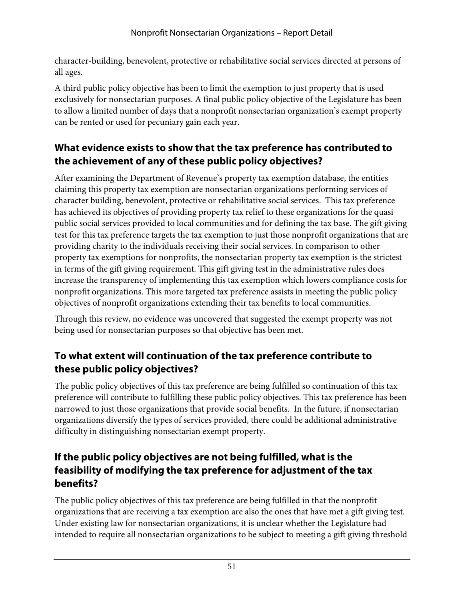character-building, benevolent, protective or rehabilitative social services directed at persons of all ages.

A third public policy objective has been to limit the exemption to just property that is used exclusively for nonsectarian purposes. A final public policy objective of the Legislature has been to allow a limited number of days that a nonprofit nonsectarian organization's exempt property can be rented or used for pecuniary gain each year.

## **What evidence exists to show that the tax preference has contributed to the achievement of any of these public policy objectives?**

After examining the Department of Revenue's property tax exemption database, the entities claiming this property tax exemption are nonsectarian organizations performing services of character building, benevolent, protective or rehabilitative social services. This tax preference has achieved its objectives of providing property tax relief to these organizations for the quasi public social services provided to local communities and for defining the tax base. The gift giving test for this tax preference targets the tax exemption to just those nonprofit organizations that are providing charity to the individuals receiving their social services. In comparison to other property tax exemptions for nonprofits, the nonsectarian property tax exemption is the strictest in terms of the gift giving requirement. This gift giving test in the administrative rules does increase the transparency of implementing this tax exemption which lowers compliance costs for nonprofit organizations. This more targeted tax preference assists in meeting the public policy objectives of nonprofit organizations extending their tax benefits to local communities.

Through this review, no evidence was uncovered that suggested the exempt property was not being used for nonsectarian purposes so that objective has been met.

## **To what extent will continuation of the tax preference contribute to these public policy objectives?**

The public policy objectives of this tax preference are being fulfilled so continuation of this tax preference will contribute to fulfilling these public policy objectives. This tax preference has been narrowed to just those organizations that provide social benefits. In the future, if nonsectarian organizations diversify the types of services provided, there could be additional administrative difficulty in distinguishing nonsectarian exempt property.

#### **If the public policy objectives are not being fulfilled, what is the feasibility of modifying the tax preference for adjustment of the tax benefits?**

The public policy objectives of this tax preference are being fulfilled in that the nonprofit organizations that are receiving a tax exemption are also the ones that have met a gift giving test. Under existing law for nonsectarian organizations, it is unclear whether the Legislature had intended to require all nonsectarian organizations to be subject to meeting a gift giving threshold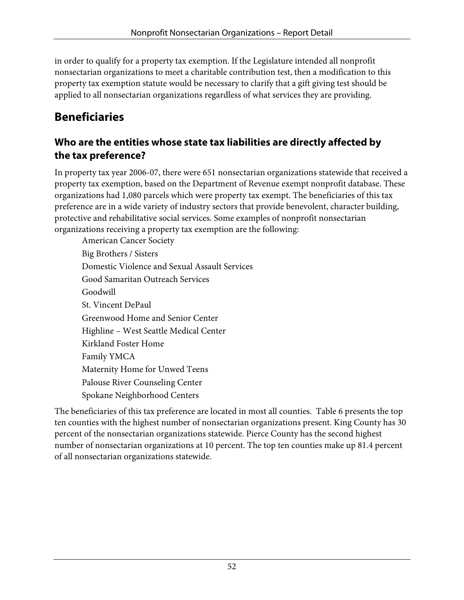in order to qualify for a property tax exemption. If the Legislature intended all nonprofit nonsectarian organizations to meet a charitable contribution test, then a modification to this property tax exemption statute would be necessary to clarify that a gift giving test should be applied to all nonsectarian organizations regardless of what services they are providing.

## **Beneficiaries**

#### **Who are the entities whose state tax liabilities are directly affected by the tax preference?**

In property tax year 2006-07, there were 651 nonsectarian organizations statewide that received a property tax exemption, based on the Department of Revenue exempt nonprofit database. These organizations had 1,080 parcels which were property tax exempt. The beneficiaries of this tax preference are in a wide variety of industry sectors that provide benevolent, character building, protective and rehabilitative social services. Some examples of nonprofit nonsectarian organizations receiving a property tax exemption are the following:

American Cancer Society Big Brothers / Sisters Domestic Violence and Sexual Assault Services Good Samaritan Outreach Services Goodwill St. Vincent DePaul Greenwood Home and Senior Center Highline – West Seattle Medical Center Kirkland Foster Home Family YMCA Maternity Home for Unwed Teens Palouse River Counseling Center Spokane Neighborhood Centers

The beneficiaries of this tax preference are located in most all counties. Table 6 presents the top ten counties with the highest number of nonsectarian organizations present. King County has 30 percent of the nonsectarian organizations statewide. Pierce County has the second highest number of nonsectarian organizations at 10 percent. The top ten counties make up 81.4 percent of all nonsectarian organizations statewide.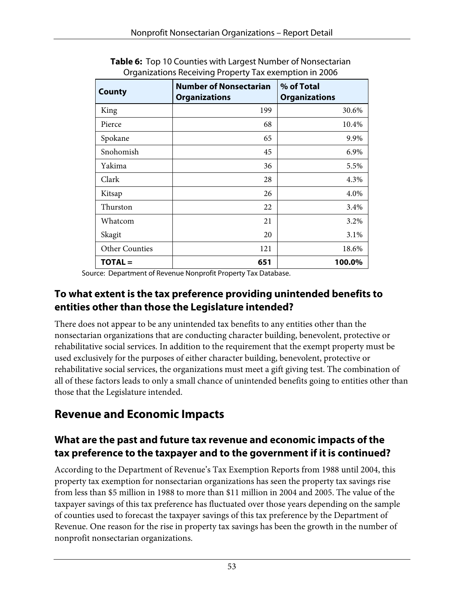| <b>County</b>         | <b>Number of Nonsectarian</b><br><b>Organizations</b> | % of Total<br><b>Organizations</b> |
|-----------------------|-------------------------------------------------------|------------------------------------|
| King                  | 199                                                   | 30.6%                              |
| Pierce                | 68                                                    | 10.4%                              |
| Spokane               | 65                                                    | 9.9%                               |
| Snohomish             | 45                                                    | 6.9%                               |
| Yakima                | 36                                                    | 5.5%                               |
| Clark                 | 28                                                    | 4.3%                               |
| Kitsap                | 26                                                    | 4.0%                               |
| Thurston              | 22                                                    | 3.4%                               |
| Whatcom               | 21                                                    | 3.2%                               |
| Skagit                | 20                                                    | 3.1%                               |
| <b>Other Counties</b> | 121                                                   | 18.6%                              |
| $TOTAL =$             | 651                                                   | 100.0%                             |

**Table 6:** Top 10 Counties with Largest Number of Nonsectarian Organizations Receiving Property Tax exemption in 2006

Source: Department of Revenue Nonprofit Property Tax Database.

#### **To what extent is the tax preference providing unintended benefits to entities other than those the Legislature intended?**

There does not appear to be any unintended tax benefits to any entities other than the nonsectarian organizations that are conducting character building, benevolent, protective or rehabilitative social services. In addition to the requirement that the exempt property must be used exclusively for the purposes of either character building, benevolent, protective or rehabilitative social services, the organizations must meet a gift giving test. The combination of all of these factors leads to only a small chance of unintended benefits going to entities other than those that the Legislature intended.

## **Revenue and Economic Impacts**

#### **What are the past and future tax revenue and economic impacts of the tax preference to the taxpayer and to the government if it is continued?**

According to the Department of Revenue's Tax Exemption Reports from 1988 until 2004, this property tax exemption for nonsectarian organizations has seen the property tax savings rise from less than \$5 million in 1988 to more than \$11 million in 2004 and 2005. The value of the taxpayer savings of this tax preference has fluctuated over those years depending on the sample of counties used to forecast the taxpayer savings of this tax preference by the Department of Revenue. One reason for the rise in property tax savings has been the growth in the number of nonprofit nonsectarian organizations.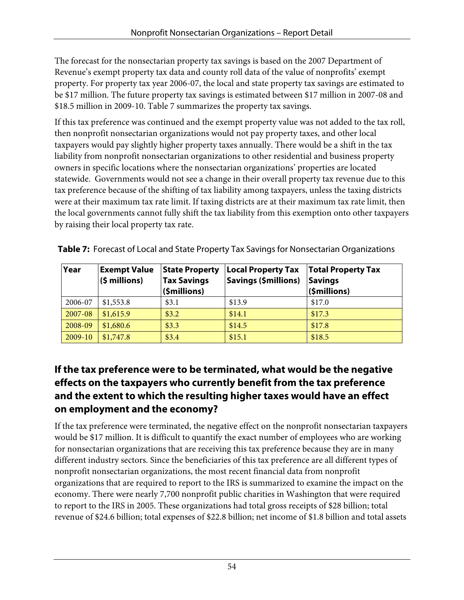The forecast for the nonsectarian property tax savings is based on the 2007 Department of Revenue's exempt property tax data and county roll data of the value of nonprofits' exempt property. For property tax year 2006-07, the local and state property tax savings are estimated to be \$17 million. The future property tax savings is estimated between \$17 million in 2007-08 and \$18.5 million in 2009-10. Table 7 summarizes the property tax savings.

If this tax preference was continued and the exempt property value was not added to the tax roll, then nonprofit nonsectarian organizations would not pay property taxes, and other local taxpayers would pay slightly higher property taxes annually. There would be a shift in the tax liability from nonprofit nonsectarian organizations to other residential and business property owners in specific locations where the nonsectarian organizations' properties are located statewide. Governments would not see a change in their overall property tax revenue due to this tax preference because of the shifting of tax liability among taxpayers, unless the taxing districts were at their maximum tax rate limit. If taxing districts are at their maximum tax rate limit, then the local governments cannot fully shift the tax liability from this exemption onto other taxpayers by raising their local property tax rate.

| Year    | <b>Exempt Value</b><br>$(5 millions)$ | <b>State Property</b><br><b>Tax Savings</b><br>(\$millions) | <b>Local Property Tax</b><br>Savings (\$millions) | <b>Total Property Tax</b><br><b>Savings</b><br>(\$millions) |
|---------|---------------------------------------|-------------------------------------------------------------|---------------------------------------------------|-------------------------------------------------------------|
| 2006-07 | \$1,553.8                             | \$3.1                                                       | \$13.9                                            | \$17.0                                                      |
| 2007-08 | \$1,615.9                             | \$3.2                                                       | \$14.1                                            | \$17.3                                                      |
| 2008-09 | \$1,680.6                             | \$3.3                                                       | \$14.5                                            | \$17.8                                                      |
| 2009-10 | \$1,747.8                             | \$3.4                                                       | \$15.1                                            | \$18.5                                                      |

**Table 7:** Forecast of Local and State Property Tax Savings for Nonsectarian Organizations

#### **If the tax preference were to be terminated, what would be the negative effects on the taxpayers who currently benefit from the tax preference and the extent to which the resulting higher taxes would have an effect on employment and the economy?**

If the tax preference were terminated, the negative effect on the nonprofit nonsectarian taxpayers would be \$17 million. It is difficult to quantify the exact number of employees who are working for nonsectarian organizations that are receiving this tax preference because they are in many different industry sectors. Since the beneficiaries of this tax preference are all different types of nonprofit nonsectarian organizations, the most recent financial data from nonprofit organizations that are required to report to the IRS is summarized to examine the impact on the economy. There were nearly 7,700 nonprofit public charities in Washington that were required to report to the IRS in 2005. These organizations had total gross receipts of \$28 billion; total revenue of \$24.6 billion; total expenses of \$22.8 billion; net income of \$1.8 billion and total assets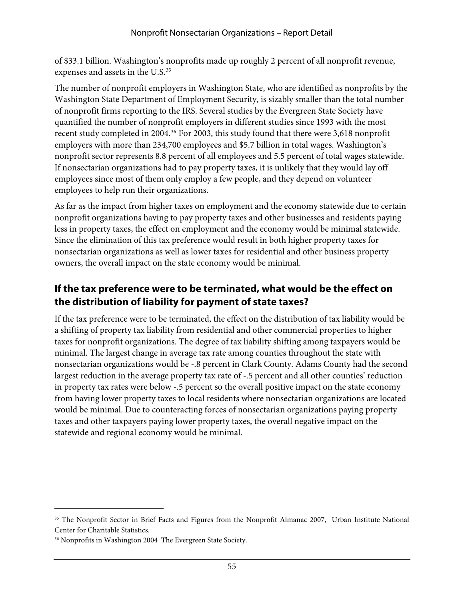of \$33.1 billion. Washington's nonprofits made up roughly 2 percent of all nonprofit revenue, expenses and assets in the U.S. [35](#page-58-0)

The number of nonprofit employers in Washington State, who are identified as nonprofits by the Washington State Department of Employment Security, is sizably smaller than the total number of nonprofit firms reporting to the IRS. Several studies by the Evergreen State Society have quantified the number of nonprofit employers in different studies since 1993 with the most recent study completed in 2004.<sup>[36](#page-58-1)</sup> For 2003, this study found that there were 3,618 nonprofit employers with more than 234,700 employees and \$5.7 billion in total wages. Washington's nonprofit sector represents 8.8 percent of all employees and 5.5 percent of total wages statewide. If nonsectarian organizations had to pay property taxes, it is unlikely that they would lay off employees since most of them only employ a few people, and they depend on volunteer employees to help run their organizations.

As far as the impact from higher taxes on employment and the economy statewide due to certain nonprofit organizations having to pay property taxes and other businesses and residents paying less in property taxes, the effect on employment and the economy would be minimal statewide. Since the elimination of this tax preference would result in both higher property taxes for nonsectarian organizations as well as lower taxes for residential and other business property owners, the overall impact on the state economy would be minimal.

## **If the tax preference were to be terminated, what would be the effect on the distribution of liability for payment of state taxes?**

If the tax preference were to be terminated, the effect on the distribution of tax liability would be a shifting of property tax liability from residential and other commercial properties to higher taxes for nonprofit organizations. The degree of tax liability shifting among taxpayers would be minimal. The largest change in average tax rate among counties throughout the state with nonsectarian organizations would be -.8 percent in Clark County. Adams County had the second largest reduction in the average property tax rate of -.5 percent and all other counties' reduction in property tax rates were below -.5 percent so the overall positive impact on the state economy from having lower property taxes to local residents where nonsectarian organizations are located would be minimal. Due to counteracting forces of nonsectarian organizations paying property taxes and other taxpayers paying lower property taxes, the overall negative impact on the statewide and regional economy would be minimal.

 $\overline{a}$ 

<span id="page-58-0"></span><sup>&</sup>lt;sup>35</sup> The Nonprofit Sector in Brief Facts and Figures from the Nonprofit Almanac 2007, Urban Institute National Center for Charitable Statistics.

<span id="page-58-1"></span><sup>&</sup>lt;sup>36</sup> Nonprofits in Washington 2004 The Evergreen State Society.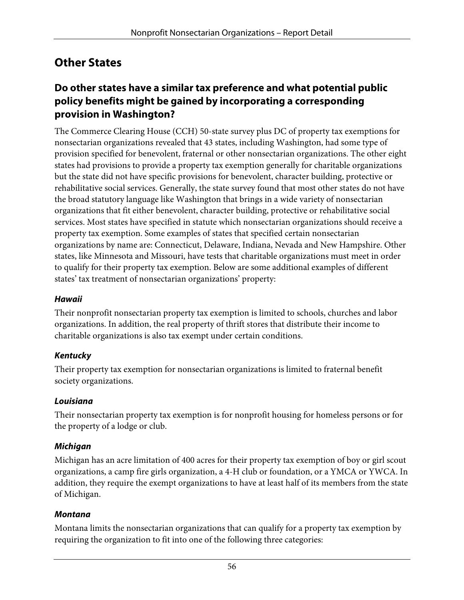## **Other States**

#### **Do other states have a similar tax preference and what potential public policy benefits might be gained by incorporating a corresponding provision in Washington?**

The Commerce Clearing House (CCH) 50-state survey plus DC of property tax exemptions for nonsectarian organizations revealed that 43 states, including Washington, had some type of provision specified for benevolent, fraternal or other nonsectarian organizations. The other eight states had provisions to provide a property tax exemption generally for charitable organizations but the state did not have specific provisions for benevolent, character building, protective or rehabilitative social services. Generally, the state survey found that most other states do not have the broad statutory language like Washington that brings in a wide variety of nonsectarian organizations that fit either benevolent, character building, protective or rehabilitative social services. Most states have specified in statute which nonsectarian organizations should receive a property tax exemption. Some examples of states that specified certain nonsectarian organizations by name are: Connecticut, Delaware, Indiana, Nevada and New Hampshire. Other states, like Minnesota and Missouri, have tests that charitable organizations must meet in order to qualify for their property tax exemption. Below are some additional examples of different states' tax treatment of nonsectarian organizations' property:

#### **Hawaii**

Their nonprofit nonsectarian property tax exemption is limited to schools, churches and labor organizations. In addition, the real property of thrift stores that distribute their income to charitable organizations is also tax exempt under certain conditions.

#### **Kentucky**

Their property tax exemption for nonsectarian organizations is limited to fraternal benefit society organizations.

#### **Louisiana**

Their nonsectarian property tax exemption is for nonprofit housing for homeless persons or for the property of a lodge or club.

#### **Michigan**

Michigan has an acre limitation of 400 acres for their property tax exemption of boy or girl scout organizations, a camp fire girls organization, a 4-H club or foundation, or a YMCA or YWCA. In addition, they require the exempt organizations to have at least half of its members from the state of Michigan.

#### **Montana**

Montana limits the nonsectarian organizations that can qualify for a property tax exemption by requiring the organization to fit into one of the following three categories: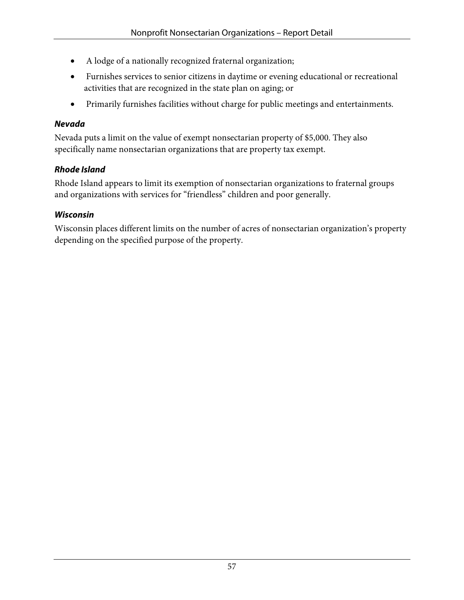- A lodge of a nationally recognized fraternal organization;
- Furnishes services to senior citizens in daytime or evening educational or recreational activities that are recognized in the state plan on aging; or
- Primarily furnishes facilities without charge for public meetings and entertainments.

#### **Nevada**

Nevada puts a limit on the value of exempt nonsectarian property of \$5,000. They also specifically name nonsectarian organizations that are property tax exempt.

#### **Rhode Island**

Rhode Island appears to limit its exemption of nonsectarian organizations to fraternal groups and organizations with services for "friendless" children and poor generally.

#### **Wisconsin**

Wisconsin places different limits on the number of acres of nonsectarian organization's property depending on the specified purpose of the property.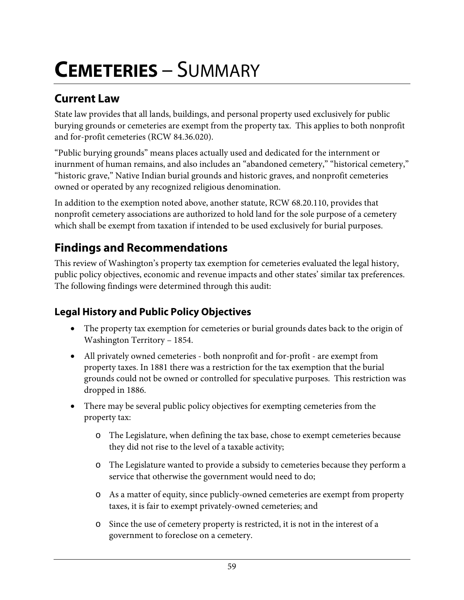# **CEMETERIES** – SUMMARY

## **Current Law**

State law provides that all lands, buildings, and personal property used exclusively for public burying grounds or cemeteries are exempt from the property tax. This applies to both nonprofit and for-profit cemeteries (RCW 84.36.020).

"Public burying grounds" means places actually used and dedicated for the internment or inurnment of human remains, and also includes an "abandoned cemetery," "historical cemetery," "historic grave," Native Indian burial grounds and historic graves, and nonprofit cemeteries owned or operated by any recognized religious denomination.

In addition to the exemption noted above, another statute, RCW 68.20.110, provides that nonprofit cemetery associations are authorized to hold land for the sole purpose of a cemetery which shall be exempt from taxation if intended to be used exclusively for burial purposes.

# **Findings and Recommendations**

This review of Washington's property tax exemption for cemeteries evaluated the legal history, public policy objectives, economic and revenue impacts and other states' similar tax preferences. The following findings were determined through this audit:

## **Legal History and Public Policy Objectives**

- The property tax exemption for cemeteries or burial grounds dates back to the origin of Washington Territory – 1854.
- All privately owned cemeteries both nonprofit and for-profit are exempt from property taxes. In 1881 there was a restriction for the tax exemption that the burial grounds could not be owned or controlled for speculative purposes. This restriction was dropped in 1886.
- There may be several public policy objectives for exempting cemeteries from the property tax:
	- o The Legislature, when defining the tax base, chose to exempt cemeteries because they did not rise to the level of a taxable activity;
	- o The Legislature wanted to provide a subsidy to cemeteries because they perform a service that otherwise the government would need to do;
	- o As a matter of equity, since publicly-owned cemeteries are exempt from property taxes, it is fair to exempt privately-owned cemeteries; and
	- o Since the use of cemetery property is restricted, it is not in the interest of a government to foreclose on a cemetery.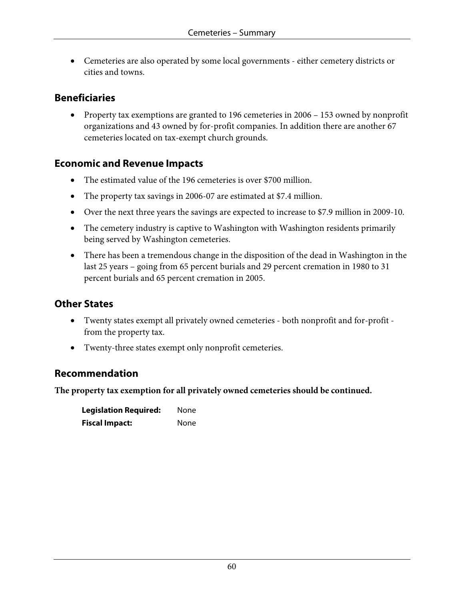• Cemeteries are also operated by some local governments - either cemetery districts or cities and towns.

#### **Beneficiaries**

• Property tax exemptions are granted to 196 cemeteries in 2006 – 153 owned by nonprofit organizations and 43 owned by for-profit companies. In addition there are another 67 cemeteries located on tax-exempt church grounds.

#### **Economic and Revenue Impacts**

- The estimated value of the 196 cemeteries is over \$700 million.
- The property tax savings in 2006-07 are estimated at \$7.4 million.
- Over the next three years the savings are expected to increase to \$7.9 million in 2009-10.
- The cemetery industry is captive to Washington with Washington residents primarily being served by Washington cemeteries.
- There has been a tremendous change in the disposition of the dead in Washington in the last 25 years – going from 65 percent burials and 29 percent cremation in 1980 to 31 percent burials and 65 percent cremation in 2005.

#### **Other States**

- Twenty states exempt all privately owned cemeteries both nonprofit and for-profit from the property tax.
- Twenty-three states exempt only nonprofit cemeteries.

#### **Recommendation**

**The property tax exemption for all privately owned cemeteries should be continued.** 

| <b>Legislation Required:</b> | None |
|------------------------------|------|
| <b>Fiscal Impact:</b>        | None |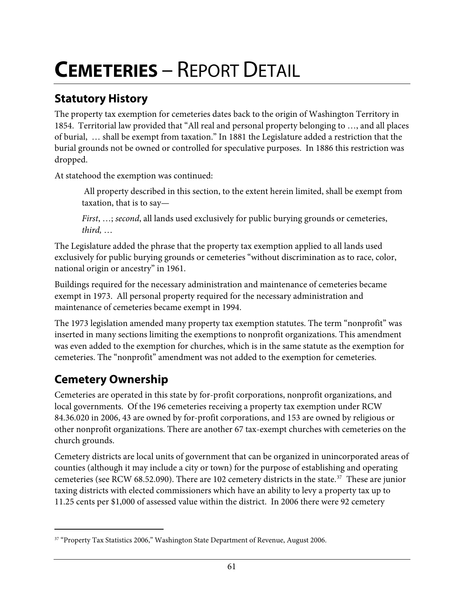# **CEMETERIES** – REPORT DETAIL

# **Statutory History**

The property tax exemption for cemeteries dates back to the origin of Washington Territory in 1854. Territorial law provided that "All real and personal property belonging to …, and all places of burial, … shall be exempt from taxation." In 1881 the Legislature added a restriction that the burial grounds not be owned or controlled for speculative purposes. In 1886 this restriction was dropped.

At statehood the exemption was continued:

 All property described in this section, to the extent herein limited, shall be exempt from taxation, that is to say—

*First*, …; *second*, all lands used exclusively for public burying grounds or cemeteries, *third,* …

The Legislature added the phrase that the property tax exemption applied to all lands used exclusively for public burying grounds or cemeteries "without discrimination as to race, color, national origin or ancestry" in 1961.

Buildings required for the necessary administration and maintenance of cemeteries became exempt in 1973. All personal property required for the necessary administration and maintenance of cemeteries became exempt in 1994.

The 1973 legislation amended many property tax exemption statutes. The term "nonprofit" was inserted in many sections limiting the exemptions to nonprofit organizations. This amendment was even added to the exemption for churches, which is in the same statute as the exemption for cemeteries. The "nonprofit" amendment was not added to the exemption for cemeteries.

# **Cemetery Ownership**

 $\overline{a}$ 

Cemeteries are operated in this state by for-profit corporations, nonprofit organizations, and local governments. Of the 196 cemeteries receiving a property tax exemption under RCW 84.36.020 in 2006, 43 are owned by for-profit corporations, and 153 are owned by religious or other nonprofit organizations. There are another 67 tax-exempt churches with cemeteries on the church grounds.

Cemetery districts are local units of government that can be organized in unincorporated areas of counties (although it may include a city or town) for the purpose of establishing and operating cemeteries (see RCW 68.52.090). There are 102 cemetery districts in the state.<sup>[37](#page-64-0)</sup> These are junior taxing districts with elected commissioners which have an ability to levy a property tax up to 11.25 cents per \$1,000 of assessed value within the district. In 2006 there were 92 cemetery

<span id="page-64-0"></span><sup>&</sup>lt;sup>37</sup> "Property Tax Statistics 2006," Washington State Department of Revenue, August 2006.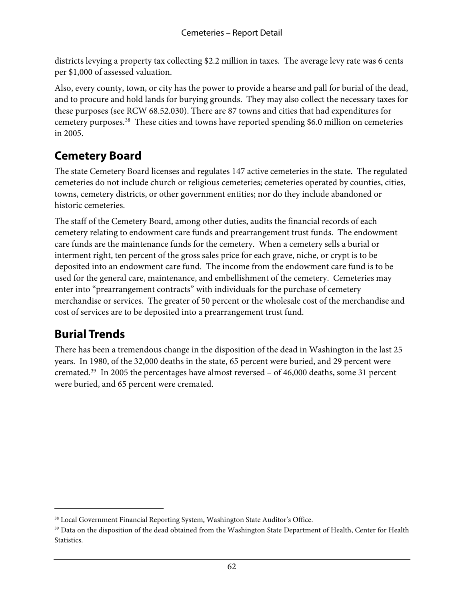districts levying a property tax collecting \$2.2 million in taxes. The average levy rate was 6 cents per \$1,000 of assessed valuation.

Also, every county, town, or city has the power to provide a hearse and pall for burial of the dead, and to procure and hold lands for burying grounds. They may also collect the necessary taxes for these purposes (see RCW 68.52.030). There are 87 towns and cities that had expenditures for cemetery purposes.[38](#page-65-0) These cities and towns have reported spending \$6.0 million on cemeteries in 2005.

## **Cemetery Board**

The state Cemetery Board licenses and regulates 147 active cemeteries in the state. The regulated cemeteries do not include church or religious cemeteries; cemeteries operated by counties, cities, towns, cemetery districts, or other government entities; nor do they include abandoned or historic cemeteries.

The staff of the Cemetery Board, among other duties, audits the financial records of each cemetery relating to endowment care funds and prearrangement trust funds. The endowment care funds are the maintenance funds for the cemetery. When a cemetery sells a burial or interment right, ten percent of the gross sales price for each grave, niche, or crypt is to be deposited into an endowment care fund. The income from the endowment care fund is to be used for the general care, maintenance, and embellishment of the cemetery. Cemeteries may enter into "prearrangement contracts" with individuals for the purchase of cemetery merchandise or services. The greater of 50 percent or the wholesale cost of the merchandise and cost of services are to be deposited into a prearrangement trust fund.

# **Burial Trends**

 $\overline{a}$ 

There has been a tremendous change in the disposition of the dead in Washington in the last 25 years. In 1980, of the 32,000 deaths in the state, 65 percent were buried, and 29 percent were cremated.[39](#page-65-1) In 2005 the percentages have almost reversed – of 46,000 deaths, some 31 percent were buried, and 65 percent were cremated.

<span id="page-65-1"></span><span id="page-65-0"></span><sup>&</sup>lt;sup>38</sup> Local Government Financial Reporting System, Washington State Auditor's Office.<br><sup>39</sup> Data on the disposition of the dead obtained from the Washington State Department of Health, Center for Health Statistics.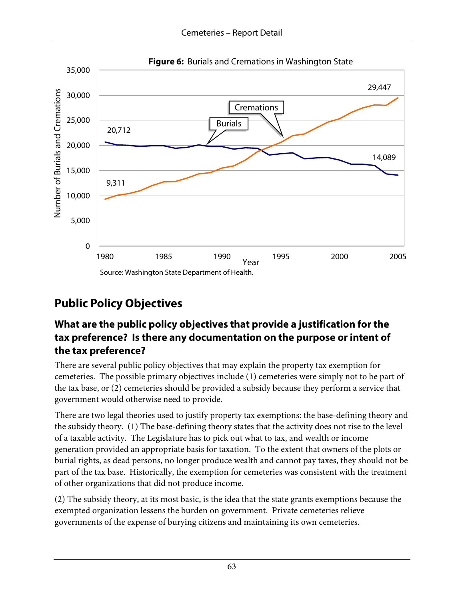

# **Public Policy Objectives**

## **What are the public policy objectives that provide a justification for the tax preference? Is there any documentation on the purpose or intent of the tax preference?**

There are several public policy objectives that may explain the property tax exemption for cemeteries. The possible primary objectives include (1) cemeteries were simply not to be part of the tax base, or (2) cemeteries should be provided a subsidy because they perform a service that government would otherwise need to provide.

There are two legal theories used to justify property tax exemptions: the base-defining theory and the subsidy theory. (1) The base-defining theory states that the activity does not rise to the level of a taxable activity. The Legislature has to pick out what to tax, and wealth or income generation provided an appropriate basis for taxation. To the extent that owners of the plots or burial rights, as dead persons, no longer produce wealth and cannot pay taxes, they should not be part of the tax base. Historically, the exemption for cemeteries was consistent with the treatment of other organizations that did not produce income.

(2) The subsidy theory, at its most basic, is the idea that the state grants exemptions because the exempted organization lessens the burden on government. Private cemeteries relieve governments of the expense of burying citizens and maintaining its own cemeteries.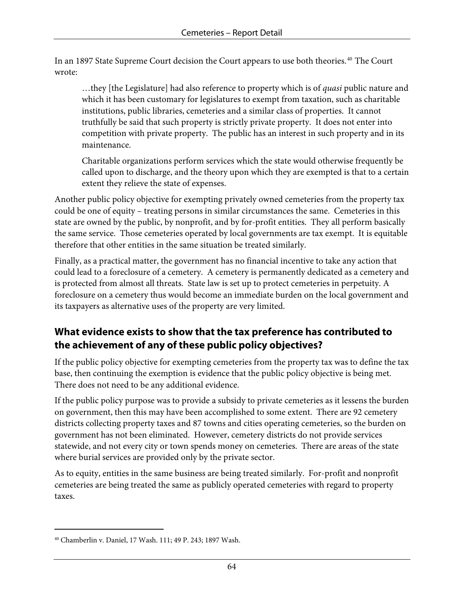In an 1897 State Supreme Court decision the Court appears to use both theories.<sup>[40](#page-67-0)</sup> The Court wrote:

…they [the Legislature] had also reference to property which is of *quasi* public nature and which it has been customary for legislatures to exempt from taxation, such as charitable institutions, public libraries, cemeteries and a similar class of properties. It cannot truthfully be said that such property is strictly private property. It does not enter into competition with private property. The public has an interest in such property and in its maintenance.

Charitable organizations perform services which the state would otherwise frequently be called upon to discharge, and the theory upon which they are exempted is that to a certain extent they relieve the state of expenses.

Another public policy objective for exempting privately owned cemeteries from the property tax could be one of equity – treating persons in similar circumstances the same. Cemeteries in this state are owned by the public, by nonprofit, and by for-profit entities. They all perform basically the same service. Those cemeteries operated by local governments are tax exempt. It is equitable therefore that other entities in the same situation be treated similarly.

Finally, as a practical matter, the government has no financial incentive to take any action that could lead to a foreclosure of a cemetery. A cemetery is permanently dedicated as a cemetery and is protected from almost all threats. State law is set up to protect cemeteries in perpetuity. A foreclosure on a cemetery thus would become an immediate burden on the local government and its taxpayers as alternative uses of the property are very limited.

## **What evidence exists to show that the tax preference has contributed to the achievement of any of these public policy objectives?**

If the public policy objective for exempting cemeteries from the property tax was to define the tax base, then continuing the exemption is evidence that the public policy objective is being met. There does not need to be any additional evidence.

If the public policy purpose was to provide a subsidy to private cemeteries as it lessens the burden on government, then this may have been accomplished to some extent. There are 92 cemetery districts collecting property taxes and 87 towns and cities operating cemeteries, so the burden on government has not been eliminated. However, cemetery districts do not provide services statewide, and not every city or town spends money on cemeteries. There are areas of the state where burial services are provided only by the private sector.

As to equity, entities in the same business are being treated similarly. For-profit and nonprofit cemeteries are being treated the same as publicly operated cemeteries with regard to property taxes.

 $\overline{a}$ 

<span id="page-67-0"></span><sup>40</sup> Chamberlin v. Daniel, 17 Wash. 111; 49 P. 243; 1897 Wash.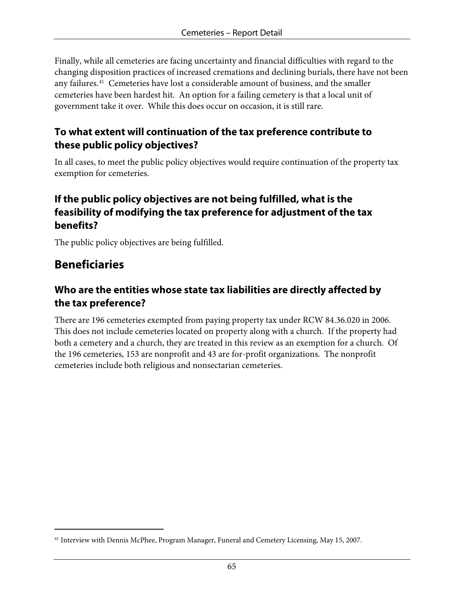Finally, while all cemeteries are facing uncertainty and financial difficulties with regard to the changing disposition practices of increased cremations and declining burials, there have not been any failures.[41](#page-68-0) Cemeteries have lost a considerable amount of business, and the smaller cemeteries have been hardest hit. An option for a failing cemetery is that a local unit of government take it over. While this does occur on occasion, it is still rare.

#### **To what extent will continuation of the tax preference contribute to these public policy objectives?**

In all cases, to meet the public policy objectives would require continuation of the property tax exemption for cemeteries.

#### **If the public policy objectives are not being fulfilled, what is the feasibility of modifying the tax preference for adjustment of the tax benefits?**

The public policy objectives are being fulfilled.

## **Beneficiaries**

 $\overline{a}$ 

## **Who are the entities whose state tax liabilities are directly affected by the tax preference?**

There are 196 cemeteries exempted from paying property tax under RCW 84.36.020 in 2006. This does not include cemeteries located on property along with a church. If the property had both a cemetery and a church, they are treated in this review as an exemption for a church. Of the 196 cemeteries, 153 are nonprofit and 43 are for-profit organizations. The nonprofit cemeteries include both religious and nonsectarian cemeteries.

<span id="page-68-0"></span><sup>41</sup> Interview with Dennis McPhee, Program Manager, Funeral and Cemetery Licensing, May 15, 2007.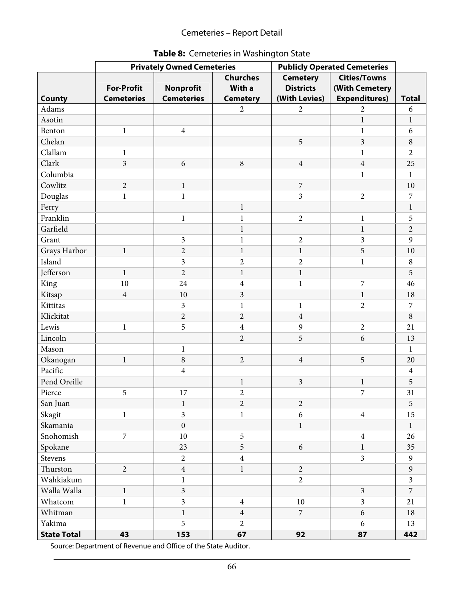|                    |                   | <b>Privately Owned Cemeteries</b> |                         | <b>Publicly Operated Cemeteries</b> |                         |                  |
|--------------------|-------------------|-----------------------------------|-------------------------|-------------------------------------|-------------------------|------------------|
|                    |                   |                                   | <b>Churches</b>         | <b>Cemetery</b>                     | <b>Cities/Towns</b>     |                  |
|                    | <b>For-Profit</b> | <b>Nonprofit</b>                  | With a                  | <b>Districts</b>                    | (With Cemetery          |                  |
| <b>County</b>      | <b>Cemeteries</b> | <b>Cemeteries</b>                 | <b>Cemetery</b>         | (With Levies)                       | <b>Expenditures)</b>    | <b>Total</b>     |
| Adams              |                   |                                   | $\overline{2}$          | 2                                   | 2                       | 6                |
| Asotin             |                   |                                   |                         |                                     | $\mathbf{1}$            | $\mathbf{1}$     |
| Benton             | $\mathbf{1}$      | $\overline{4}$                    |                         |                                     | $\mathbf{1}$            | 6                |
| Chelan             |                   |                                   |                         | 5                                   | $\mathfrak{Z}$          | $\,8\,$          |
| Clallam            | $\mathbf{1}$      |                                   |                         |                                     | $\mathbf{1}$            | $\overline{2}$   |
| Clark              | $\overline{3}$    | 6                                 | 8                       | $\overline{4}$                      | $\overline{4}$          | 25               |
| Columbia           |                   |                                   |                         |                                     | $\mathbf{1}$            | $\mathbf{1}$     |
| Cowlitz            | $\overline{2}$    | $\mathbf{1}$                      |                         | $\boldsymbol{7}$                    |                         | 10               |
| Douglas            | $\,1$             | $\mathbf{1}$                      |                         | $\mathfrak{Z}$                      | $\sqrt{2}$              | $\boldsymbol{7}$ |
| Ferry              |                   |                                   | $\mathbf{1}$            |                                     |                         | $\mathbf{1}$     |
| Franklin           |                   | $\mathbf{1}$                      | $\mathbf{1}$            | $\overline{2}$                      | $\mathbf{1}$            | 5                |
| Garfield           |                   |                                   | $\mathbf{1}$            |                                     | $\mathbf{1}$            | $\overline{2}$   |
| Grant              |                   | 3                                 | $\mathbf{1}$            | $\overline{2}$                      | 3                       | 9                |
| Grays Harbor       | $\mathbf{1}$      | $\overline{2}$                    | $\mathbf{1}$            | $\mathbf{1}$                        | 5                       | 10               |
| Island             |                   | $\mathfrak{Z}$                    | $\overline{2}$          | $\overline{2}$                      | $\mathbf{1}$            | $\,8\,$          |
| Jefferson          | $\mathbf{1}$      | $\overline{2}$                    | $\mathbf{1}$            | $\mathbf{1}$                        |                         | 5                |
| King               | 10                | 24                                | $\overline{4}$          | $\,1$                               | $\boldsymbol{7}$        | 46               |
| Kitsap             | $\overline{4}$    | 10                                | $\mathfrak{Z}$          |                                     | $\mathbf{1}$            | 18               |
| Kittitas           |                   | $\mathfrak{Z}$                    | $\mathbf{1}$            | $\mathbf{1}$                        | $\overline{2}$          | $\boldsymbol{7}$ |
| Klickitat          |                   | $\overline{c}$                    | $\overline{2}$          | $\overline{4}$                      |                         | $\,8\,$          |
| Lewis              | $\mathbf{1}$      | 5                                 | $\overline{\mathbf{4}}$ | 9                                   | $\sqrt{2}$              | 21               |
| Lincoln            |                   |                                   | $\overline{2}$          | 5                                   | 6                       | 13               |
| Mason              |                   | $\mathbf{1}$                      |                         |                                     |                         | $\mathbf{1}$     |
| Okanogan           | $\,1$             | $\,8\,$                           | $\overline{2}$          | $\overline{4}$                      | 5                       | 20               |
| Pacific            |                   | $\overline{4}$                    |                         |                                     |                         | $\overline{4}$   |
| Pend Oreille       |                   |                                   | $\mathbf{1}$            | $\overline{3}$                      | $\mathbf{1}$            | 5                |
| Pierce             | 5                 | 17                                | $\overline{c}$          |                                     | 7                       | 31               |
| San Juan           |                   | 1                                 | $\overline{c}$          | $\mathbf{2}$                        |                         | $\sqrt{5}$       |
| Skagit             | $\,1$             | $\overline{\mathbf{3}}$           | $\mathbf{1}$            | 6                                   | $\overline{4}$          | 15               |
| Skamania           |                   | $\boldsymbol{0}$                  |                         | $\mathbf{1}$                        |                         | $\mathbf{1}$     |
| Snohomish          | $\overline{7}$    | 10                                | 5                       |                                     | $\overline{4}$          | 26               |
| Spokane            |                   | 23                                | 5                       | 6                                   | $\mathbf{1}$            | 35               |
| Stevens            |                   | $\overline{2}$                    | $\overline{4}$          |                                     | $\overline{3}$          | 9                |
| Thurston           | $\overline{2}$    | $\overline{4}$                    | $\mathbf{1}$            | $\overline{2}$                      |                         | $\overline{9}$   |
| Wahkiakum          |                   | $\mathbf{1}$                      |                         | $\overline{2}$                      |                         | $\overline{3}$   |
| Walla Walla        | $\mathbf{1}$      | $\overline{3}$                    |                         |                                     | $\mathfrak{Z}$          | $\overline{7}$   |
| Whatcom            | $\,1$             | $\overline{\mathbf{3}}$           | $\overline{4}$          | $10\,$                              | $\overline{\mathbf{3}}$ | 21               |
| Whitman            |                   | $\mathbf{1}$                      | $\overline{4}$          | $\overline{7}$                      | $\sqrt{6}$              | 18               |
| Yakima             |                   | 5                                 | $\overline{2}$          |                                     | 6                       | 13               |
| <b>State Total</b> | 43                | 153                               | 67                      | 92                                  | 87                      | 442              |

**Table 8:** Cemeteries in Washington State

Source: Department of Revenue and Office of the State Auditor.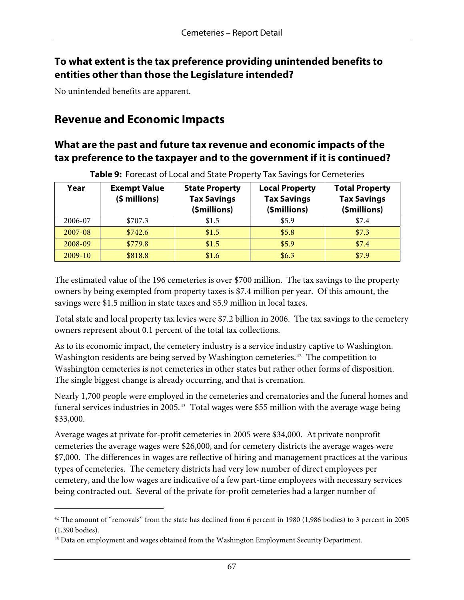#### **To what extent is the tax preference providing unintended benefits to entities other than those the Legislature intended?**

No unintended benefits are apparent.

 $\overline{a}$ 

## **Revenue and Economic Impacts**

#### **What are the past and future tax revenue and economic impacts of the tax preference to the taxpayer and to the government if it is continued?**

| Year      | <b>Exempt Value</b><br>$(5$ millions) | <b>State Property</b><br><b>Tax Savings</b><br>(\$millions) | <b>Local Property</b><br><b>Tax Savings</b><br>(\$millions) | <b>Total Property</b><br><b>Tax Savings</b><br>(\$millions) |
|-----------|---------------------------------------|-------------------------------------------------------------|-------------------------------------------------------------|-------------------------------------------------------------|
| 2006-07   | \$707.3                               | \$1.5                                                       | \$5.9                                                       | \$7.4                                                       |
| 2007-08   | \$742.6                               | \$1.5                                                       | \$5.8                                                       | \$7.3                                                       |
| 2008-09   | \$779.8                               | \$1.5                                                       | \$5.9                                                       | \$7.4                                                       |
| $2009-10$ | \$818.8                               | \$1.6                                                       | \$6.3                                                       | \$7.9                                                       |

**Table 9:** Forecast of Local and State Property Tax Savings for Cemeteries

The estimated value of the 196 cemeteries is over \$700 million. The tax savings to the property owners by being exempted from property taxes is \$7.4 million per year. Of this amount, the savings were \$1.5 million in state taxes and \$5.9 million in local taxes.

Total state and local property tax levies were \$7.2 billion in 2006. The tax savings to the cemetery owners represent about 0.1 percent of the total tax collections.

As to its economic impact, the cemetery industry is a service industry captive to Washington. Washington residents are being served by Washington cemeteries.<sup>[42](#page-70-0)</sup> The competition to Washington cemeteries is not cemeteries in other states but rather other forms of disposition. The single biggest change is already occurring, and that is cremation.

Nearly 1,700 people were employed in the cemeteries and crematories and the funeral homes and funeral services industries in 2005.<sup>[43](#page-70-1)</sup> Total wages were \$55 million with the average wage being \$33,000.

Average wages at private for-profit cemeteries in 2005 were \$34,000. At private nonprofit cemeteries the average wages were \$26,000, and for cemetery districts the average wages were \$7,000. The differences in wages are reflective of hiring and management practices at the various types of cemeteries. The cemetery districts had very low number of direct employees per cemetery, and the low wages are indicative of a few part-time employees with necessary services being contracted out. Several of the private for-profit cemeteries had a larger number of

<span id="page-70-0"></span><sup>&</sup>lt;sup>42</sup> The amount of "removals" from the state has declined from 6 percent in 1980 (1,986 bodies) to 3 percent in 2005 (1,390 bodies).

<span id="page-70-1"></span><sup>&</sup>lt;sup>43</sup> Data on employment and wages obtained from the Washington Employment Security Department.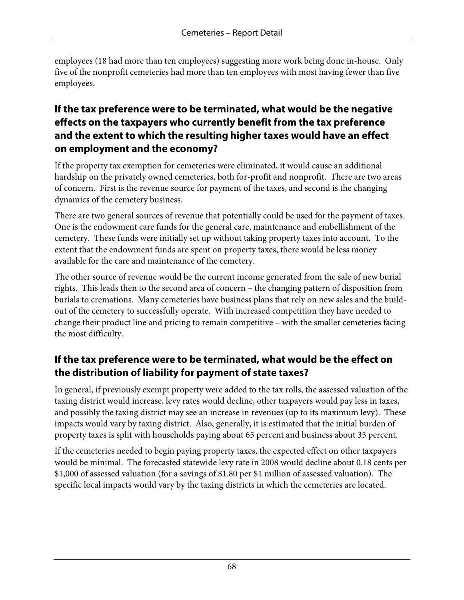employees (18 had more than ten employees) suggesting more work being done in-house. Only five of the nonprofit cemeteries had more than ten employees with most having fewer than five employees.

#### **If the tax preference were to be terminated, what would be the negative effects on the taxpayers who currently benefit from the tax preference and the extent to which the resulting higher taxes would have an effect on employment and the economy?**

If the property tax exemption for cemeteries were eliminated, it would cause an additional hardship on the privately owned cemeteries, both for-profit and nonprofit. There are two areas of concern. First is the revenue source for payment of the taxes, and second is the changing dynamics of the cemetery business.

There are two general sources of revenue that potentially could be used for the payment of taxes. One is the endowment care funds for the general care, maintenance and embellishment of the cemetery. These funds were initially set up without taking property taxes into account. To the extent that the endowment funds are spent on property taxes, there would be less money available for the care and maintenance of the cemetery.

The other source of revenue would be the current income generated from the sale of new burial rights. This leads then to the second area of concern – the changing pattern of disposition from burials to cremations. Many cemeteries have business plans that rely on new sales and the buildout of the cemetery to successfully operate. With increased competition they have needed to change their product line and pricing to remain competitive – with the smaller cemeteries facing the most difficulty.

## **If the tax preference were to be terminated, what would be the effect on the distribution of liability for payment of state taxes?**

In general, if previously exempt property were added to the tax rolls, the assessed valuation of the taxing district would increase, levy rates would decline, other taxpayers would pay less in taxes, and possibly the taxing district may see an increase in revenues (up to its maximum levy). These impacts would vary by taxing district. Also, generally, it is estimated that the initial burden of property taxes is split with households paying about 65 percent and business about 35 percent.

If the cemeteries needed to begin paying property taxes, the expected effect on other taxpayers would be minimal. The forecasted statewide levy rate in 2008 would decline about 0.18 cents per \$1,000 of assessed valuation (for a savings of \$1.80 per \$1 million of assessed valuation). The specific local impacts would vary by the taxing districts in which the cemeteries are located.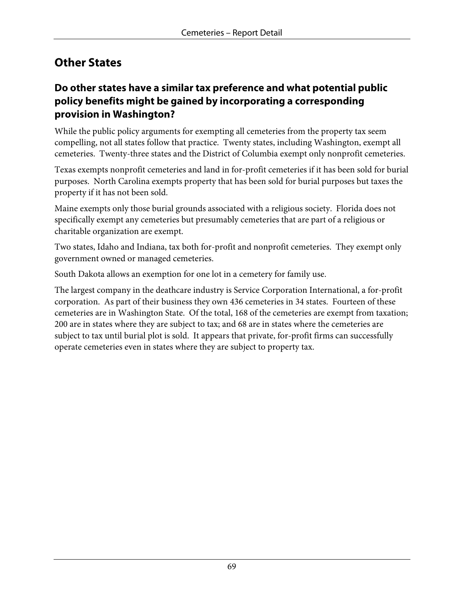## **Other States**

#### **Do other states have a similar tax preference and what potential public policy benefits might be gained by incorporating a corresponding provision in Washington?**

While the public policy arguments for exempting all cemeteries from the property tax seem compelling, not all states follow that practice. Twenty states, including Washington, exempt all cemeteries. Twenty-three states and the District of Columbia exempt only nonprofit cemeteries.

Texas exempts nonprofit cemeteries and land in for-profit cemeteries if it has been sold for burial purposes. North Carolina exempts property that has been sold for burial purposes but taxes the property if it has not been sold.

Maine exempts only those burial grounds associated with a religious society. Florida does not specifically exempt any cemeteries but presumably cemeteries that are part of a religious or charitable organization are exempt.

Two states, Idaho and Indiana, tax both for-profit and nonprofit cemeteries. They exempt only government owned or managed cemeteries.

South Dakota allows an exemption for one lot in a cemetery for family use.

The largest company in the deathcare industry is Service Corporation International, a for-profit corporation. As part of their business they own 436 cemeteries in 34 states. Fourteen of these cemeteries are in Washington State. Of the total, 168 of the cemeteries are exempt from taxation; 200 are in states where they are subject to tax; and 68 are in states where the cemeteries are subject to tax until burial plot is sold. It appears that private, for-profit firms can successfully operate cemeteries even in states where they are subject to property tax.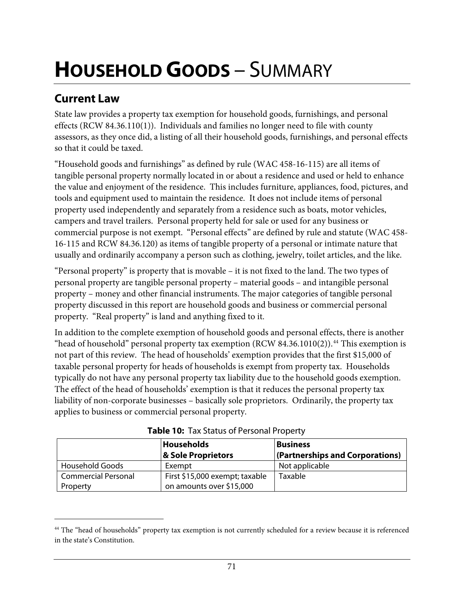# **HOUSEHOLD GOODS** – SUMMARY

## **Current Law**

 $\overline{a}$ 

State law provides a property tax exemption for household goods, furnishings, and personal effects (RCW 84.36.110(1)). Individuals and families no longer need to file with county assessors, as they once did, a listing of all their household goods, furnishings, and personal effects so that it could be taxed.

"Household goods and furnishings" as defined by rule (WAC 458-16-115) are all items of tangible personal property normally located in or about a residence and used or held to enhance the value and enjoyment of the residence. This includes furniture, appliances, food, pictures, and tools and equipment used to maintain the residence. It does not include items of personal property used independently and separately from a residence such as boats, motor vehicles, campers and travel trailers. Personal property held for sale or used for any business or commercial purpose is not exempt. "Personal effects" are defined by rule and statute (WAC 458- 16-115 and RCW 84.36.120) as items of tangible property of a personal or intimate nature that usually and ordinarily accompany a person such as clothing, jewelry, toilet articles, and the like.

"Personal property" is property that is movable – it is not fixed to the land. The two types of personal property are tangible personal property – material goods – and intangible personal property – money and other financial instruments. The major categories of tangible personal property discussed in this report are household goods and business or commercial personal property. "Real property" is land and anything fixed to it.

In addition to the complete exemption of household goods and personal effects, there is another "head of household" personal property tax exemption (RCW 84.36.1010(2)).<sup>[44](#page-74-0)</sup> This exemption is not part of this review. The head of households' exemption provides that the first \$15,000 of taxable personal property for heads of households is exempt from property tax. Households typically do not have any personal property tax liability due to the household goods exemption. The effect of the head of households' exemption is that it reduces the personal property tax liability of non-corporate businesses – basically sole proprietors. Ordinarily, the property tax applies to business or commercial personal property.

|                            | Households                     | <b>Business</b>                 |  |
|----------------------------|--------------------------------|---------------------------------|--|
|                            | & Sole Proprietors             | (Partnerships and Corporations) |  |
| <b>Household Goods</b>     | Exempt                         | Not applicable                  |  |
| <b>Commercial Personal</b> | First \$15,000 exempt; taxable | Taxable                         |  |
| Property                   | on amounts over \$15,000       |                                 |  |

**Table 10:** Tax Status of Personal Property

<span id="page-74-0"></span><sup>&</sup>lt;sup>44</sup> The "head of households" property tax exemption is not currently scheduled for a review because it is referenced in the state's Constitution.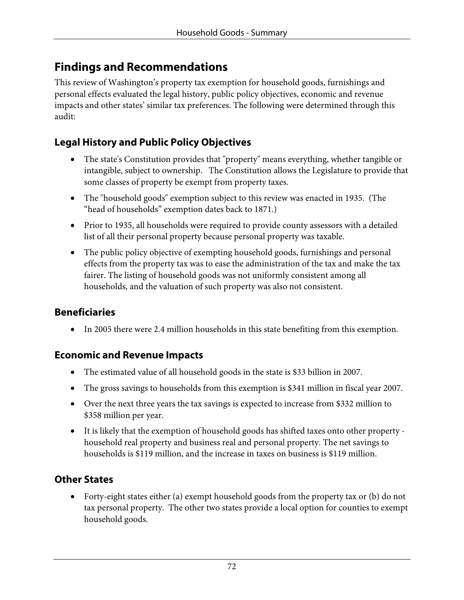## **Findings and Recommendations**

This review of Washington's property tax exemption for household goods, furnishings and personal effects evaluated the legal history, public policy objectives, economic and revenue impacts and other states' similar tax preferences. The following were determined through this audit:

## **Legal History and Public Policy Objectives**

- The state's Constitution provides that "property" means everything, whether tangible or intangible, subject to ownership. The Constitution allows the Legislature to provide that some classes of property be exempt from property taxes.
- The "household goods" exemption subject to this review was enacted in 1935. (The "head of households" exemption dates back to 1871.)
- Prior to 1935, all households were required to provide county assessors with a detailed list of all their personal property because personal property was taxable.
- The public policy objective of exempting household goods, furnishings and personal effects from the property tax was to ease the administration of the tax and make the tax fairer. The listing of household goods was not uniformly consistent among all households, and the valuation of such property was also not consistent.

#### **Beneficiaries**

• In 2005 there were 2.4 million households in this state benefiting from this exemption.

#### **Economic and Revenue Impacts**

- The estimated value of all household goods in the state is \$33 billion in 2007.
- The gross savings to households from this exemption is \$341 million in fiscal year 2007.
- Over the next three years the tax savings is expected to increase from \$332 million to \$358 million per year.
- It is likely that the exemption of household goods has shifted taxes onto other property household real property and business real and personal property. The net savings to households is \$119 million, and the increase in taxes on business is \$119 million.

## **Other States**

• Forty-eight states either (a) exempt household goods from the property tax or (b) do not tax personal property. The other two states provide a local option for counties to exempt household goods.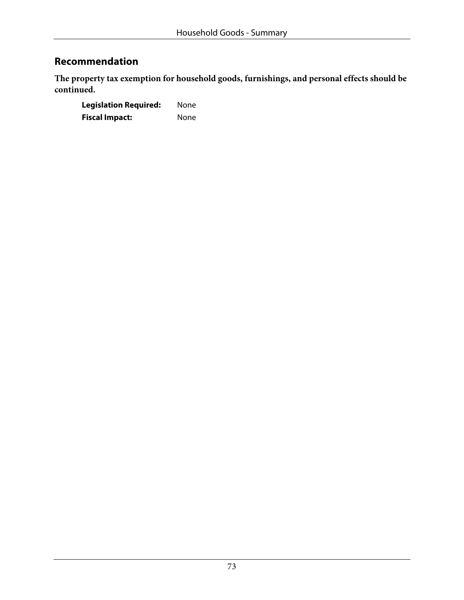## **Recommendation**

**The property tax exemption for household goods, furnishings, and personal effects should be continued.** 

**Legislation Required:** None **Fiscal Impact:** None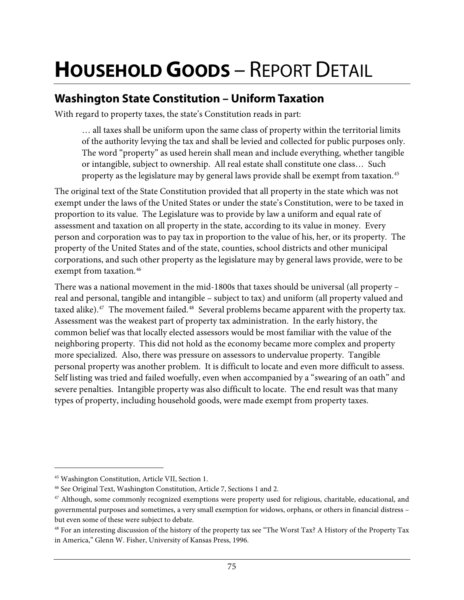# **HOUSEHOLD GOODS** – REPORT DETAIL

## **Washington State Constitution – Uniform Taxation**

With regard to property taxes, the state's Constitution reads in part:

… all taxes shall be uniform upon the same class of property within the territorial limits of the authority levying the tax and shall be levied and collected for public purposes only. The word "property" as used herein shall mean and include everything, whether tangible or intangible, subject to ownership. All real estate shall constitute one class… Such property as the legislature may by general laws provide shall be exempt from taxation.<sup>[45](#page-78-0)</sup>

The original text of the State Constitution provided that all property in the state which was not exempt under the laws of the United States or under the state's Constitution, were to be taxed in proportion to its value. The Legislature was to provide by law a uniform and equal rate of assessment and taxation on all property in the state, according to its value in money. Every person and corporation was to pay tax in proportion to the value of his, her, or its property. The property of the United States and of the state, counties, school districts and other municipal corporations, and such other property as the legislature may by general laws provide, were to be exempt from taxation.<sup>[46](#page-78-1)</sup>

There was a national movement in the mid-1800s that taxes should be universal (all property – real and personal, tangible and intangible – subject to tax) and uniform (all property valued and taxed alike). $47$  The movement failed. $48$  Several problems became apparent with the property tax. Assessment was the weakest part of property tax administration. In the early history, the common belief was that locally elected assessors would be most familiar with the value of the neighboring property. This did not hold as the economy became more complex and property more specialized. Also, there was pressure on assessors to undervalue property. Tangible personal property was another problem. It is difficult to locate and even more difficult to assess. Self listing was tried and failed woefully, even when accompanied by a "swearing of an oath" and severe penalties. Intangible property was also difficult to locate. The end result was that many types of property, including household goods, were made exempt from property taxes.

<span id="page-78-0"></span><sup>45</sup> Washington Constitution, Article VII, Section 1.

<span id="page-78-1"></span><sup>46</sup> See Original Text, Washington Constitution, Article 7, Sections 1 and 2.

<span id="page-78-2"></span><sup>47</sup> Although, some commonly recognized exemptions were property used for religious, charitable, educational, and governmental purposes and sometimes, a very small exemption for widows, orphans, or others in financial distress – but even some of these were subject to debate.

<span id="page-78-3"></span><sup>48</sup> For an interesting discussion of the history of the property tax see "The Worst Tax? A History of the Property Tax in America," Glenn W. Fisher, University of Kansas Press, 1996.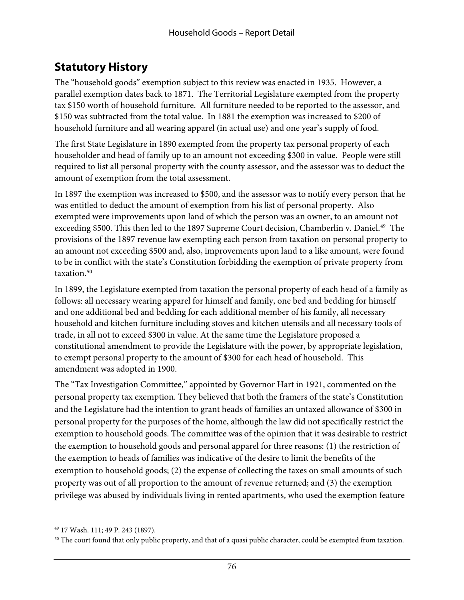## **Statutory History**

The "household goods" exemption subject to this review was enacted in 1935. However, a parallel exemption dates back to 1871. The Territorial Legislature exempted from the property tax \$150 worth of household furniture. All furniture needed to be reported to the assessor, and \$150 was subtracted from the total value. In 1881 the exemption was increased to \$200 of household furniture and all wearing apparel (in actual use) and one year's supply of food.

The first State Legislature in 1890 exempted from the property tax personal property of each householder and head of family up to an amount not exceeding \$300 in value. People were still required to list all personal property with the county assessor, and the assessor was to deduct the amount of exemption from the total assessment.

In 1897 the exemption was increased to \$500, and the assessor was to notify every person that he was entitled to deduct the amount of exemption from his list of personal property. Also exempted were improvements upon land of which the person was an owner, to an amount not exceeding \$500. This then led to the 1897 Supreme Court decision, Chamberlin v. Daniel.<sup>[49](#page-79-0)</sup> The provisions of the 1897 revenue law exempting each person from taxation on personal property to an amount not exceeding \$500 and, also, improvements upon land to a like amount, were found to be in conflict with the state's Constitution forbidding the exemption of private property from taxation.<sup>[50](#page-79-1)</sup>

In 1899, the Legislature exempted from taxation the personal property of each head of a family as follows: all necessary wearing apparel for himself and family, one bed and bedding for himself and one additional bed and bedding for each additional member of his family, all necessary household and kitchen furniture including stoves and kitchen utensils and all necessary tools of trade, in all not to exceed \$300 in value. At the same time the Legislature proposed a constitutional amendment to provide the Legislature with the power, by appropriate legislation, to exempt personal property to the amount of \$300 for each head of household. This amendment was adopted in 1900.

The "Tax Investigation Committee," appointed by Governor Hart in 1921, commented on the personal property tax exemption. They believed that both the framers of the state's Constitution and the Legislature had the intention to grant heads of families an untaxed allowance of \$300 in personal property for the purposes of the home, although the law did not specifically restrict the exemption to household goods. The committee was of the opinion that it was desirable to restrict the exemption to household goods and personal apparel for three reasons: (1) the restriction of the exemption to heads of families was indicative of the desire to limit the benefits of the exemption to household goods; (2) the expense of collecting the taxes on small amounts of such property was out of all proportion to the amount of revenue returned; and (3) the exemption privilege was abused by individuals living in rented apartments, who used the exemption feature

<span id="page-79-0"></span><sup>49 17</sup> Wash. 111; 49 P. 243 (1897).

<span id="page-79-1"></span> $50$  The court found that only public property, and that of a quasi public character, could be exempted from taxation.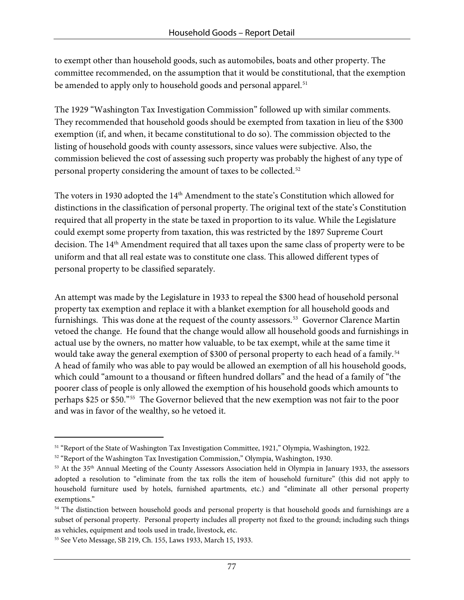to exempt other than household goods, such as automobiles, boats and other property. The committee recommended, on the assumption that it would be constitutional, that the exemption be amended to apply only to household goods and personal apparel.<sup>[51](#page-80-0)</sup>

The 1929 "Washington Tax Investigation Commission" followed up with similar comments. They recommended that household goods should be exempted from taxation in lieu of the \$300 exemption (if, and when, it became constitutional to do so). The commission objected to the listing of household goods with county assessors, since values were subjective. Also, the commission believed the cost of assessing such property was probably the highest of any type of personal property considering the amount of taxes to be collected. [52](#page-80-1)

The voters in 1930 adopted the 14<sup>th</sup> Amendment to the state's Constitution which allowed for distinctions in the classification of personal property. The original text of the state's Constitution required that all property in the state be taxed in proportion to its value. While the Legislature could exempt some property from taxation, this was restricted by the 1897 Supreme Court decision. The 14<sup>th</sup> Amendment required that all taxes upon the same class of property were to be uniform and that all real estate was to constitute one class. This allowed different types of personal property to be classified separately.

An attempt was made by the Legislature in 1933 to repeal the \$300 head of household personal property tax exemption and replace it with a blanket exemption for all household goods and furnishings. This was done at the request of the county assessors.<sup>[53](#page-80-2)</sup> Governor Clarence Martin vetoed the change. He found that the change would allow all household goods and furnishings in actual use by the owners, no matter how valuable, to be tax exempt, while at the same time it would take away the general exemption of \$300 of personal property to each head of a family.<sup>[54](#page-80-3)</sup> A head of family who was able to pay would be allowed an exemption of all his household goods, which could "amount to a thousand or fifteen hundred dollars" and the head of a family of "the poorer class of people is only allowed the exemption of his household goods which amounts to perhaps \$25 or \$50."[55](#page-80-4) The Governor believed that the new exemption was not fair to the poor and was in favor of the wealthy, so he vetoed it.

-

<span id="page-80-0"></span>

<span id="page-80-2"></span>

<span id="page-80-1"></span><sup>&</sup>lt;sup>51</sup> "Report of the State of Washington Tax Investigation Committee, 1921," Olympia, Washington, 1922.<br><sup>52</sup> "Report of the Washington Tax Investigation Commission," Olympia, Washington, 1930.<br><sup>53</sup> At the 35<sup>th</sup> Annual Mee adopted a resolution to "eliminate from the tax rolls the item of household furniture" (this did not apply to household furniture used by hotels, furnished apartments, etc.) and "eliminate all other personal property exemptions."

<span id="page-80-3"></span><sup>&</sup>lt;sup>54</sup> The distinction between household goods and personal property is that household goods and furnishings are a subset of personal property. Personal property includes all property not fixed to the ground; including such things as vehicles, equipment and tools used in trade, livestock, etc.

<span id="page-80-4"></span><sup>55</sup> See Veto Message, SB 219, Ch. 155, Laws 1933, March 15, 1933.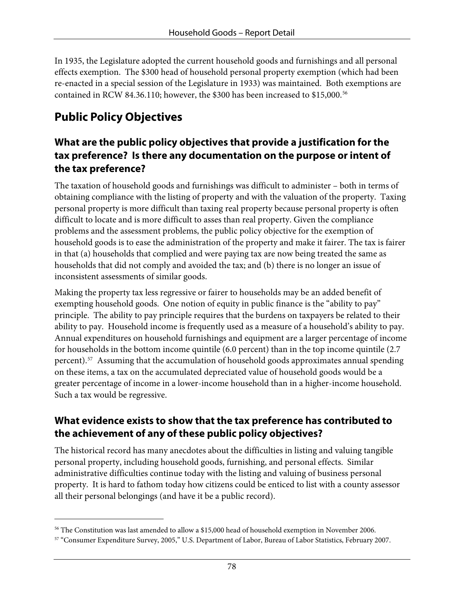In 1935, the Legislature adopted the current household goods and furnishings and all personal effects exemption. The \$300 head of household personal property exemption (which had been re-enacted in a special session of the Legislature in 1933) was maintained. Both exemptions are contained in RCW 84.36.110; however, the \$300 has been increased to \$15,000.<sup>[56](#page-81-0)</sup>

# **Public Policy Objectives**

#### **What are the public policy objectives that provide a justification for the tax preference? Is there any documentation on the purpose or intent of the tax preference?**

The taxation of household goods and furnishings was difficult to administer – both in terms of obtaining compliance with the listing of property and with the valuation of the property. Taxing personal property is more difficult than taxing real property because personal property is often difficult to locate and is more difficult to asses than real property. Given the compliance problems and the assessment problems, the public policy objective for the exemption of household goods is to ease the administration of the property and make it fairer. The tax is fairer in that (a) households that complied and were paying tax are now being treated the same as households that did not comply and avoided the tax; and (b) there is no longer an issue of inconsistent assessments of similar goods.

Making the property tax less regressive or fairer to households may be an added benefit of exempting household goods. One notion of equity in public finance is the "ability to pay" principle. The ability to pay principle requires that the burdens on taxpayers be related to their ability to pay. Household income is frequently used as a measure of a household's ability to pay. Annual expenditures on household furnishings and equipment are a larger percentage of income for households in the bottom income quintile (6.0 percent) than in the top income quintile (2.7 percent).[57](#page-81-1) Assuming that the accumulation of household goods approximates annual spending on these items, a tax on the accumulated depreciated value of household goods would be a greater percentage of income in a lower-income household than in a higher-income household. Such a tax would be regressive.

### **What evidence exists to show that the tax preference has contributed to the achievement of any of these public policy objectives?**

The historical record has many anecdotes about the difficulties in listing and valuing tangible personal property, including household goods, furnishing, and personal effects. Similar administrative difficulties continue today with the listing and valuing of business personal property. It is hard to fathom today how citizens could be enticed to list with a county assessor all their personal belongings (and have it be a public record).

<span id="page-81-0"></span> $\overline{a}$ <sup>56</sup> The Constitution was last amended to allow a \$15,000 head of household exemption in November 2006.<br><sup>57</sup> "Consumer Expenditure Survey, 2005," U.S. Department of Labor, Bureau of Labor Statistics, February 2007.

<span id="page-81-1"></span>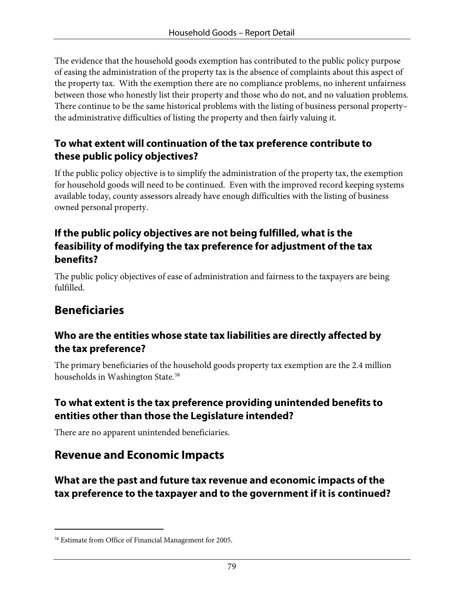The evidence that the household goods exemption has contributed to the public policy purpose of easing the administration of the property tax is the absence of complaints about this aspect of the property tax. With the exemption there are no compliance problems, no inherent unfairness between those who honestly list their property and those who do not, and no valuation problems. There continue to be the same historical problems with the listing of business personal property– the administrative difficulties of listing the property and then fairly valuing it.

## **To what extent will continuation of the tax preference contribute to these public policy objectives?**

If the public policy objective is to simplify the administration of the property tax, the exemption for household goods will need to be continued. Even with the improved record keeping systems available today, county assessors already have enough difficulties with the listing of business owned personal property.

#### **If the public policy objectives are not being fulfilled, what is the feasibility of modifying the tax preference for adjustment of the tax benefits?**

The public policy objectives of ease of administration and fairness to the taxpayers are being fulfilled.

## **Beneficiaries**

 $\overline{a}$ 

#### **Who are the entities whose state tax liabilities are directly affected by the tax preference?**

The primary beneficiaries of the household goods property tax exemption are the 2.4 million households in Washington State.<sup>[58](#page-82-0)</sup>

#### **To what extent is the tax preference providing unintended benefits to entities other than those the Legislature intended?**

There are no apparent unintended beneficiaries.

## **Revenue and Economic Impacts**

**What are the past and future tax revenue and economic impacts of the tax preference to the taxpayer and to the government if it is continued?** 

<span id="page-82-0"></span><sup>58</sup> Estimate from Office of Financial Management for 2005.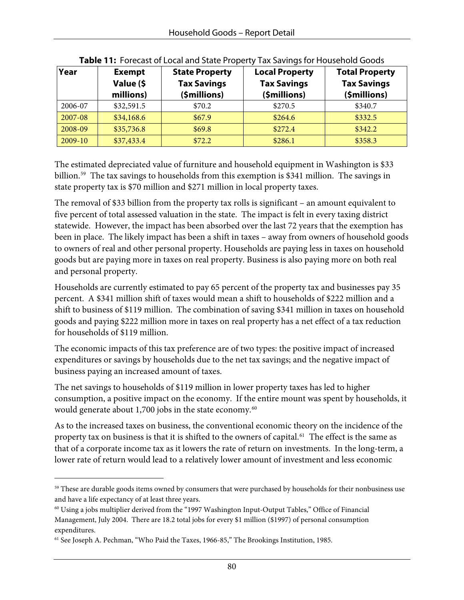| Year      | <b>Exempt</b><br>Value (\$<br>millions) | <b>State Property</b><br><b>Tax Savings</b><br>(\$millions) | <b>Local Property</b><br><b>Tax Savings</b><br>(\$millions) | <b>Total Property</b><br><b>Tax Savings</b><br>(\$millions) |
|-----------|-----------------------------------------|-------------------------------------------------------------|-------------------------------------------------------------|-------------------------------------------------------------|
| 2006-07   | \$32,591.5                              | \$70.2                                                      | \$270.5                                                     | \$340.7                                                     |
| 2007-08   | \$34,168.6                              | \$67.9                                                      | \$264.6                                                     | \$332.5                                                     |
| 2008-09   | \$35,736.8                              | \$69.8                                                      | \$272.4                                                     | \$342.2                                                     |
| $2009-10$ | \$37,433.4                              | \$72.2                                                      | \$286.1                                                     | \$358.3                                                     |

**Table 11:** Forecast of Local and State Property Tax Savings for Household Goods

The estimated depreciated value of furniture and household equipment in Washington is \$33 billion.<sup>59</sup> The tax savings to households from this exemption is \$341 million. The savings in state property tax is \$70 million and \$271 million in local property taxes.

The removal of \$33 billion from the property tax rolls is significant – an amount equivalent to five percent of total assessed valuation in the state. The impact is felt in every taxing district statewide. However, the impact has been absorbed over the last 72 years that the exemption has been in place. The likely impact has been a shift in taxes – away from owners of household goods to owners of real and other personal property. Households are paying less in taxes on household goods but are paying more in taxes on real property. Business is also paying more on both real and personal property.

Households are currently estimated to pay 65 percent of the property tax and businesses pay 35 percent. A \$341 million shift of taxes would mean a shift to households of \$222 million and a shift to business of \$119 million. The combination of saving \$341 million in taxes on household goods and paying \$222 million more in taxes on real property has a net effect of a tax reduction for households of \$119 million.

The economic impacts of this tax preference are of two types: the positive impact of increased expenditures or savings by households due to the net tax savings; and the negative impact of business paying an increased amount of taxes.

The net savings to households of \$119 million in lower property taxes has led to higher consumption, a positive impact on the economy. If the entire mount was spent by households, it would generate about 1,700 jobs in the state economy.<sup>[60](#page-83-1)</sup>

As to the increased taxes on business, the conventional economic theory on the incidence of the property tax on business is that it is shifted to the owners of capital.<sup>[61](#page-83-2)</sup> The effect is the same as that of a corporate income tax as it lowers the rate of return on investments. In the long-term, a lower rate of return would lead to a relatively lower amount of investment and less economic

<span id="page-83-0"></span><sup>&</sup>lt;sup>59</sup> These are durable goods items owned by consumers that were purchased by households for their nonbusiness use and have a life expectancy of at least three years.

<span id="page-83-1"></span> $60$  Using a jobs multiplier derived from the "1997 Washington Input-Output Tables," Office of Financial Management, July 2004. There are 18.2 total jobs for every \$1 million (\$1997) of personal consumption expenditures.

<span id="page-83-2"></span><sup>&</sup>lt;sup>61</sup> See Joseph A. Pechman, "Who Paid the Taxes, 1966-85," The Brookings Institution, 1985.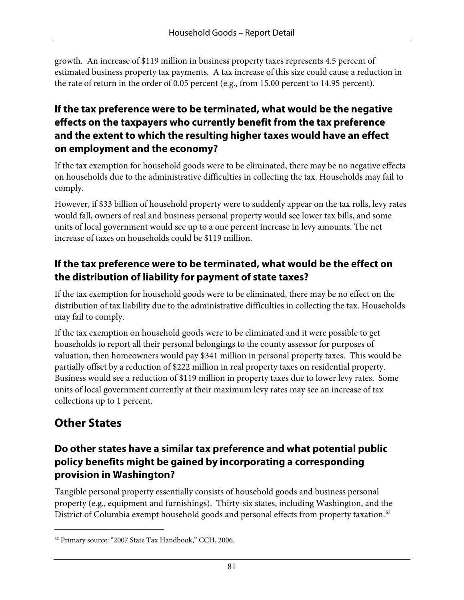growth. An increase of \$119 million in business property taxes represents 4.5 percent of estimated business property tax payments. A tax increase of this size could cause a reduction in the rate of return in the order of 0.05 percent (e.g., from 15.00 percent to 14.95 percent).

### **If the tax preference were to be terminated, what would be the negative effects on the taxpayers who currently benefit from the tax preference and the extent to which the resulting higher taxes would have an effect on employment and the economy?**

If the tax exemption for household goods were to be eliminated, there may be no negative effects on households due to the administrative difficulties in collecting the tax. Households may fail to comply.

However, if \$33 billion of household property were to suddenly appear on the tax rolls, levy rates would fall, owners of real and business personal property would see lower tax bills, and some units of local government would see up to a one percent increase in levy amounts. The net increase of taxes on households could be \$119 million.

### **If the tax preference were to be terminated, what would be the effect on the distribution of liability for payment of state taxes?**

If the tax exemption for household goods were to be eliminated, there may be no effect on the distribution of tax liability due to the administrative difficulties in collecting the tax. Households may fail to comply.

If the tax exemption on household goods were to be eliminated and it were possible to get households to report all their personal belongings to the county assessor for purposes of valuation, then homeowners would pay \$341 million in personal property taxes. This would be partially offset by a reduction of \$222 million in real property taxes on residential property. Business would see a reduction of \$119 million in property taxes due to lower levy rates. Some units of local government currently at their maximum levy rates may see an increase of tax collections up to 1 percent.

# **Other States**

-

#### **Do other states have a similar tax preference and what potential public policy benefits might be gained by incorporating a corresponding provision in Washington?**

Tangible personal property essentially consists of household goods and business personal property (e.g., equipment and furnishings). Thirty-six states, including Washington, and the District of Columbia exempt household goods and personal effects from property taxation.<sup>[62](#page-84-0)</sup>

<span id="page-84-0"></span><sup>62</sup> Primary source: "2007 State Tax Handbook," CCH, 2006.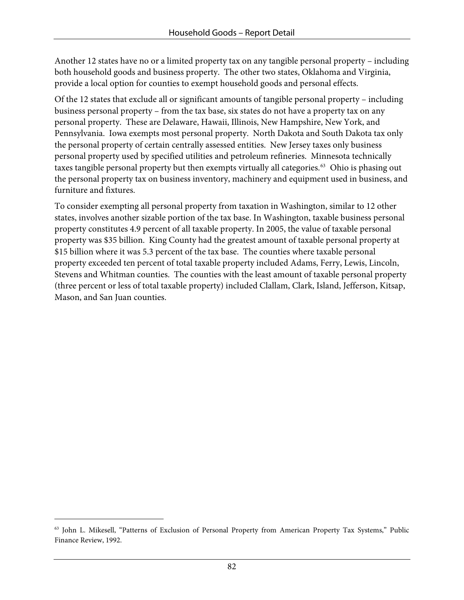Another 12 states have no or a limited property tax on any tangible personal property – including both household goods and business property. The other two states, Oklahoma and Virginia, provide a local option for counties to exempt household goods and personal effects.

Of the 12 states that exclude all or significant amounts of tangible personal property – including business personal property – from the tax base, six states do not have a property tax on any personal property. These are Delaware, Hawaii, Illinois, New Hampshire, New York, and Pennsylvania. Iowa exempts most personal property. North Dakota and South Dakota tax only the personal property of certain centrally assessed entities. New Jersey taxes only business personal property used by specified utilities and petroleum refineries. Minnesota technically taxes tangible personal property but then exempts virtually all categories.<sup>[63](#page-85-0)</sup> Ohio is phasing out the personal property tax on business inventory, machinery and equipment used in business, and furniture and fixtures.

To consider exempting all personal property from taxation in Washington, similar to 12 other states, involves another sizable portion of the tax base. In Washington, taxable business personal property constitutes 4.9 percent of all taxable property. In 2005, the value of taxable personal property was \$35 billion. King County had the greatest amount of taxable personal property at \$15 billion where it was 5.3 percent of the tax base. The counties where taxable personal property exceeded ten percent of total taxable property included Adams, Ferry, Lewis, Lincoln, Stevens and Whitman counties. The counties with the least amount of taxable personal property (three percent or less of total taxable property) included Clallam, Clark, Island, Jefferson, Kitsap, Mason, and San Juan counties.

<span id="page-85-0"></span><sup>63</sup> John L. Mikesell, "Patterns of Exclusion of Personal Property from American Property Tax Systems," Public Finance Review, 1992.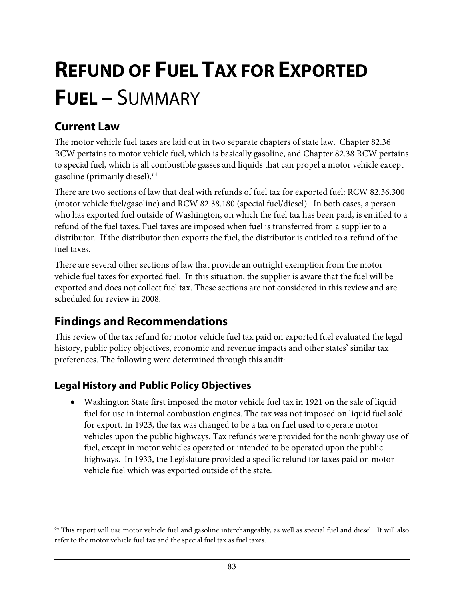# **REFUND OF FUEL TAX FOR EXPORTED FUEL** – SUMMARY

## **Current Law**

 $\overline{a}$ 

The motor vehicle fuel taxes are laid out in two separate chapters of state law. Chapter 82.36 RCW pertains to motor vehicle fuel, which is basically gasoline, and Chapter 82.38 RCW pertains to special fuel, which is all combustible gasses and liquids that can propel a motor vehicle except gasoline (primarily diesel).[64](#page-86-0)

There are two sections of law that deal with refunds of fuel tax for exported fuel: RCW 82.36.300 (motor vehicle fuel/gasoline) and RCW 82.38.180 (special fuel/diesel). In both cases, a person who has exported fuel outside of Washington, on which the fuel tax has been paid, is entitled to a refund of the fuel taxes. Fuel taxes are imposed when fuel is transferred from a supplier to a distributor. If the distributor then exports the fuel, the distributor is entitled to a refund of the fuel taxes.

There are several other sections of law that provide an outright exemption from the motor vehicle fuel taxes for exported fuel. In this situation, the supplier is aware that the fuel will be exported and does not collect fuel tax. These sections are not considered in this review and are scheduled for review in 2008.

## **Findings and Recommendations**

This review of the tax refund for motor vehicle fuel tax paid on exported fuel evaluated the legal history, public policy objectives, economic and revenue impacts and other states' similar tax preferences. The following were determined through this audit:

### **Legal History and Public Policy Objectives**

• Washington State first imposed the motor vehicle fuel tax in 1921 on the sale of liquid fuel for use in internal combustion engines. The tax was not imposed on liquid fuel sold for export. In 1923, the tax was changed to be a tax on fuel used to operate motor vehicles upon the public highways. Tax refunds were provided for the nonhighway use of fuel, except in motor vehicles operated or intended to be operated upon the public highways. In 1933, the Legislature provided a specific refund for taxes paid on motor vehicle fuel which was exported outside of the state.

<span id="page-86-0"></span><sup>64</sup> This report will use motor vehicle fuel and gasoline interchangeably, as well as special fuel and diesel. It will also refer to the motor vehicle fuel tax and the special fuel tax as fuel taxes.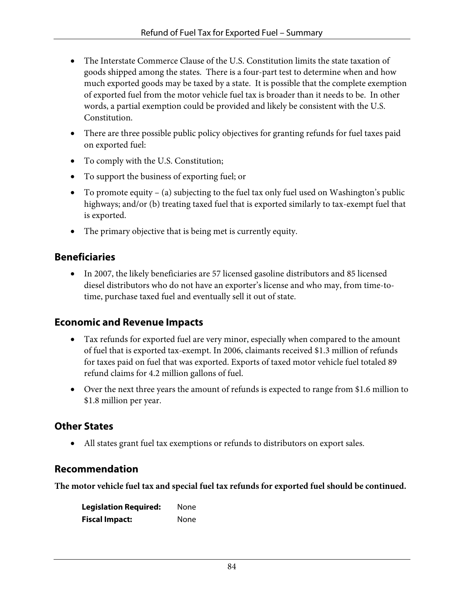- The Interstate Commerce Clause of the U.S. Constitution limits the state taxation of goods shipped among the states. There is a four-part test to determine when and how much exported goods may be taxed by a state. It is possible that the complete exemption of exported fuel from the motor vehicle fuel tax is broader than it needs to be. In other words, a partial exemption could be provided and likely be consistent with the U.S. Constitution.
- There are three possible public policy objectives for granting refunds for fuel taxes paid on exported fuel:
- To comply with the U.S. Constitution;
- To support the business of exporting fuel; or
- To promote equity (a) subjecting to the fuel tax only fuel used on Washington's public highways; and/or (b) treating taxed fuel that is exported similarly to tax-exempt fuel that is exported.
- The primary objective that is being met is currently equity.

#### **Beneficiaries**

• In 2007, the likely beneficiaries are 57 licensed gasoline distributors and 85 licensed diesel distributors who do not have an exporter's license and who may, from time-totime, purchase taxed fuel and eventually sell it out of state.

#### **Economic and Revenue Impacts**

- Tax refunds for exported fuel are very minor, especially when compared to the amount of fuel that is exported tax-exempt. In 2006, claimants received \$1.3 million of refunds for taxes paid on fuel that was exported. Exports of taxed motor vehicle fuel totaled 89 refund claims for 4.2 million gallons of fuel.
- Over the next three years the amount of refunds is expected to range from \$1.6 million to \$1.8 million per year.

### **Other States**

• All states grant fuel tax exemptions or refunds to distributors on export sales.

#### **Recommendation**

**The motor vehicle fuel tax and special fuel tax refunds for exported fuel should be continued.** 

| <b>Legislation Required:</b> | None |
|------------------------------|------|
| <b>Fiscal Impact:</b>        | None |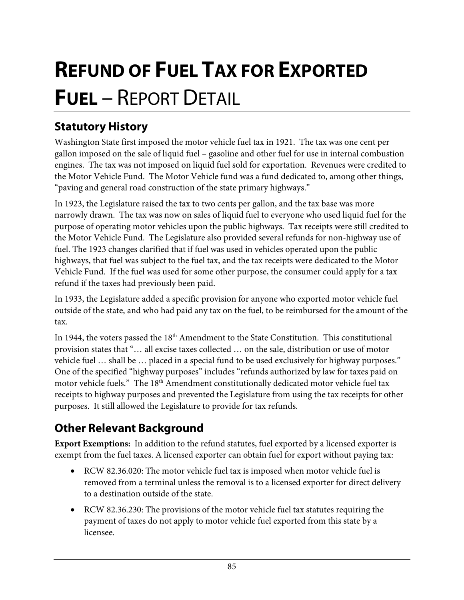# **REFUND OF FUEL TAX FOR EXPORTED FUEL** – REPORT DETAIL

# **Statutory History**

Washington State first imposed the motor vehicle fuel tax in 1921. The tax was one cent per gallon imposed on the sale of liquid fuel – gasoline and other fuel for use in internal combustion engines. The tax was not imposed on liquid fuel sold for exportation. Revenues were credited to the Motor Vehicle Fund. The Motor Vehicle fund was a fund dedicated to, among other things, "paving and general road construction of the state primary highways."

In 1923, the Legislature raised the tax to two cents per gallon, and the tax base was more narrowly drawn. The tax was now on sales of liquid fuel to everyone who used liquid fuel for the purpose of operating motor vehicles upon the public highways. Tax receipts were still credited to the Motor Vehicle Fund. The Legislature also provided several refunds for non-highway use of fuel. The 1923 changes clarified that if fuel was used in vehicles operated upon the public highways, that fuel was subject to the fuel tax, and the tax receipts were dedicated to the Motor Vehicle Fund. If the fuel was used for some other purpose, the consumer could apply for a tax refund if the taxes had previously been paid.

In 1933, the Legislature added a specific provision for anyone who exported motor vehicle fuel outside of the state, and who had paid any tax on the fuel, to be reimbursed for the amount of the tax.

In 1944, the voters passed the 18<sup>th</sup> Amendment to the State Constitution. This constitutional provision states that "… all excise taxes collected … on the sale, distribution or use of motor vehicle fuel … shall be … placed in a special fund to be used exclusively for highway purposes." One of the specified "highway purposes" includes "refunds authorized by law for taxes paid on motor vehicle fuels." The 18<sup>th</sup> Amendment constitutionally dedicated motor vehicle fuel tax receipts to highway purposes and prevented the Legislature from using the tax receipts for other purposes. It still allowed the Legislature to provide for tax refunds.

## **Other Relevant Background**

**Export Exemptions:** In addition to the refund statutes, fuel exported by a licensed exporter is exempt from the fuel taxes. A licensed exporter can obtain fuel for export without paying tax:

- RCW 82.36.020: The motor vehicle fuel tax is imposed when motor vehicle fuel is removed from a terminal unless the removal is to a licensed exporter for direct delivery to a destination outside of the state.
- RCW 82.36.230: The provisions of the motor vehicle fuel tax statutes requiring the payment of taxes do not apply to motor vehicle fuel exported from this state by a licensee.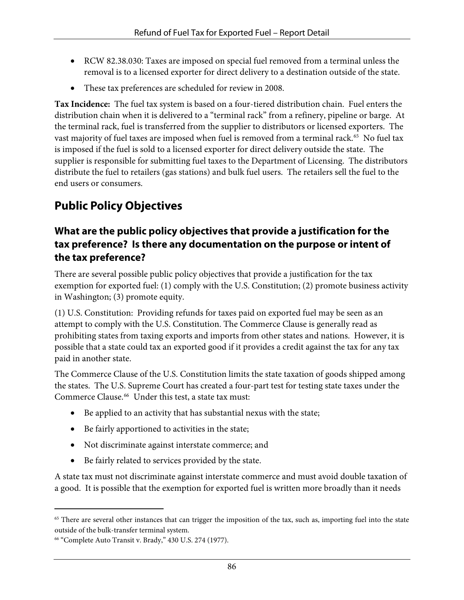- RCW 82.38.030: Taxes are imposed on special fuel removed from a terminal unless the removal is to a licensed exporter for direct delivery to a destination outside of the state.
- These tax preferences are scheduled for review in 2008.

**Tax Incidence:** The fuel tax system is based on a four-tiered distribution chain. Fuel enters the distribution chain when it is delivered to a "terminal rack" from a refinery, pipeline or barge. At the terminal rack, fuel is transferred from the supplier to distributors or licensed exporters. The vast majority of fuel taxes are imposed when fuel is removed from a terminal rack.<sup>[65](#page-89-0)</sup> No fuel tax is imposed if the fuel is sold to a licensed exporter for direct delivery outside the state. The supplier is responsible for submitting fuel taxes to the Department of Licensing. The distributors distribute the fuel to retailers (gas stations) and bulk fuel users. The retailers sell the fuel to the end users or consumers.

# **Public Policy Objectives**

#### **What are the public policy objectives that provide a justification for the tax preference? Is there any documentation on the purpose or intent of the tax preference?**

There are several possible public policy objectives that provide a justification for the tax exemption for exported fuel: (1) comply with the U.S. Constitution; (2) promote business activity in Washington; (3) promote equity.

(1) U.S. Constitution: Providing refunds for taxes paid on exported fuel may be seen as an attempt to comply with the U.S. Constitution. The Commerce Clause is generally read as prohibiting states from taxing exports and imports from other states and nations. However, it is possible that a state could tax an exported good if it provides a credit against the tax for any tax paid in another state.

The Commerce Clause of the U.S. Constitution limits the state taxation of goods shipped among the states. The U.S. Supreme Court has created a four-part test for testing state taxes under the Commerce Clause.<sup>[66](#page-89-1)</sup> Under this test, a state tax must:

- Be applied to an activity that has substantial nexus with the state;
- Be fairly apportioned to activities in the state;
- Not discriminate against interstate commerce; and
- Be fairly related to services provided by the state.

A state tax must not discriminate against interstate commerce and must avoid double taxation of a good. It is possible that the exemption for exported fuel is written more broadly than it needs

<span id="page-89-0"></span><sup>&</sup>lt;sup>65</sup> There are several other instances that can trigger the imposition of the tax, such as, importing fuel into the state outside of the bulk-transfer terminal system.

<span id="page-89-1"></span><sup>66 &</sup>quot;Complete Auto Transit v. Brady," 430 U.S. 274 (1977).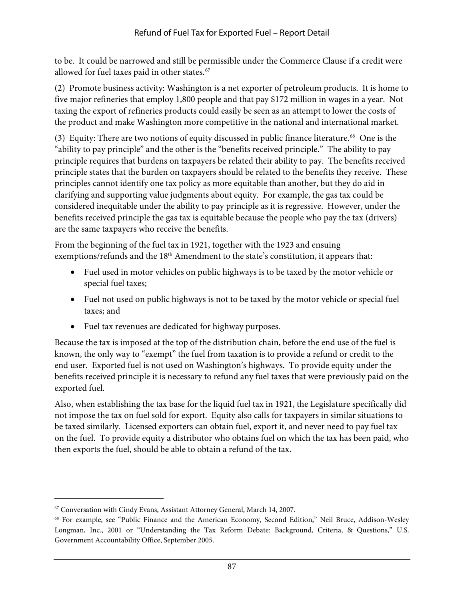to be. It could be narrowed and still be permissible under the Commerce Clause if a credit were allowed for fuel taxes paid in other states. [67](#page-90-0)

(2) Promote business activity: Washington is a net exporter of petroleum products. It is home to five major refineries that employ 1,800 people and that pay \$172 million in wages in a year. Not taxing the export of refineries products could easily be seen as an attempt to lower the costs of the product and make Washington more competitive in the national and international market.

(3) Equity: There are two notions of equity discussed in public finance literature.[68](#page-90-1) One is the "ability to pay principle" and the other is the "benefits received principle." The ability to pay principle requires that burdens on taxpayers be related their ability to pay. The benefits received principle states that the burden on taxpayers should be related to the benefits they receive. These principles cannot identify one tax policy as more equitable than another, but they do aid in clarifying and supporting value judgments about equity. For example, the gas tax could be considered inequitable under the ability to pay principle as it is regressive. However, under the benefits received principle the gas tax is equitable because the people who pay the tax (drivers) are the same taxpayers who receive the benefits.

From the beginning of the fuel tax in 1921, together with the 1923 and ensuing exemptions/refunds and the 18<sup>th</sup> Amendment to the state's constitution, it appears that:

- Fuel used in motor vehicles on public highways is to be taxed by the motor vehicle or special fuel taxes;
- Fuel not used on public highways is not to be taxed by the motor vehicle or special fuel taxes; and
- Fuel tax revenues are dedicated for highway purposes.

Because the tax is imposed at the top of the distribution chain, before the end use of the fuel is known, the only way to "exempt" the fuel from taxation is to provide a refund or credit to the end user. Exported fuel is not used on Washington's highways. To provide equity under the benefits received principle it is necessary to refund any fuel taxes that were previously paid on the exported fuel.

Also, when establishing the tax base for the liquid fuel tax in 1921, the Legislature specifically did not impose the tax on fuel sold for export. Equity also calls for taxpayers in similar situations to be taxed similarly. Licensed exporters can obtain fuel, export it, and never need to pay fuel tax on the fuel. To provide equity a distributor who obtains fuel on which the tax has been paid, who then exports the fuel, should be able to obtain a refund of the tax.

<span id="page-90-0"></span><sup>67</sup> Conversation with Cindy Evans, Assistant Attorney General, March 14, 2007.

<span id="page-90-1"></span><sup>68</sup> For example, see "Public Finance and the American Economy, Second Edition," Neil Bruce, Addison-Wesley Longman, Inc., 2001 or "Understanding the Tax Reform Debate: Background, Criteria, & Questions," U.S. Government Accountability Office, September 2005.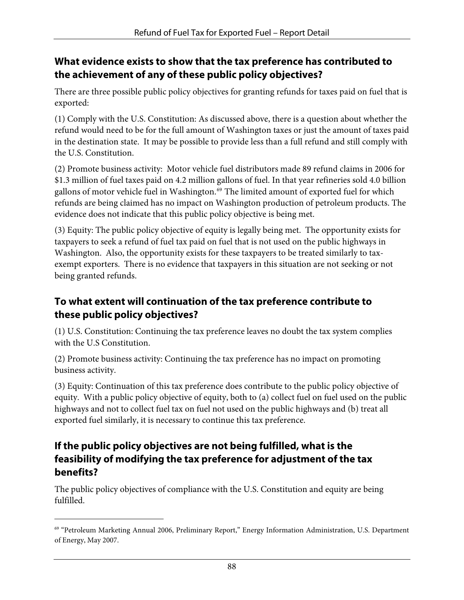#### **What evidence exists to show that the tax preference has contributed to the achievement of any of these public policy objectives?**

There are three possible public policy objectives for granting refunds for taxes paid on fuel that is exported:

(1) Comply with the U.S. Constitution: As discussed above, there is a question about whether the refund would need to be for the full amount of Washington taxes or just the amount of taxes paid in the destination state. It may be possible to provide less than a full refund and still comply with the U.S. Constitution.

(2) Promote business activity: Motor vehicle fuel distributors made 89 refund claims in 2006 for \$1.3 million of fuel taxes paid on 4.2 million gallons of fuel. In that year refineries sold 4.0 billion gallons of motor vehicle fuel in Washington.<sup>[69](#page-91-0)</sup> The limited amount of exported fuel for which refunds are being claimed has no impact on Washington production of petroleum products. The evidence does not indicate that this public policy objective is being met.

(3) Equity: The public policy objective of equity is legally being met. The opportunity exists for taxpayers to seek a refund of fuel tax paid on fuel that is not used on the public highways in Washington. Also, the opportunity exists for these taxpayers to be treated similarly to taxexempt exporters. There is no evidence that taxpayers in this situation are not seeking or not being granted refunds.

#### **To what extent will continuation of the tax preference contribute to these public policy objectives?**

(1) U.S. Constitution: Continuing the tax preference leaves no doubt the tax system complies with the U.S Constitution.

(2) Promote business activity: Continuing the tax preference has no impact on promoting business activity.

(3) Equity: Continuation of this tax preference does contribute to the public policy objective of equity. With a public policy objective of equity, both to (a) collect fuel on fuel used on the public highways and not to collect fuel tax on fuel not used on the public highways and (b) treat all exported fuel similarly, it is necessary to continue this tax preference.

#### **If the public policy objectives are not being fulfilled, what is the feasibility of modifying the tax preference for adjustment of the tax benefits?**

The public policy objectives of compliance with the U.S. Constitution and equity are being fulfilled.

<span id="page-91-0"></span><sup>69 &</sup>quot;Petroleum Marketing Annual 2006, Preliminary Report," Energy Information Administration, U.S. Department of Energy, May 2007.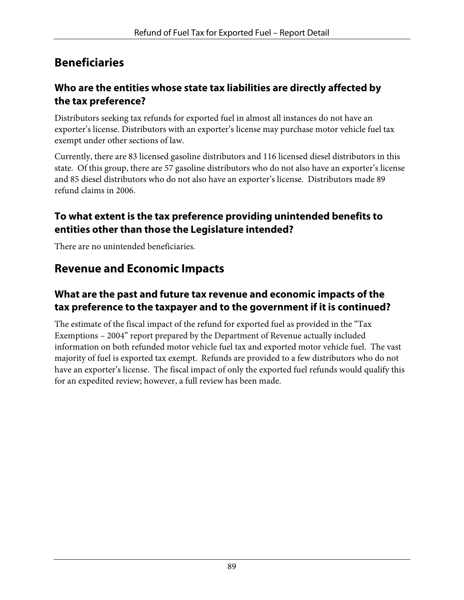## **Beneficiaries**

#### **Who are the entities whose state tax liabilities are directly affected by the tax preference?**

Distributors seeking tax refunds for exported fuel in almost all instances do not have an exporter's license. Distributors with an exporter's license may purchase motor vehicle fuel tax exempt under other sections of law.

Currently, there are 83 licensed gasoline distributors and 116 licensed diesel distributors in this state. Of this group, there are 57 gasoline distributors who do not also have an exporter's license and 85 diesel distributors who do not also have an exporter's license. Distributors made 89 refund claims in 2006.

#### **To what extent is the tax preference providing unintended benefits to entities other than those the Legislature intended?**

There are no unintended beneficiaries.

## **Revenue and Economic Impacts**

#### **What are the past and future tax revenue and economic impacts of the tax preference to the taxpayer and to the government if it is continued?**

The estimate of the fiscal impact of the refund for exported fuel as provided in the "Tax Exemptions – 2004" report prepared by the Department of Revenue actually included information on both refunded motor vehicle fuel tax and exported motor vehicle fuel. The vast majority of fuel is exported tax exempt. Refunds are provided to a few distributors who do not have an exporter's license. The fiscal impact of only the exported fuel refunds would qualify this for an expedited review; however, a full review has been made.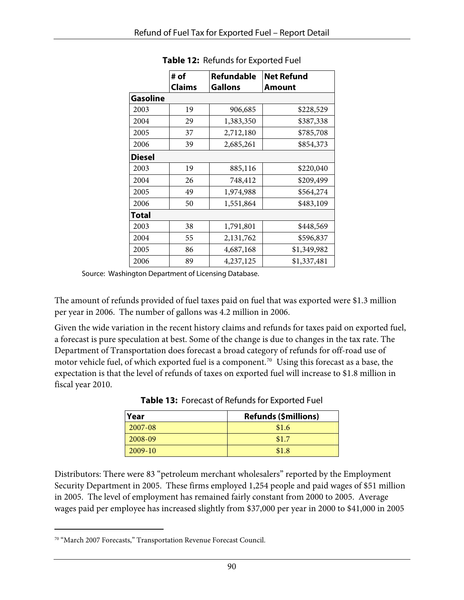|                 | # of          | Refundable     | <b>Net Refund</b> |
|-----------------|---------------|----------------|-------------------|
|                 | <b>Claims</b> | <b>Gallons</b> | Amount            |
| <b>Gasoline</b> |               |                |                   |
| 2003            | 19            | 906,685        | \$228,529         |
| 2004            | 29            | 1,383,350      | \$387,338         |
| 2005            | 37            | 2,712,180      | \$785,708         |
| 2006            | 39            | 2,685,261      | \$854,373         |
| <b>Diesel</b>   |               |                |                   |
| 2003            | 19            | 885,116        | \$220,040         |
| 2004            | 26            | 748,412        | \$209,499         |
| 2005            | 49            | 1,974,988      | \$564,274         |
| 2006            | 50            | 1,551,864      | \$483,109         |
| Total           |               |                |                   |
| 2003            | 38            | 1,791,801      | \$448,569         |
| 2004            | 55            | 2,131,762      | \$596,837         |
| 2005            | 86            | 4,687,168      | \$1,349,982       |
| 2006            | 89            | 4,237,125      | \$1,337,481       |

**Table 12:** Refunds for Exported Fuel

Source: Washington Department of Licensing Database.

The amount of refunds provided of fuel taxes paid on fuel that was exported were \$1.3 million per year in 2006. The number of gallons was 4.2 million in 2006.

Given the wide variation in the recent history claims and refunds for taxes paid on exported fuel, a forecast is pure speculation at best. Some of the change is due to changes in the tax rate. The Department of Transportation does forecast a broad category of refunds for off-road use of motor vehicle fuel, of which exported fuel is a component.<sup>[70](#page-93-0)</sup> Using this forecast as a base, the expectation is that the level of refunds of taxes on exported fuel will increase to \$1.8 million in fiscal year 2010.

| Year      | <b>Refunds (\$millions)</b> |  |
|-----------|-----------------------------|--|
| 2007-08   | \$1.6                       |  |
| 2008-09   | \$1.7                       |  |
| $2009-10$ | \$1.8                       |  |

**Table 13:** Forecast of Refunds for Exported Fuel

Distributors: There were 83 "petroleum merchant wholesalers" reported by the Employment Security Department in 2005. These firms employed 1,254 people and paid wages of \$51 million in 2005. The level of employment has remained fairly constant from 2000 to 2005. Average wages paid per employee has increased slightly from \$37,000 per year in 2000 to \$41,000 in 2005

<span id="page-93-0"></span><sup>70 &</sup>quot;March 2007 Forecasts," Transportation Revenue Forecast Council.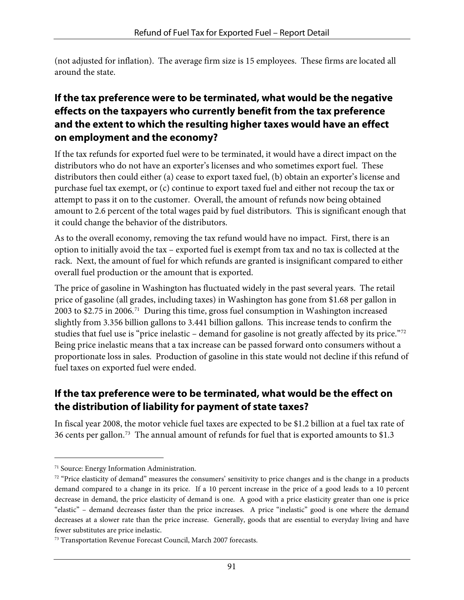(not adjusted for inflation). The average firm size is 15 employees. These firms are located all around the state.

#### **If the tax preference were to be terminated, what would be the negative effects on the taxpayers who currently benefit from the tax preference and the extent to which the resulting higher taxes would have an effect on employment and the economy?**

If the tax refunds for exported fuel were to be terminated, it would have a direct impact on the distributors who do not have an exporter's licenses and who sometimes export fuel. These distributors then could either (a) cease to export taxed fuel, (b) obtain an exporter's license and purchase fuel tax exempt, or (c) continue to export taxed fuel and either not recoup the tax or attempt to pass it on to the customer. Overall, the amount of refunds now being obtained amount to 2.6 percent of the total wages paid by fuel distributors. This is significant enough that it could change the behavior of the distributors.

As to the overall economy, removing the tax refund would have no impact. First, there is an option to initially avoid the tax – exported fuel is exempt from tax and no tax is collected at the rack. Next, the amount of fuel for which refunds are granted is insignificant compared to either overall fuel production or the amount that is exported.

The price of gasoline in Washington has fluctuated widely in the past several years. The retail price of gasoline (all grades, including taxes) in Washington has gone from \$1.68 per gallon in 2003 to \$2.75 in 2006.[71](#page-94-0) During this time, gross fuel consumption in Washington increased slightly from 3.356 billion gallons to 3.441 billion gallons. This increase tends to confirm the studies that fuel use is "price inelastic – demand for gasoline is not greatly affected by its price."[72](#page-94-1) Being price inelastic means that a tax increase can be passed forward onto consumers without a proportionate loss in sales. Production of gasoline in this state would not decline if this refund of fuel taxes on exported fuel were ended.

#### **If the tax preference were to be terminated, what would be the effect on the distribution of liability for payment of state taxes?**

In fiscal year 2008, the motor vehicle fuel taxes are expected to be \$1.2 billion at a fuel tax rate of 36 cents per gallon.<sup>[73](#page-94-2)</sup> The annual amount of refunds for fuel that is exported amounts to \$1.3

-

<span id="page-94-0"></span><sup>71</sup> Source: Energy Information Administration.

<span id="page-94-1"></span> $72$  "Price elasticity of demand" measures the consumers' sensitivity to price changes and is the change in a products demand compared to a change in its price. If a 10 percent increase in the price of a good leads to a 10 percent decrease in demand, the price elasticity of demand is one. A good with a price elasticity greater than one is price "elastic" – demand decreases faster than the price increases. A price "inelastic" good is one where the demand decreases at a slower rate than the price increase. Generally, goods that are essential to everyday living and have fewer substitutes are price inelastic.

<span id="page-94-2"></span><sup>73</sup> Transportation Revenue Forecast Council, March 2007 forecasts.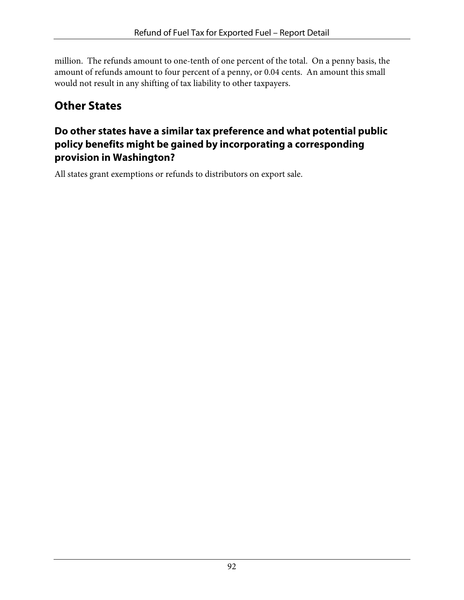million. The refunds amount to one-tenth of one percent of the total. On a penny basis, the amount of refunds amount to four percent of a penny, or 0.04 cents. An amount this small would not result in any shifting of tax liability to other taxpayers.

# **Other States**

#### **Do other states have a similar tax preference and what potential public policy benefits might be gained by incorporating a corresponding provision in Washington?**

All states grant exemptions or refunds to distributors on export sale.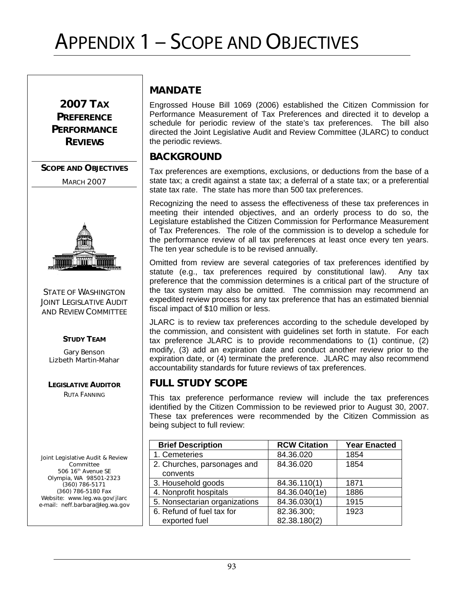# APPENDIX 1 – SCOPE AND OBJECTIVES

2007 TAX **PREFERENCE PERFORMANCE REVIEWS** 

SCOPE AND OBJECTIVES

**MARCH 2007** 



STATE OF WASHINGTON **JOINT LEGISLATIVE AUDIT** AND REVIEW COMMITTEE

#### STUDY TEAM

Gary Benson Lizbeth Martin-Mahar

LEGISLATIVE AUDITOR RUTA FANNING

Joint Legislative Audit & Review Committee 506 16<sup>th</sup> Avenue SE Olympia, WA 98501-2323 (360) 786-5171 (360) 786-5180 Fax Website: www.leg.wa.gov/jlarc e-mail: neff.barbara@leg.wa.gov

#### MANDATE

Engrossed House Bill 1069 (2006) established the Citizen Commission for Performance Measurement of Tax Preferences and directed it to develop a schedule for periodic review of the state's tax preferences. The bill also directed the Joint Legislative Audit and Review Committee (JLARC) to conduct the periodic reviews.

#### BACKGROUND

Tax preferences are exemptions, exclusions, or deductions from the base of a state tax; a credit against a state tax; a deferral of a state tax; or a preferential state tax rate. The state has more than 500 tax preferences.

Recognizing the need to assess the effectiveness of these tax preferences in meeting their intended objectives, and an orderly process to do so, the Legislature established the Citizen Commission for Performance Measurement of Tax Preferences. The role of the commission is to develop a schedule for the performance review of all tax preferences at least once every ten years. The ten year schedule is to be revised annually.

Omitted from review are several categories of tax preferences identified by statute (e.g., tax preferences required by constitutional law). Any tax preference that the commission determines is a critical part of the structure of the tax system may also be omitted. The commission may recommend an expedited review process for any tax preference that has an estimated biennial fiscal impact of \$10 million or less.

JLARC is to review tax preferences according to the schedule developed by the commission, and consistent with guidelines set forth in statute. For each tax preference JLARC is to provide recommendations to (1) continue, (2) modify, (3) add an expiration date and conduct another review prior to the expiration date, or (4) terminate the preference. JLARC may also recommend accountability standards for future reviews of tax preferences.

#### FULL STUDY SCOPE

This tax preference performance review will include the tax preferences identified by the Citizen Commission to be reviewed prior to August 30, 2007. These tax preferences were recommended by the Citizen Commission as being subject to full review:

| <b>Brief Description</b>      | <b>RCW Citation</b> | <b>Year Enacted</b> |
|-------------------------------|---------------------|---------------------|
| 1. Cemeteries                 | 84.36.020           | 1854                |
| 2. Churches, parsonages and   | 84.36.020           | 1854                |
| convents                      |                     |                     |
| 3. Household goods            | 84.36.110(1)        | 1871                |
| 4. Nonprofit hospitals        | 84.36.040(1e)       | 1886                |
| 5. Nonsectarian organizations | 84.36.030(1)        | 1915                |
| 6. Refund of fuel tax for     | 82.36.300;          | 1923                |
| exported fuel                 | 82.38.180(2)        |                     |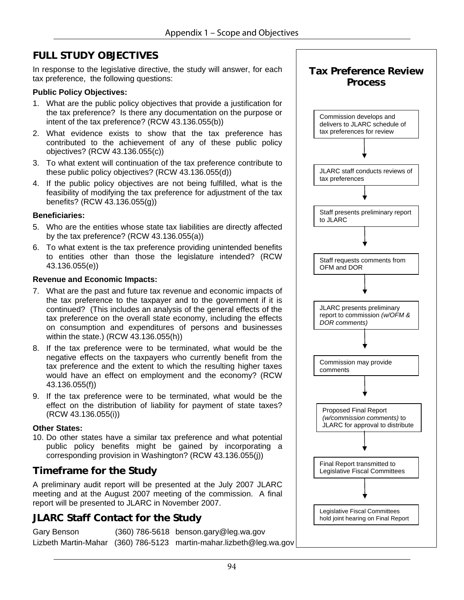#### FULL STUDY OBJECTIVES

In response to the legislative directive, the study will answer, for each tax preference, the following questions:

#### **Public Policy Objectives:**

- 1. What are the public policy objectives that provide a justification for the tax preference? Is there any documentation on the purpose or intent of the tax preference? (RCW 43.136.055(b))
- 2. What evidence exists to show that the tax preference has contributed to the achievement of any of these public policy objectives? (RCW 43.136.055(c))
- 3. To what extent will continuation of the tax preference contribute to these public policy objectives? (RCW 43.136.055(d))
- 4. If the public policy objectives are not being fulfilled, what is the feasibility of modifying the tax preference for adjustment of the tax benefits? (RCW 43.136.055(g))

#### **Beneficiaries:**

- 5. Who are the entities whose state tax liabilities are directly affected by the tax preference? (RCW 43.136.055(a))
- 6. To what extent is the tax preference providing unintended benefits to entities other than those the legislature intended? (RCW 43.136.055(e))

#### **Revenue and Economic Impacts:**

- 7. What are the past and future tax revenue and economic impacts of the tax preference to the taxpayer and to the government if it is continued? (This includes an analysis of the general effects of the tax preference on the overall state economy, including the effects on consumption and expenditures of persons and businesses within the state.) (RCW 43.136.055(h))
- 8. If the tax preference were to be terminated, what would be the negative effects on the taxpayers who currently benefit from the tax preference and the extent to which the resulting higher taxes would have an effect on employment and the economy? (RCW 43.136.055(f))
- 9. If the tax preference were to be terminated, what would be the effect on the distribution of liability for payment of state taxes? (RCW 43.136.055(i))

#### **Other States:**

10. Do other states have a similar tax preference and what potential public policy benefits might be gained by incorporating a corresponding provision in Washington? (RCW 43.136.055(j))

#### Timeframe for the Study

A preliminary audit report will be presented at the July 2007 JLARC meeting and at the August 2007 meeting of the commission. A final report will be presented to JLARC in November 2007.

#### JLARC Staff Contact for the Study

| Gary Benson | $(360)$ 786-5618 benson.gary@leg.wa.gov                             |
|-------------|---------------------------------------------------------------------|
|             | Lizbeth Martin-Mahar (360) 786-5123 martin-mahar.lizbeth@leg.wa.gov |

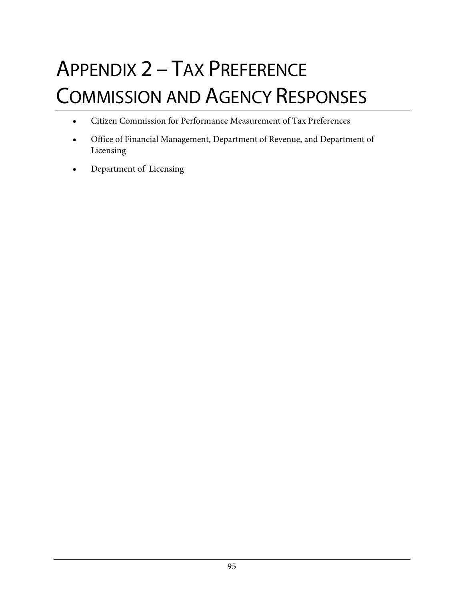# APPENDIX 2 – TAX PREFERENCE COMMISSION AND AGENCY RESPONSES

- Citizen Commission for Performance Measurement of Tax Preferences
- Office of Financial Management, Department of Revenue, and Department of Licensing
- Department of Licensing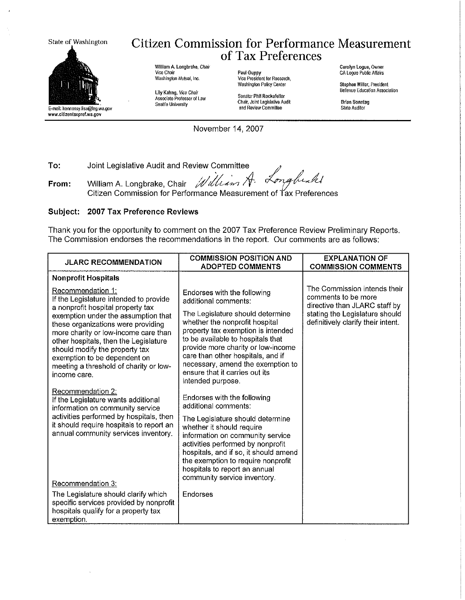State of Washington



E-mail: hennessy.lisa@feg.wa.gov www.citizentaxpref.wa.gov

From:

#### **Citizen Commission for Performance Measurement** of Tax Preferences

William A. Longbrake, Chair Vice Chair Washington Mutual, Inc.

Lily Kahng, Vice Chair<br>Associate Professor of Law Seattle University

Paul Guppy<br>Vice President for Research, Washington Policy Center

Senator Phil Rockefeller Chair, Joint Legislative Audit and Review Commiltee

Carolyn Logue, Owner CA Logue Public Affairs

Stephen Milter, President Bellevue Education Association

**Brian Sonntag** State Auditor

November 14, 2007

To: Joint Legislative Audit and Review Committee

lum h l William A. Longbrake, Chair

Citizen Commission for Performance Measurement of Tax Preferences

#### Subject: 2007 Tax Preference Reviews

Thank you for the opportunity to comment on the 2007 Tax Preference Review Preliminary Reports. The Commission endorses the recommendations in the report. Our comments are as follows:

| <b>JLARC RECOMMENDATION</b>                                                                                                                                                                                                                     | <b>COMMISSION POSITION AND</b><br><b>ADOPTED COMMENTS</b>                                                                                                                                                                                                                              | <b>EXPLANATION OF</b><br><b>COMMISSION COMMENTS</b>                                                                    |
|-------------------------------------------------------------------------------------------------------------------------------------------------------------------------------------------------------------------------------------------------|----------------------------------------------------------------------------------------------------------------------------------------------------------------------------------------------------------------------------------------------------------------------------------------|------------------------------------------------------------------------------------------------------------------------|
| <b>Nonprofit Hospitals</b>                                                                                                                                                                                                                      |                                                                                                                                                                                                                                                                                        |                                                                                                                        |
| Recommendation 1:<br>If the Legislature intended to provide<br>a nonprofit hospital property tax<br>exemption under the assumption that                                                                                                         | Endorses with the following<br>additional comments:<br>The Legislature should determine                                                                                                                                                                                                | The Commission intends their<br>comments to be more<br>directive than JLARC staff by<br>stating the Legislature should |
| these organizations were providing<br>more charity or low-income care than<br>other hospitals, then the Legislature<br>should modify the property tax<br>exemption to be dependent on<br>meeting a threshold of charity or low-<br>income care. | whether the nonprofit hospital<br>property tax exemption is intended<br>to be available to hospitals that<br>provide more charity or low-income<br>care than other hospitals, and if<br>necessary, amend the exemption to<br>ensure that it carries out its<br>intended purpose.       | definitively clarify their intent.                                                                                     |
| Recommendation 2:<br>If the Legislature wants additional<br>information on community service                                                                                                                                                    | Endorses with the following<br>additional comments:                                                                                                                                                                                                                                    |                                                                                                                        |
| activities performed by hospitals, then<br>it should require hospitals to report an<br>annual community services inventory.                                                                                                                     | The Legislature should determine<br>whether it should require<br>information on community service<br>activities performed by nonprofit<br>hospitals, and if so, it should amend<br>the exemption to require nonprofit<br>hospitals to report an annual<br>community service inventory. |                                                                                                                        |
| Recommendation 3:                                                                                                                                                                                                                               |                                                                                                                                                                                                                                                                                        |                                                                                                                        |
| The Legislature should clarify which<br>specific services provided by nonprofit<br>hospitals qualify for a property tax<br>exemption.                                                                                                           | Endorses                                                                                                                                                                                                                                                                               |                                                                                                                        |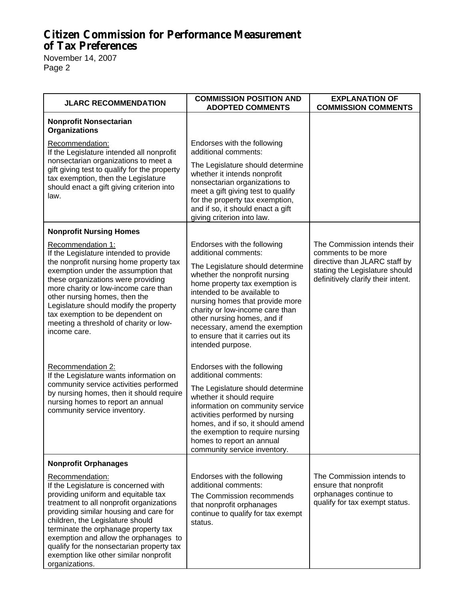November 14, 2007 Page 2

| <b>JLARC RECOMMENDATION</b>                                                                                                                                                                                                                                                                                                                                                                                                                                                                                                                                                                                                     | <b>COMMISSION POSITION AND</b><br><b>ADOPTED COMMENTS</b>                                                                                                                                                                                                                                                                                                                                                                                                                                                                                                                                                                                                          | <b>EXPLANATION OF</b><br><b>COMMISSION COMMENTS</b>                                                                                                          |
|---------------------------------------------------------------------------------------------------------------------------------------------------------------------------------------------------------------------------------------------------------------------------------------------------------------------------------------------------------------------------------------------------------------------------------------------------------------------------------------------------------------------------------------------------------------------------------------------------------------------------------|--------------------------------------------------------------------------------------------------------------------------------------------------------------------------------------------------------------------------------------------------------------------------------------------------------------------------------------------------------------------------------------------------------------------------------------------------------------------------------------------------------------------------------------------------------------------------------------------------------------------------------------------------------------------|--------------------------------------------------------------------------------------------------------------------------------------------------------------|
| <b>Nonprofit Nonsectarian</b><br><b>Organizations</b>                                                                                                                                                                                                                                                                                                                                                                                                                                                                                                                                                                           |                                                                                                                                                                                                                                                                                                                                                                                                                                                                                                                                                                                                                                                                    |                                                                                                                                                              |
| Recommendation:<br>If the Legislature intended all nonprofit                                                                                                                                                                                                                                                                                                                                                                                                                                                                                                                                                                    | Endorses with the following<br>additional comments:                                                                                                                                                                                                                                                                                                                                                                                                                                                                                                                                                                                                                |                                                                                                                                                              |
| nonsectarian organizations to meet a<br>gift giving test to qualify for the property<br>tax exemption, then the Legislature<br>should enact a gift giving criterion into<br>law.                                                                                                                                                                                                                                                                                                                                                                                                                                                | The Legislature should determine<br>whether it intends nonprofit<br>nonsectarian organizations to<br>meet a gift giving test to qualify<br>for the property tax exemption,<br>and if so, it should enact a gift<br>giving criterion into law.                                                                                                                                                                                                                                                                                                                                                                                                                      |                                                                                                                                                              |
| <b>Nonprofit Nursing Homes</b>                                                                                                                                                                                                                                                                                                                                                                                                                                                                                                                                                                                                  |                                                                                                                                                                                                                                                                                                                                                                                                                                                                                                                                                                                                                                                                    |                                                                                                                                                              |
| Recommendation 1:<br>If the Legislature intended to provide<br>the nonprofit nursing home property tax<br>exemption under the assumption that<br>these organizations were providing<br>more charity or low-income care than<br>other nursing homes, then the<br>Legislature should modify the property<br>tax exemption to be dependent on<br>meeting a threshold of charity or low-<br>income care.<br>Recommendation 2:<br>If the Legislature wants information on<br>community service activities performed<br>by nursing homes, then it should require<br>nursing homes to report an annual<br>community service inventory. | Endorses with the following<br>additional comments:<br>The Legislature should determine<br>whether the nonprofit nursing<br>home property tax exemption is<br>intended to be available to<br>nursing homes that provide more<br>charity or low-income care than<br>other nursing homes, and if<br>necessary, amend the exemption<br>to ensure that it carries out its<br>intended purpose.<br>Endorses with the following<br>additional comments:<br>The Legislature should determine<br>whether it should require<br>information on community service<br>activities performed by nursing<br>homes, and if so, it should amend<br>the exemption to require nursing | The Commission intends their<br>comments to be more<br>directive than JLARC staff by<br>stating the Legislature should<br>definitively clarify their intent. |
|                                                                                                                                                                                                                                                                                                                                                                                                                                                                                                                                                                                                                                 | homes to report an annual<br>community service inventory.                                                                                                                                                                                                                                                                                                                                                                                                                                                                                                                                                                                                          |                                                                                                                                                              |
| <b>Nonprofit Orphanages</b>                                                                                                                                                                                                                                                                                                                                                                                                                                                                                                                                                                                                     |                                                                                                                                                                                                                                                                                                                                                                                                                                                                                                                                                                                                                                                                    |                                                                                                                                                              |
| Recommendation:<br>If the Legislature is concerned with<br>providing uniform and equitable tax<br>treatment to all nonprofit organizations<br>providing similar housing and care for<br>children, the Legislature should<br>terminate the orphanage property tax<br>exemption and allow the orphanages to<br>qualify for the nonsectarian property tax<br>exemption like other similar nonprofit<br>organizations.                                                                                                                                                                                                              | Endorses with the following<br>additional comments:<br>The Commission recommends<br>that nonprofit orphanages<br>continue to qualify for tax exempt<br>status.                                                                                                                                                                                                                                                                                                                                                                                                                                                                                                     | The Commission intends to<br>ensure that nonprofit<br>orphanages continue to<br>qualify for tax exempt status.                                               |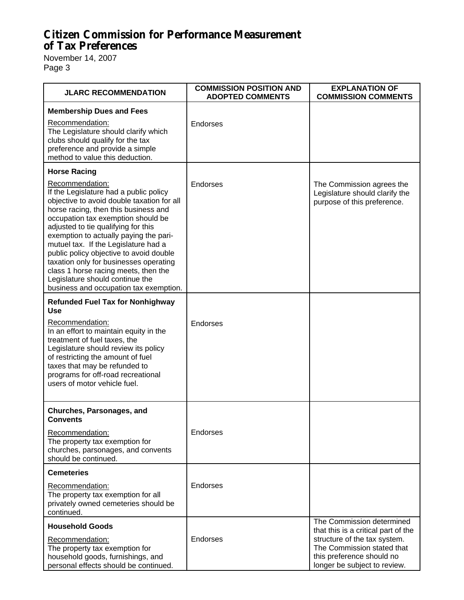November 14, 2007 Page 3

| <b>JLARC RECOMMENDATION</b>                                                                                                                                                                                                                                                                                                                                                                                                                                                                                                                                                                | <b>COMMISSION POSITION AND</b><br><b>ADOPTED COMMENTS</b> | <b>EXPLANATION OF</b><br><b>COMMISSION COMMENTS</b>                                                                                                                                         |
|--------------------------------------------------------------------------------------------------------------------------------------------------------------------------------------------------------------------------------------------------------------------------------------------------------------------------------------------------------------------------------------------------------------------------------------------------------------------------------------------------------------------------------------------------------------------------------------------|-----------------------------------------------------------|---------------------------------------------------------------------------------------------------------------------------------------------------------------------------------------------|
| <b>Membership Dues and Fees</b><br>Recommendation:<br>The Legislature should clarify which<br>clubs should qualify for the tax<br>preference and provide a simple<br>method to value this deduction.                                                                                                                                                                                                                                                                                                                                                                                       | Endorses                                                  |                                                                                                                                                                                             |
| <b>Horse Racing</b><br>Recommendation:<br>If the Legislature had a public policy<br>objective to avoid double taxation for all<br>horse racing, then this business and<br>occupation tax exemption should be<br>adjusted to tie qualifying for this<br>exemption to actually paying the pari-<br>mutuel tax. If the Legislature had a<br>public policy objective to avoid double<br>taxation only for businesses operating<br>class 1 horse racing meets, then the<br>Legislature should continue the<br>business and occupation tax exemption.<br><b>Refunded Fuel Tax for Nonhighway</b> | Endorses                                                  | The Commission agrees the<br>Legislature should clarify the<br>purpose of this preference.                                                                                                  |
| <b>Use</b><br>Recommendation:<br>In an effort to maintain equity in the<br>treatment of fuel taxes, the<br>Legislature should review its policy<br>of restricting the amount of fuel<br>taxes that may be refunded to<br>programs for off-road recreational<br>users of motor vehicle fuel.                                                                                                                                                                                                                                                                                                | <b>Endorses</b>                                           |                                                                                                                                                                                             |
| Churches, Parsonages, and<br><b>Convents</b><br>Recommendation:<br>The property tax exemption for<br>churches, parsonages, and convents<br>should be continued.                                                                                                                                                                                                                                                                                                                                                                                                                            | Endorses                                                  |                                                                                                                                                                                             |
| <b>Cemeteries</b><br>Recommendation:<br>The property tax exemption for all<br>privately owned cemeteries should be<br>continued.                                                                                                                                                                                                                                                                                                                                                                                                                                                           | Endorses                                                  |                                                                                                                                                                                             |
| <b>Household Goods</b><br>Recommendation:<br>The property tax exemption for<br>household goods, furnishings, and<br>personal effects should be continued.                                                                                                                                                                                                                                                                                                                                                                                                                                  | Endorses                                                  | The Commission determined<br>that this is a critical part of the<br>structure of the tax system.<br>The Commission stated that<br>this preference should no<br>longer be subject to review. |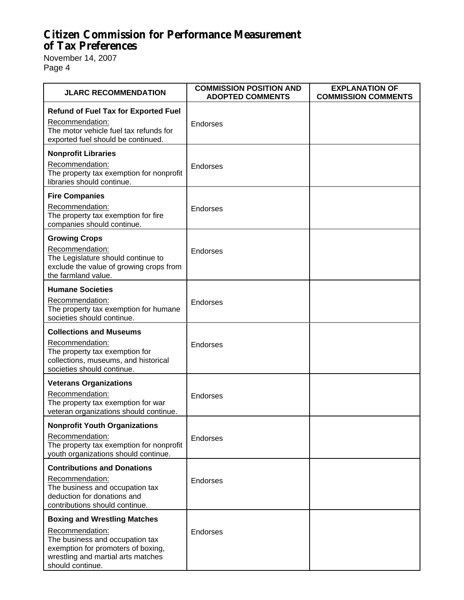November 14, 2007 Page 4

| <b>JLARC RECOMMENDATION</b>                                                                                                                                                               | <b>COMMISSION POSITION AND</b><br><b>ADOPTED COMMENTS</b> | <b>EXPLANATION OF</b><br><b>COMMISSION COMMENTS</b> |
|-------------------------------------------------------------------------------------------------------------------------------------------------------------------------------------------|-----------------------------------------------------------|-----------------------------------------------------|
| <b>Refund of Fuel Tax for Exported Fuel</b><br>Recommendation:<br>The motor vehicle fuel tax refunds for<br>exported fuel should be continued.                                            | Endorses                                                  |                                                     |
| <b>Nonprofit Libraries</b><br>Recommendation:<br>The property tax exemption for nonprofit<br>libraries should continue.                                                                   | Endorses                                                  |                                                     |
| <b>Fire Companies</b><br>Recommendation:<br>The property tax exemption for fire<br>companies should continue.                                                                             | <b>Endorses</b>                                           |                                                     |
| <b>Growing Crops</b><br>Recommendation:<br>The Legislature should continue to<br>exclude the value of growing crops from<br>the farmland value.                                           | Endorses                                                  |                                                     |
| <b>Humane Societies</b><br>Recommendation:<br>The property tax exemption for humane<br>societies should continue.                                                                         | Endorses                                                  |                                                     |
| <b>Collections and Museums</b><br>Recommendation:<br>The property tax exemption for<br>collections, museums, and historical<br>societies should continue.                                 | Endorses                                                  |                                                     |
| <b>Veterans Organizations</b><br>Recommendation:<br>The property tax exemption for war<br>veteran organizations should continue.                                                          | Endorses                                                  |                                                     |
| <b>Nonprofit Youth Organizations</b><br>Recommendation:<br>The property tax exemption for nonprofit<br>youth organizations should continue.                                               | <b>Endorses</b>                                           |                                                     |
| <b>Contributions and Donations</b><br>Recommendation:<br>The business and occupation tax<br>deduction for donations and<br>contributions should continue.                                 | Endorses                                                  |                                                     |
| <b>Boxing and Wrestling Matches</b><br>Recommendation:<br>The business and occupation tax<br>exemption for promoters of boxing,<br>wrestling and martial arts matches<br>should continue. | <b>Endorses</b>                                           |                                                     |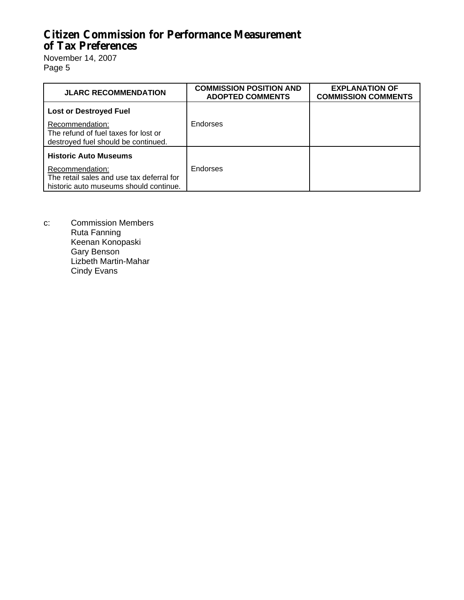November 14, 2007 Page 5

| <b>JLARC RECOMMENDATION</b>                                                                                                            | <b>COMMISSION POSITION AND</b><br><b>ADOPTED COMMENTS</b> | <b>EXPLANATION OF</b><br><b>COMMISSION COMMENTS</b> |
|----------------------------------------------------------------------------------------------------------------------------------------|-----------------------------------------------------------|-----------------------------------------------------|
| <b>Lost or Destroyed Fuel</b>                                                                                                          |                                                           |                                                     |
| Recommendation:<br>The refund of fuel taxes for lost or<br>destroyed fuel should be continued.                                         | Endorses                                                  |                                                     |
| <b>Historic Auto Museums</b><br>Recommendation:<br>The retail sales and use tax deferral for<br>historic auto museums should continue. | Endorses                                                  |                                                     |

c: Commission Members Ruta Fanning Keenan Konopaski Gary Benson Lizbeth Martin-Mahar Cindy Evans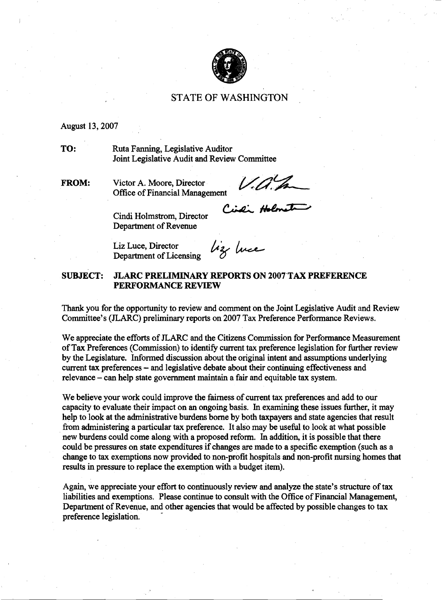

#### **STATE OF WASHINGTON**

#### August 13,2007

**TO:** Ruta Fanning, Legislative Auditor Joint Legislative Audit and Review Committee

**FROM:** Victor A. Moore, Director

V.a.h

Office of Financial Management<br>Cindi Holmstrom Discourse Cindi Holmstrom

Cindi Holmstrom, Director<br>
Department of Revenue<br>
Liz Luce, Director<br>
Department of Licensing<br>  $\mu_{\mathcal{X}}$  *luce* Department of Revenue

Liz Luce, Director Department of Licensing

#### **SUBJECT: JLARC PRELIMINARY REPORTS ON 2007.TAX PREFERENCE PERFORMANCE REVIEW**

**Thank** you for the opportunity to review and comment on the Joint Legislative Audit and Review Committee's (JLARC) preliminary reports on 2007 Tax Preference Performance Reviews.

We appreciate the efforts of JLARC and the Citizens Commission for Performance Measurement of Tax Preferences (Commission) to identify current tax preference legislation for further review by the Legislature. Informed discussion about the original intent and assumptions underlying current tax preferences – and legislative debate about their continuing effectiveness and relevance - can help state government maintain a fair and equitable tax system.

We believe your work could improve the fairness of current tax preferences and add to our capacity to evaluate their impact on an ongoing basis. In examining these issues further, it may help to look at the administrative burdens borne by both taxpayers and state agencies that result from administering a particular tax preference. It also may be useful to look at what possible new burdens could come along with a proposed reform. In addition, it is possible that there could be pressures on state expenditures if changes are made to a specific exemption (such as a change to tax exemptions now provided to non-profit hospitals and non-profit nursing homes that results in pressure to replace the exemption with a budget item).

Again, we appreciate your effort to continuously review and analyze the state's structure of tax liabilities and exemptions. Please continue to consult with the Office of Financial Management, Department of Revenue, and other agencies that would be affected by possible changes to tax preference legislation.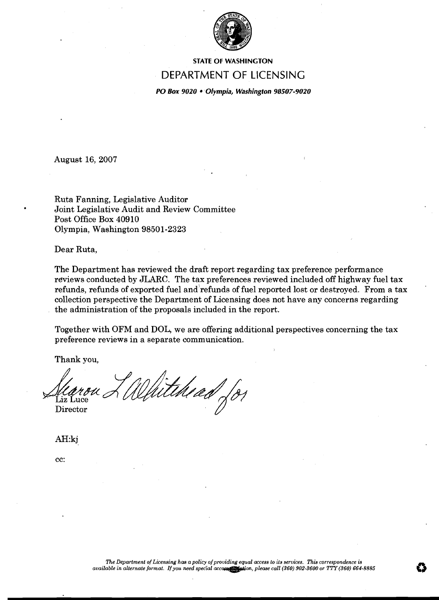

**STATE OF WASHINGTON** 

#### DEPARTMENT OF LICENSING

**PO Box 9020 Olympia, Washington 98507-9020** 

August 16, 2007

Ruta Fanning, Legislative Auditor . Joint Legislative Audit and Review Committee Post Office Box 40910 Olympia, Washington 98501-2323

Dear Ruta,

The Department has reviewed the draft report regarding tax preference performance reviews conducted by JLARC. The tax preferences reviewed included off highway fuel tax refunds, refunds of exported fuel and'refunds of fuel reported lost or destroyed. From a tax collection perspective the Department of Licensing does not have any concerns regarding the administration of the proposals included in the report.

Together with OFM and DOL, we are offering additional perspectives concerning the tax preference reviews in a separate communication.

Thank you,

Liz Luce Searon L'Whitehead (8)

AH:kj

cc: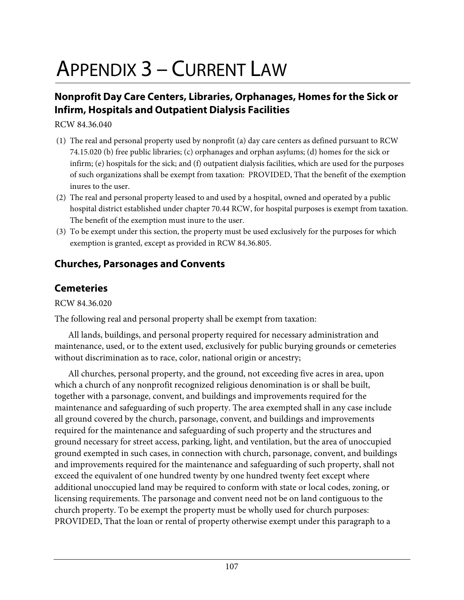# APPENDIX 3 – CURRENT LAW

## **Nonprofit Day Care Centers, Libraries, Orphanages, Homes for the Sick or Infirm, Hospitals and Outpatient Dialysis Facilities**

RCW 84.36.040

- (1) The real and personal property used by nonprofit (a) day care centers as defined pursuant to RCW 74.15.020 (b) free public libraries; (c) orphanages and orphan asylums; (d) homes for the sick or infirm; (e) hospitals for the sick; and (f) outpatient dialysis facilities, which are used for the purposes of such organizations shall be exempt from taxation: PROVIDED, That the benefit of the exemption inures to the user.
- (2) The real and personal property leased to and used by a hospital, owned and operated by a public hospital district established under chapter 70.44 RCW, for hospital purposes is exempt from taxation. The benefit of the exemption must inure to the user.
- (3) To be exempt under this section, the property must be used exclusively for the purposes for which exemption is granted, except as provided in RCW [84.36.805.](http://wslsearch/wslrcw/RCW%20%2084%20%20TITLE/RCW%20%2084%20.%2036%20%20CHAPTER/RCW%20%2084%20.%2036%20.805.htm)

## **Churches, Parsonages and Convents**

### **Cemeteries**

RCW 84.36.020

The following real and personal property shall be exempt from taxation:

 All lands, buildings, and personal property required for necessary administration and maintenance, used, or to the extent used, exclusively for public burying grounds or cemeteries without discrimination as to race, color, national origin or ancestry;

 All churches, personal property, and the ground, not exceeding five acres in area, upon which a church of any nonprofit recognized religious denomination is or shall be built, together with a parsonage, convent, and buildings and improvements required for the maintenance and safeguarding of such property. The area exempted shall in any case include all ground covered by the church, parsonage, convent, and buildings and improvements required for the maintenance and safeguarding of such property and the structures and ground necessary for street access, parking, light, and ventilation, but the area of unoccupied ground exempted in such cases, in connection with church, parsonage, convent, and buildings and improvements required for the maintenance and safeguarding of such property, shall not exceed the equivalent of one hundred twenty by one hundred twenty feet except where additional unoccupied land may be required to conform with state or local codes, zoning, or licensing requirements. The parsonage and convent need not be on land contiguous to the church property. To be exempt the property must be wholly used for church purposes: PROVIDED, That the loan or rental of property otherwise exempt under this paragraph to a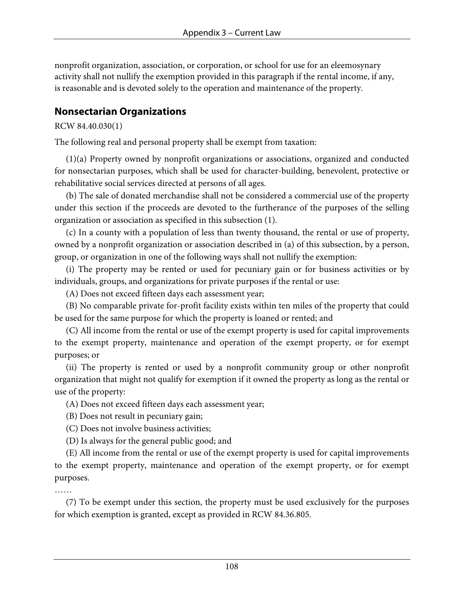nonprofit organization, association, or corporation, or school for use for an eleemosynary activity shall not nullify the exemption provided in this paragraph if the rental income, if any, is reasonable and is devoted solely to the operation and maintenance of the property.

#### **Nonsectarian Organizations**

RCW 84.40.030(1)

The following real and personal property shall be exempt from taxation:

 (1)(a) Property owned by nonprofit organizations or associations, organized and conducted for nonsectarian purposes, which shall be used for character-building, benevolent, protective or rehabilitative social services directed at persons of all ages.

 (b) The sale of donated merchandise shall not be considered a commercial use of the property under this section if the proceeds are devoted to the furtherance of the purposes of the selling organization or association as specified in this subsection (1).

 (c) In a county with a population of less than twenty thousand, the rental or use of property, owned by a nonprofit organization or association described in (a) of this subsection, by a person, group, or organization in one of the following ways shall not nullify the exemption:

 (i) The property may be rented or used for pecuniary gain or for business activities or by individuals, groups, and organizations for private purposes if the rental or use:

(A) Does not exceed fifteen days each assessment year;

 (B) No comparable private for-profit facility exists within ten miles of the property that could be used for the same purpose for which the property is loaned or rented; and

 (C) All income from the rental or use of the exempt property is used for capital improvements to the exempt property, maintenance and operation of the exempt property, or for exempt purposes; or

 (ii) The property is rented or used by a nonprofit community group or other nonprofit organization that might not qualify for exemption if it owned the property as long as the rental or use of the property:

(A) Does not exceed fifteen days each assessment year;

(B) Does not result in pecuniary gain;

(C) Does not involve business activities;

(D) Is always for the general public good; and

 (E) All income from the rental or use of the exempt property is used for capital improvements to the exempt property, maintenance and operation of the exempt property, or for exempt purposes.

……

 (7) To be exempt under this section, the property must be used exclusively for the purposes for which exemption is granted, except as provided in RCW [84.36.805](http://wslsearch/wslrcw/RCW%20%2084%20%20TITLE/RCW%20%2084%20.%2036%20%20CHAPTER/RCW%20%2084%20.%2036%20.805.htm).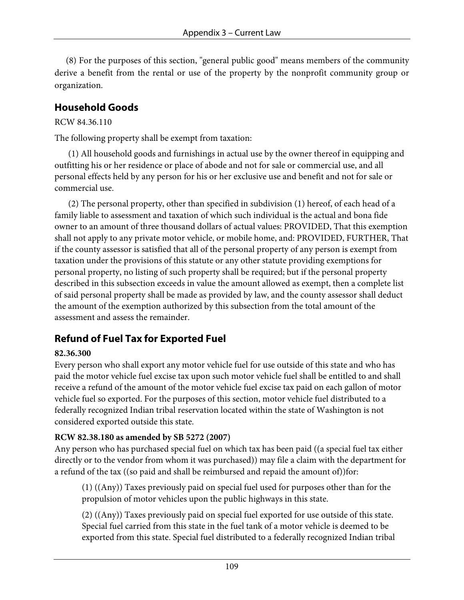(8) For the purposes of this section, "general public good" means members of the community derive a benefit from the rental or use of the property by the nonprofit community group or organization.

## **Household Goods**

#### RCW 84.36.110

The following property shall be exempt from taxation:

 (1) All household goods and furnishings in actual use by the owner thereof in equipping and outfitting his or her residence or place of abode and not for sale or commercial use, and all personal effects held by any person for his or her exclusive use and benefit and not for sale or commercial use.

 (2) The personal property, other than specified in subdivision (1) hereof, of each head of a family liable to assessment and taxation of which such individual is the actual and bona fide owner to an amount of three thousand dollars of actual values: PROVIDED, That this exemption shall not apply to any private motor vehicle, or mobile home, and: PROVIDED, FURTHER, That if the county assessor is satisfied that all of the personal property of any person is exempt from taxation under the provisions of this statute or any other statute providing exemptions for personal property, no listing of such property shall be required; but if the personal property described in this subsection exceeds in value the amount allowed as exempt, then a complete list of said personal property shall be made as provided by law, and the county assessor shall deduct the amount of the exemption authorized by this subsection from the total amount of the assessment and assess the remainder.

## **Refund of Fuel Tax for Exported Fuel**

#### **82.36.300**

Every person who shall export any motor vehicle fuel for use outside of this state and who has paid the motor vehicle fuel excise tax upon such motor vehicle fuel shall be entitled to and shall receive a refund of the amount of the motor vehicle fuel excise tax paid on each gallon of motor vehicle fuel so exported. For the purposes of this section, motor vehicle fuel distributed to a federally recognized Indian tribal reservation located within the state of Washington is not considered exported outside this state.

#### **RCW 82.38.180 as amended by SB 5272 (2007)**

Any person who has purchased special fuel on which tax has been paid ((a special fuel tax either directly or to the vendor from whom it was purchased)) may file a claim with the department for a refund of the tax ((so paid and shall be reimbursed and repaid the amount of))for:

(1) ((Any)) Taxes previously paid on special fuel used for purposes other than for the propulsion of motor vehicles upon the public highways in this state.

(2) ((Any)) Taxes previously paid on special fuel exported for use outside of this state. Special fuel carried from this state in the fuel tank of a motor vehicle is deemed to be exported from this state. Special fuel distributed to a federally recognized Indian tribal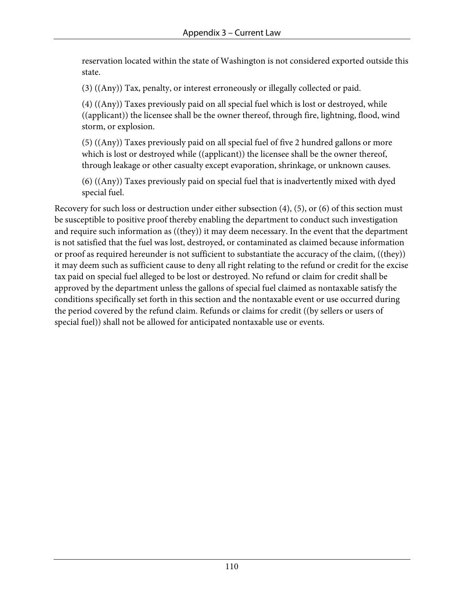reservation located within the state of Washington is not considered exported outside this state.

(3) ((Any)) Tax, penalty, or interest erroneously or illegally collected or paid.

(4) ((Any)) Taxes previously paid on all special fuel which is lost or destroyed, while ((applicant)) the licensee shall be the owner thereof, through fire, lightning, flood, wind storm, or explosion.

(5) ((Any)) Taxes previously paid on all special fuel of five 2 hundred gallons or more which is lost or destroyed while ((applicant)) the licensee shall be the owner thereof, through leakage or other casualty except evaporation, shrinkage, or unknown causes.

(6) ((Any)) Taxes previously paid on special fuel that is inadvertently mixed with dyed special fuel.

Recovery for such loss or destruction under either subsection (4), (5), or (6) of this section must be susceptible to positive proof thereby enabling the department to conduct such investigation and require such information as ((they)) it may deem necessary. In the event that the department is not satisfied that the fuel was lost, destroyed, or contaminated as claimed because information or proof as required hereunder is not sufficient to substantiate the accuracy of the claim, ((they)) it may deem such as sufficient cause to deny all right relating to the refund or credit for the excise tax paid on special fuel alleged to be lost or destroyed. No refund or claim for credit shall be approved by the department unless the gallons of special fuel claimed as nontaxable satisfy the conditions specifically set forth in this section and the nontaxable event or use occurred during the period covered by the refund claim. Refunds or claims for credit ((by sellers or users of special fuel)) shall not be allowed for anticipated nontaxable use or events.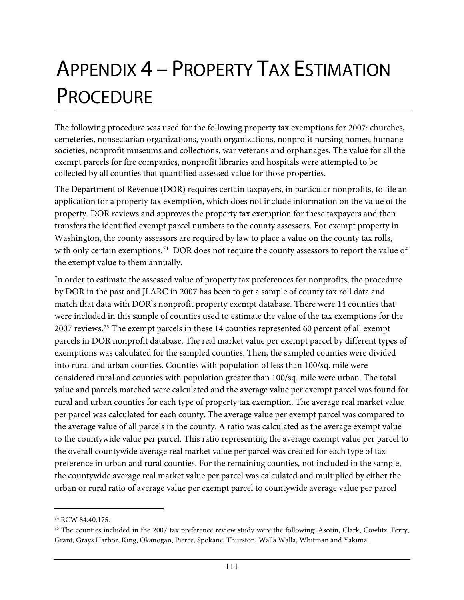# APPENDIX 4 – PROPERTY TAX ESTIMATION **PROCEDURE**

The following procedure was used for the following property tax exemptions for 2007: churches, cemeteries, nonsectarian organizations, youth organizations, nonprofit nursing homes, humane societies, nonprofit museums and collections, war veterans and orphanages. The value for all the exempt parcels for fire companies, nonprofit libraries and hospitals were attempted to be collected by all counties that quantified assessed value for those properties.

The Department of Revenue (DOR) requires certain taxpayers, in particular nonprofits, to file an application for a property tax exemption, which does not include information on the value of the property. DOR reviews and approves the property tax exemption for these taxpayers and then transfers the identified exempt parcel numbers to the county assessors. For exempt property in Washington, the county assessors are required by law to place a value on the county tax rolls, with only certain exemptions.<sup>[74](#page-114-0)</sup> DOR does not require the county assessors to report the value of the exempt value to them annually.

In order to estimate the assessed value of property tax preferences for nonprofits, the procedure by DOR in the past and JLARC in 2007 has been to get a sample of county tax roll data and match that data with DOR's nonprofit property exempt database. There were 14 counties that were included in this sample of counties used to estimate the value of the tax exemptions for the 2007 reviews.[75](#page-114-1) The exempt parcels in these 14 counties represented 60 percent of all exempt parcels in DOR nonprofit database. The real market value per exempt parcel by different types of exemptions was calculated for the sampled counties. Then, the sampled counties were divided into rural and urban counties. Counties with population of less than 100/sq. mile were considered rural and counties with population greater than 100/sq. mile were urban. The total value and parcels matched were calculated and the average value per exempt parcel was found for rural and urban counties for each type of property tax exemption. The average real market value per parcel was calculated for each county. The average value per exempt parcel was compared to the average value of all parcels in the county. A ratio was calculated as the average exempt value to the countywide value per parcel. This ratio representing the average exempt value per parcel to the overall countywide average real market value per parcel was created for each type of tax preference in urban and rural counties. For the remaining counties, not included in the sample, the countywide average real market value per parcel was calculated and multiplied by either the urban or rural ratio of average value per exempt parcel to countywide average value per parcel

 $\overline{a}$ 

<span id="page-114-0"></span><sup>74</sup> RCW 84.40.175.

<span id="page-114-1"></span> $75$  The counties included in the 2007 tax preference review study were the following: Asotin, Clark, Cowlitz, Ferry, Grant, Grays Harbor, King, Okanogan, Pierce, Spokane, Thurston, Walla Walla, Whitman and Yakima.